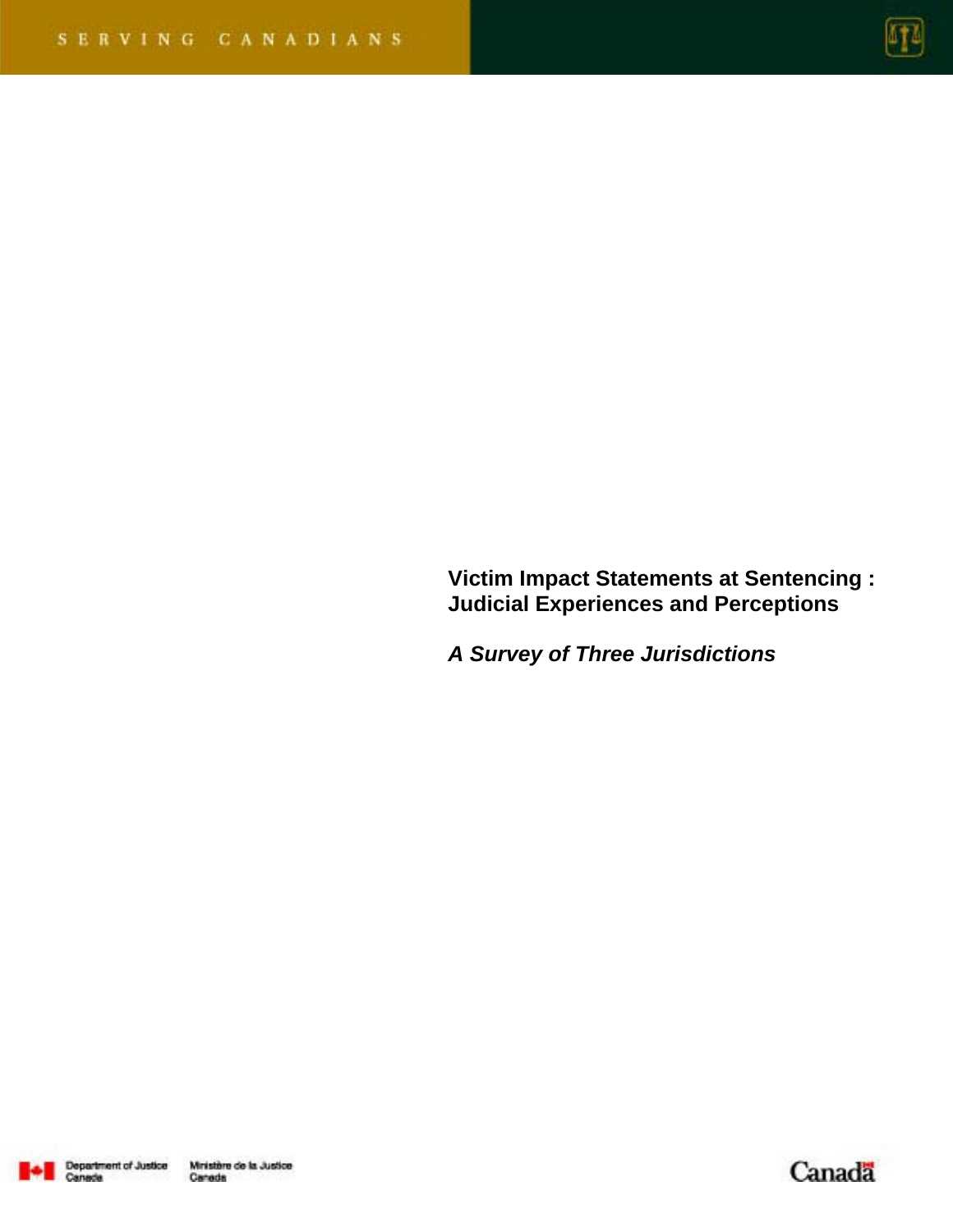

**Victim Impact Statements at Sentencing : Judicial Experiences and Perceptions** 

*A Survey of Three Jurisdictions* 



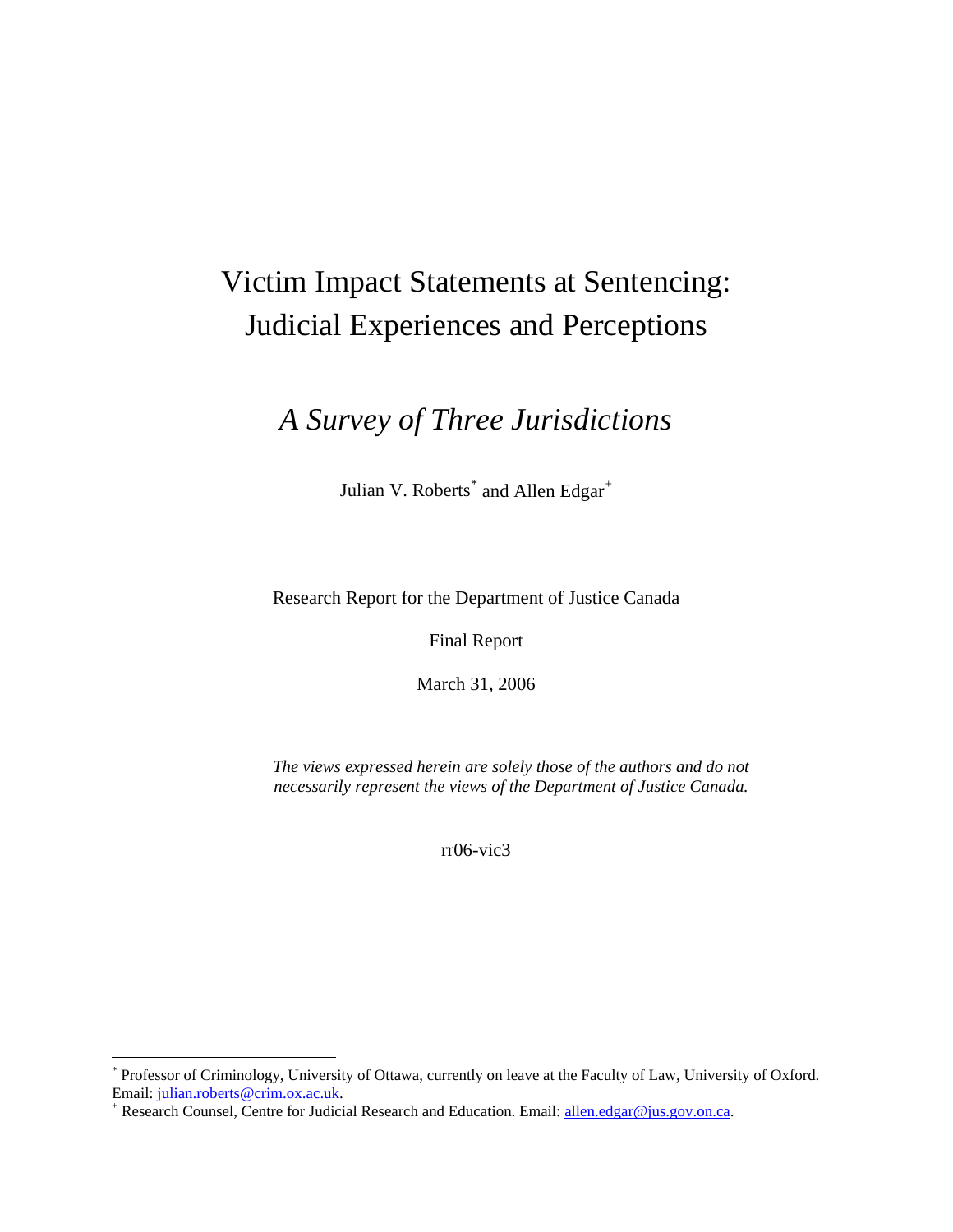# Victim Impact Statements at Sentencing: Judicial Experiences and Perceptions

## *A Survey of Three Jurisdictions*

Julian V. Roberts $^*$  and Allen Edgar $^+$ 

Research Report for the Department of Justice Canada

Final Report

March 31, 2006

*The views expressed herein are solely those of the authors and do not necessarily represent the views of the Department of Justice Canada.* 

 $rr06-vic3$ 

 $\overline{a}$ 

<sup>\*</sup> Professor of Criminology, University of Ottawa, currently on leave at the Faculty of Law, University of Oxford. Email: julian.roberts@crim.ox.ac.uk. +

<sup>&</sup>lt;sup>+</sup> Research Counsel, Centre for Judicial Research and Education. Email: allen.edgar@jus.gov.on.ca.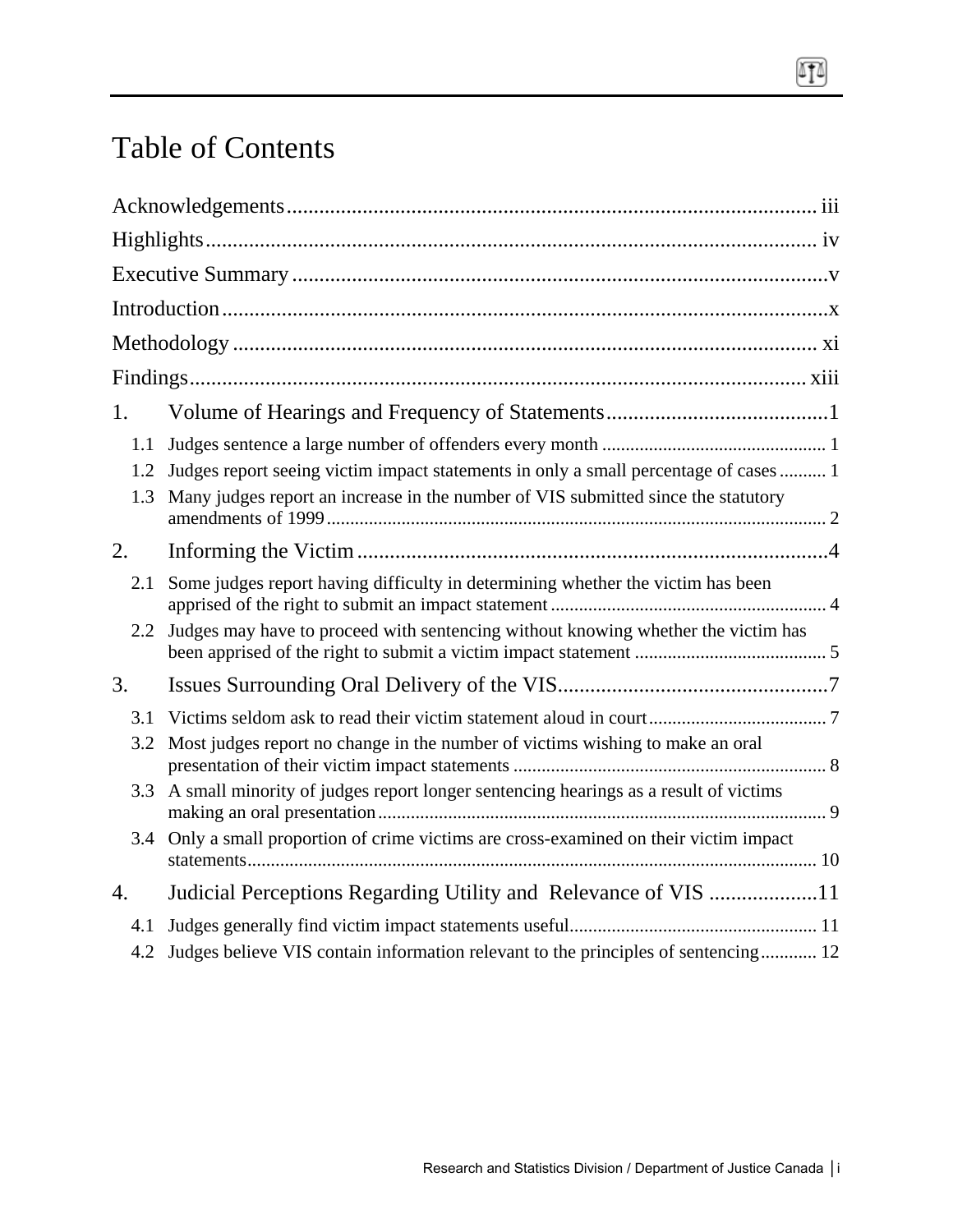# Table of Contents

| 1.                |                                                                                                                                                                           |
|-------------------|---------------------------------------------------------------------------------------------------------------------------------------------------------------------------|
| 1.1<br>1.2<br>1.3 | Judges report seeing victim impact statements in only a small percentage of cases  1<br>Many judges report an increase in the number of VIS submitted since the statutory |
| 2.                |                                                                                                                                                                           |
| 2.1<br>2.2        | Some judges report having difficulty in determining whether the victim has been<br>Judges may have to proceed with sentencing without knowing whether the victim has      |
| 3.                |                                                                                                                                                                           |
| 3.1<br>3.2        | Most judges report no change in the number of victims wishing to make an oral                                                                                             |
| 3.3               | A small minority of judges report longer sentencing hearings as a result of victims                                                                                       |
|                   | 3.4 Only a small proportion of crime victims are cross-examined on their victim impact                                                                                    |
| 4.                | Judicial Perceptions Regarding Utility and Relevance of VIS 11                                                                                                            |
| 4.1<br>4.2        | Judges believe VIS contain information relevant to the principles of sentencing 12                                                                                        |

 $\sqrt{10}$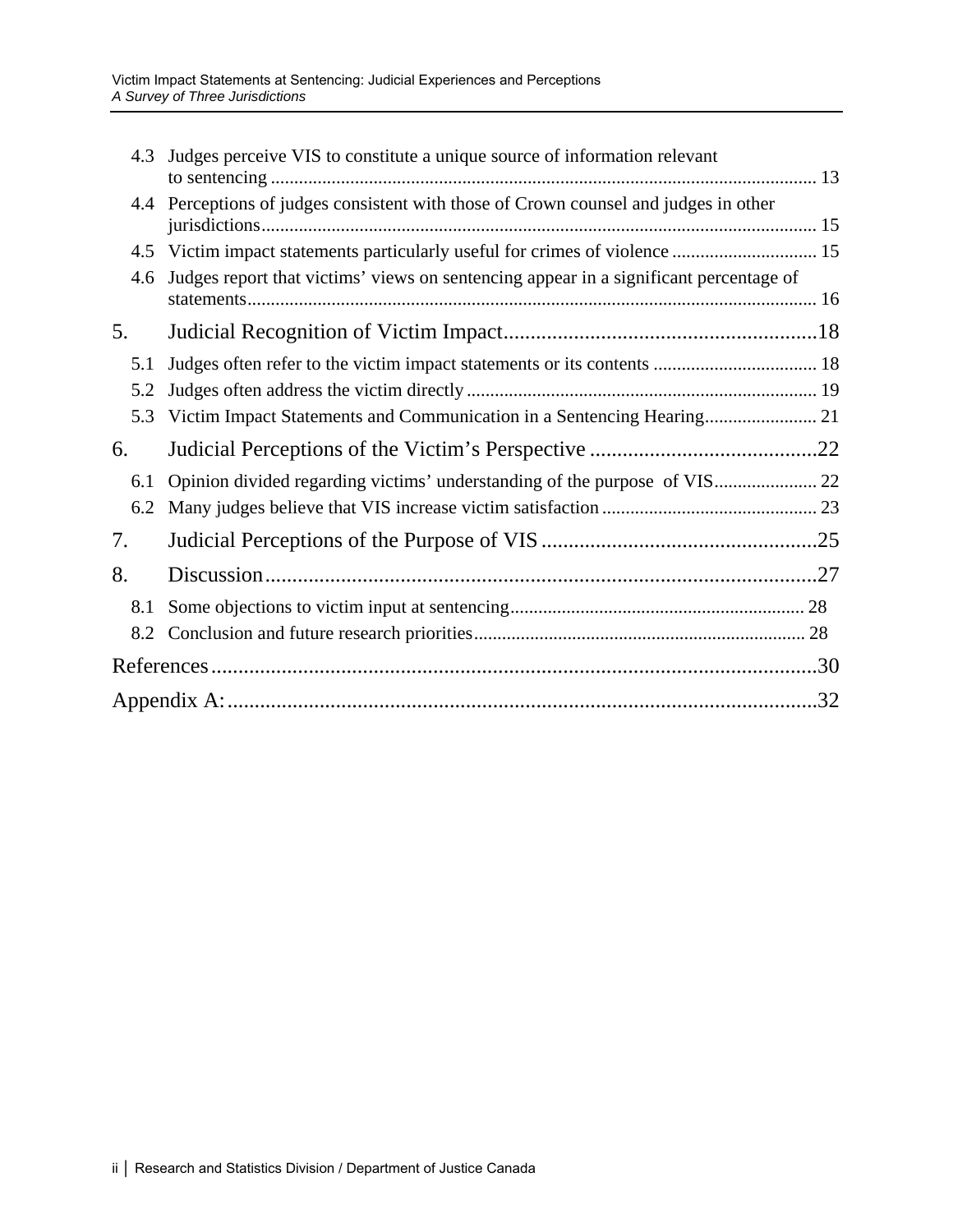| 4.3        | Judges perceive VIS to constitute a unique source of information relevant             |
|------------|---------------------------------------------------------------------------------------|
|            | 4.4 Perceptions of judges consistent with those of Crown counsel and judges in other  |
|            |                                                                                       |
| 4.6        | Judges report that victims' views on sentencing appear in a significant percentage of |
| 5.         |                                                                                       |
| 5.1<br>5.2 |                                                                                       |
| 5.3        |                                                                                       |
| 6.         |                                                                                       |
| 6.1<br>6.2 | Opinion divided regarding victims' understanding of the purpose of VIS 22             |
| 7.         |                                                                                       |
| 8.         |                                                                                       |
| 8.1        |                                                                                       |
| 8.2        |                                                                                       |
|            |                                                                                       |
|            | .32                                                                                   |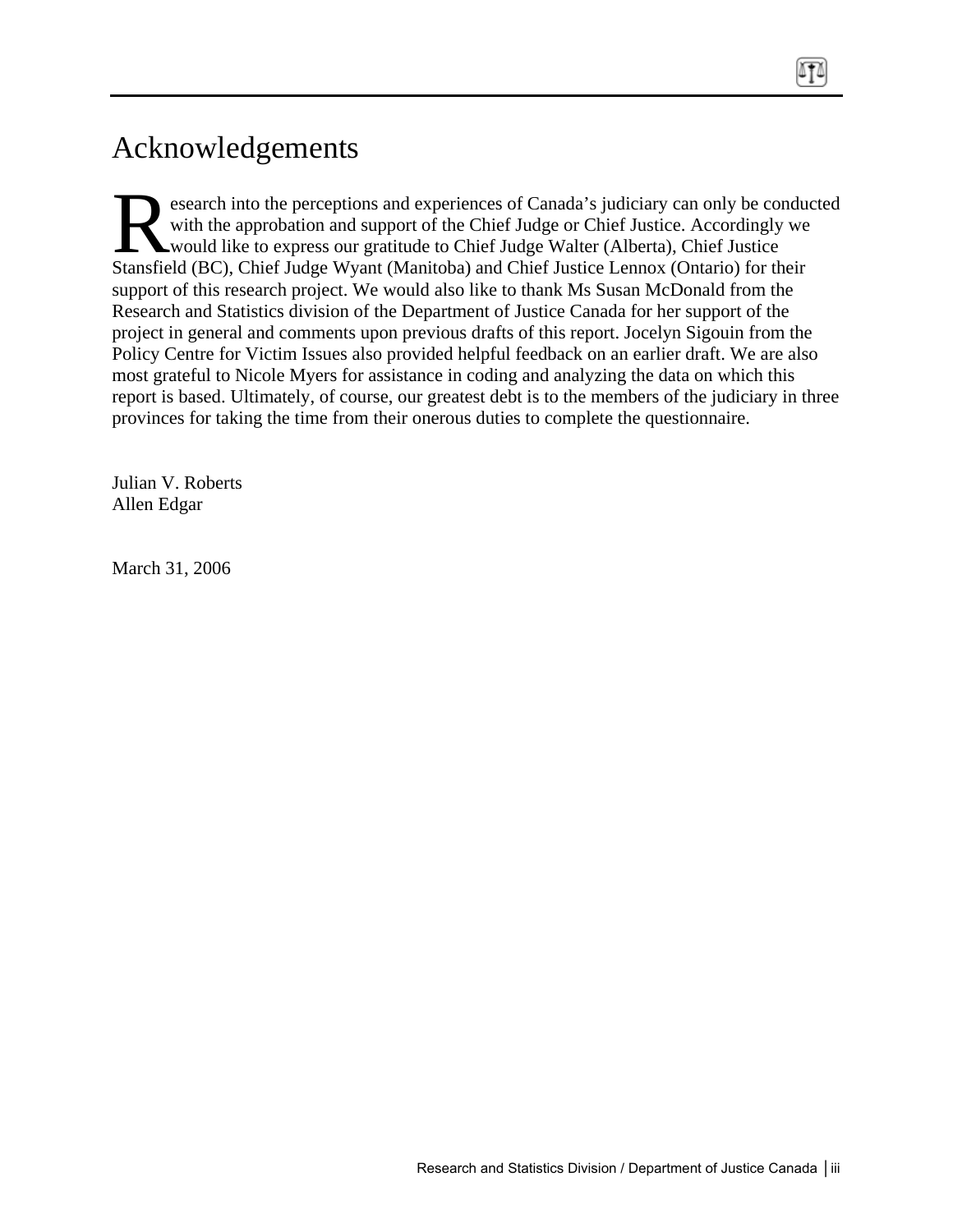## Acknowledgements

esearch into the perceptions and experiences of Canada's judiciary can only be conducted with the approbation and support of the Chief Judge or Chief Justice. Accordingly we would like to express our gratitude to Chief Judge Walter (Alberta), Chief Justice Stansfield (BC), Chief Judge Wyant (Manitoba) and Chief Justice Lennox (Ontario) for their Stansfield (BC), Chief Judge Wyant (Manitoba) and Chief Justice Lennox (Ontario) for their support of this research project. We would also like to thank Ms Susan McDonald from the Research and Statistics division of the Department of Justice Canada for her support of the project in general and comments upon previous drafts of this report. Jocelyn Sigouin from the Policy Centre for Victim Issues also provided helpful feedback on an earlier draft. We are also most grateful to Nicole Myers for assistance in coding and analyzing the data on which this report is based. Ultimately, of course, our greatest debt is to the members of the judiciary in three provinces for taking the time from their onerous duties to complete the questionnaire.

Julian V. Roberts Allen Edgar

March 31, 2006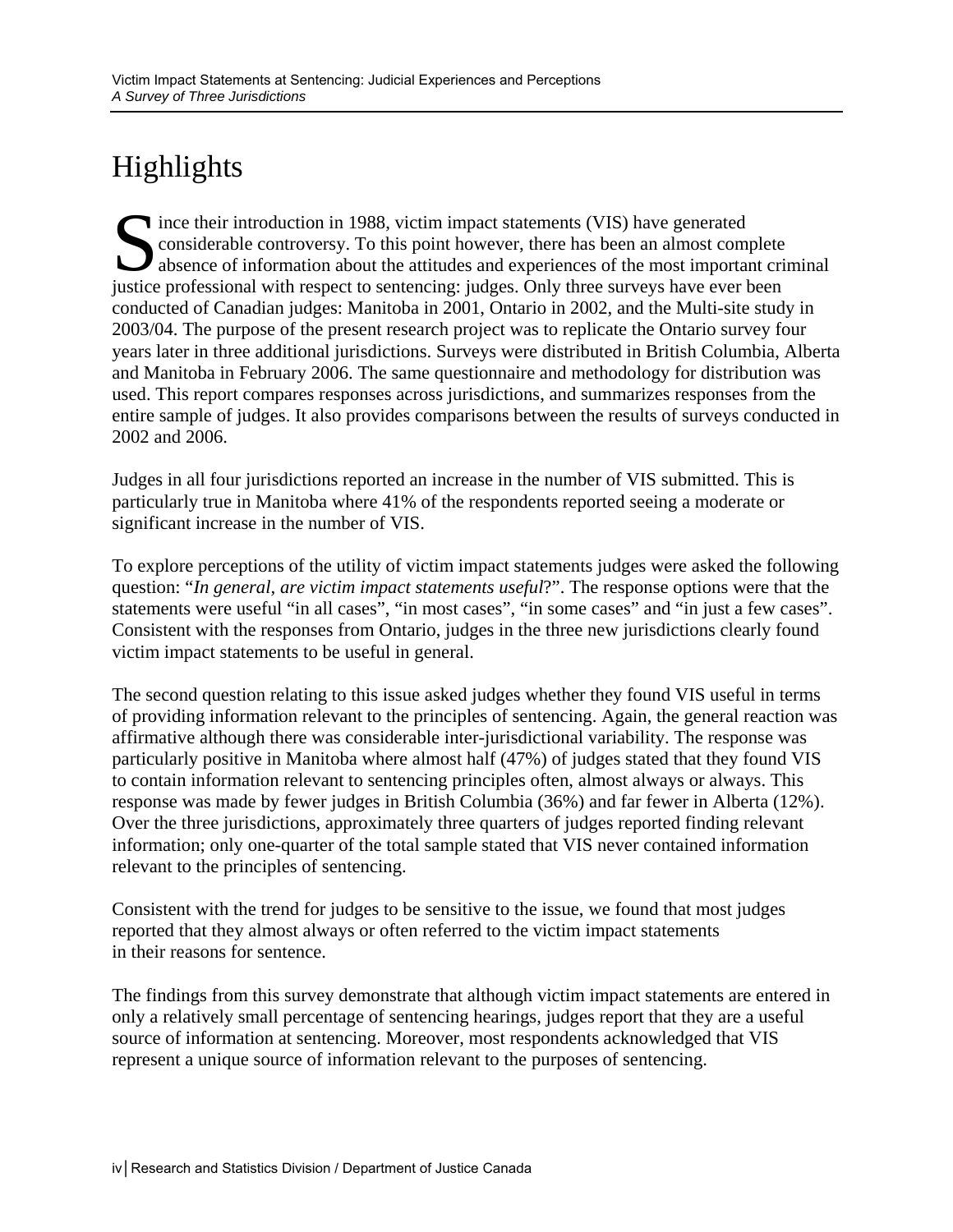# Highlights

ince their introduction in 1988, victim impact statements (VIS) have generated considerable controversy. To this point however, there has been an almost complete A absence of information about the attitudes and experiences of the most important criminal justice professional with respect to sentencing: judges. Only three surveys have ever been conducted of Canadian judges: Manitoba in 2001, Ontario in 2002, and the Multi-site study in 2003/04. The purpose of the present research project was to replicate the Ontario survey four years later in three additional jurisdictions. Surveys were distributed in British Columbia, Alberta and Manitoba in February 2006. The same questionnaire and methodology for distribution was used. This report compares responses across jurisdictions, and summarizes responses from the entire sample of judges. It also provides comparisons between the results of surveys conducted in 2002 and 2006. Since<br>abs

Judges in all four jurisdictions reported an increase in the number of VIS submitted. This is particularly true in Manitoba where 41% of the respondents reported seeing a moderate or significant increase in the number of VIS.

To explore perceptions of the utility of victim impact statements judges were asked the following question: "*In general, are victim impact statements useful*?". The response options were that the statements were useful "in all cases", "in most cases", "in some cases" and "in just a few cases". Consistent with the responses from Ontario, judges in the three new jurisdictions clearly found victim impact statements to be useful in general.

The second question relating to this issue asked judges whether they found VIS useful in terms of providing information relevant to the principles of sentencing. Again, the general reaction was affirmative although there was considerable inter-jurisdictional variability. The response was particularly positive in Manitoba where almost half (47%) of judges stated that they found VIS to contain information relevant to sentencing principles often, almost always or always. This response was made by fewer judges in British Columbia (36%) and far fewer in Alberta (12%). Over the three jurisdictions, approximately three quarters of judges reported finding relevant information; only one-quarter of the total sample stated that VIS never contained information relevant to the principles of sentencing.

Consistent with the trend for judges to be sensitive to the issue, we found that most judges reported that they almost always or often referred to the victim impact statements in their reasons for sentence.

The findings from this survey demonstrate that although victim impact statements are entered in only a relatively small percentage of sentencing hearings, judges report that they are a useful source of information at sentencing. Moreover, most respondents acknowledged that VIS represent a unique source of information relevant to the purposes of sentencing.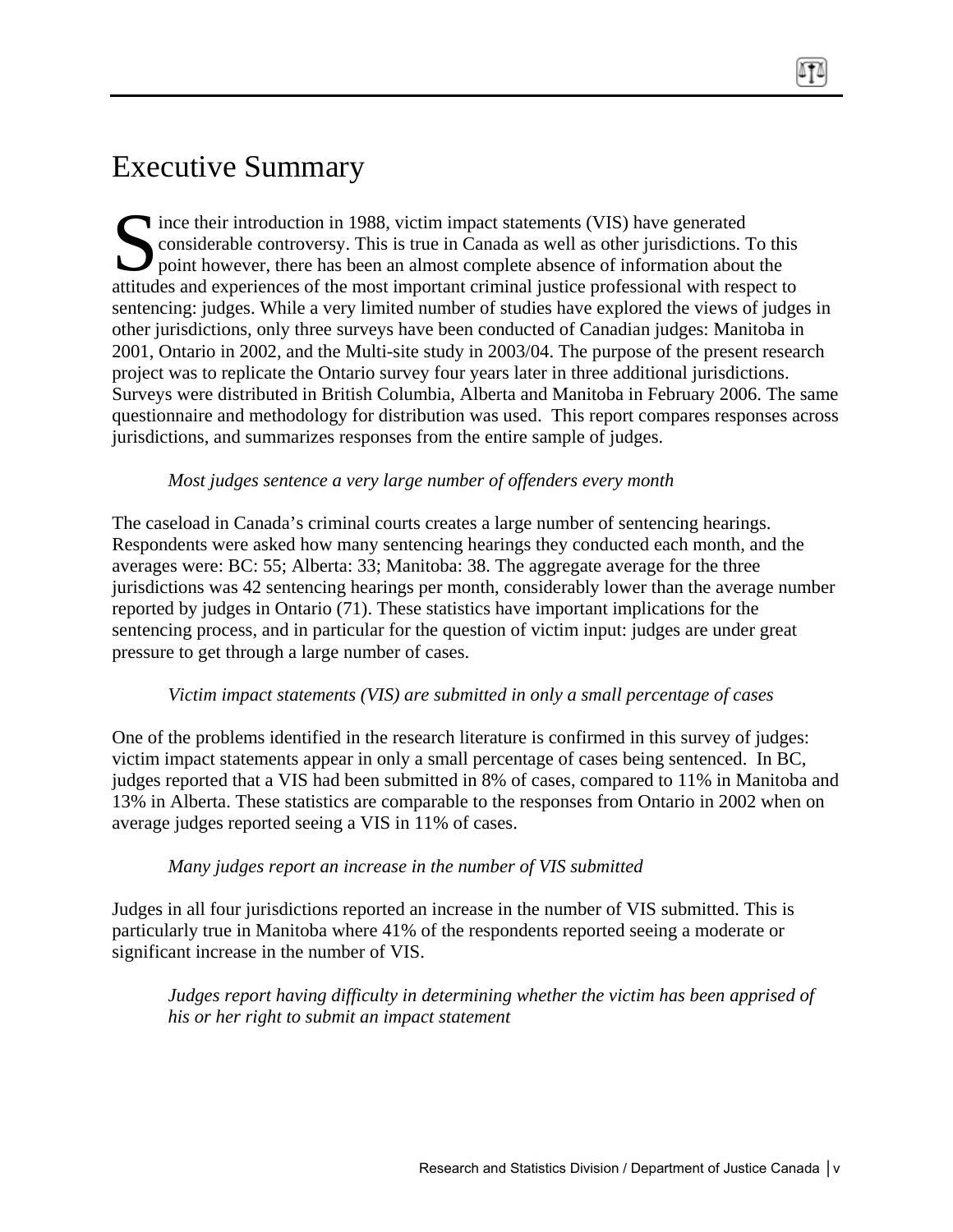## Executive Summary

ince their introduction in 1988, victim impact statements (VIS) have generated considerable controversy. This is true in Canada as well as other jurisdictions. To this point however, there has been an almost complete absence of information about the attitudes and experiences of the most important criminal justice professional with respect to sentencing: judges. While a very limited number of studies have explored the views of judges in other jurisdictions, only three surveys have been conducted of Canadian judges: Manitoba in 2001, Ontario in 2002, and the Multi-site study in 2003/04. The purpose of the present research project was to replicate the Ontario survey four years later in three additional jurisdictions. Surveys were distributed in British Columbia, Alberta and Manitoba in February 2006. The same questionnaire and methodology for distribution was used. This report compares responses across jurisdictions, and summarizes responses from the entire sample of judges.  $S_{\rm pol}^{\rm inc}$ 

#### *Most judges sentence a very large number of offenders every month*

The caseload in Canada's criminal courts creates a large number of sentencing hearings. Respondents were asked how many sentencing hearings they conducted each month, and the averages were: BC: 55; Alberta: 33; Manitoba: 38. The aggregate average for the three jurisdictions was 42 sentencing hearings per month, considerably lower than the average number reported by judges in Ontario (71). These statistics have important implications for the sentencing process, and in particular for the question of victim input: judges are under great pressure to get through a large number of cases.

#### *Victim impact statements (VIS) are submitted in only a small percentage of cases*

One of the problems identified in the research literature is confirmed in this survey of judges: victim impact statements appear in only a small percentage of cases being sentenced. In BC, judges reported that a VIS had been submitted in 8% of cases, compared to 11% in Manitoba and 13% in Alberta. These statistics are comparable to the responses from Ontario in 2002 when on average judges reported seeing a VIS in 11% of cases.

#### *Many judges report an increase in the number of VIS submitted*

Judges in all four jurisdictions reported an increase in the number of VIS submitted. This is particularly true in Manitoba where 41% of the respondents reported seeing a moderate or significant increase in the number of VIS.

 *Judges report having difficulty in determining whether the victim has been apprised of his or her right to submit an impact statement*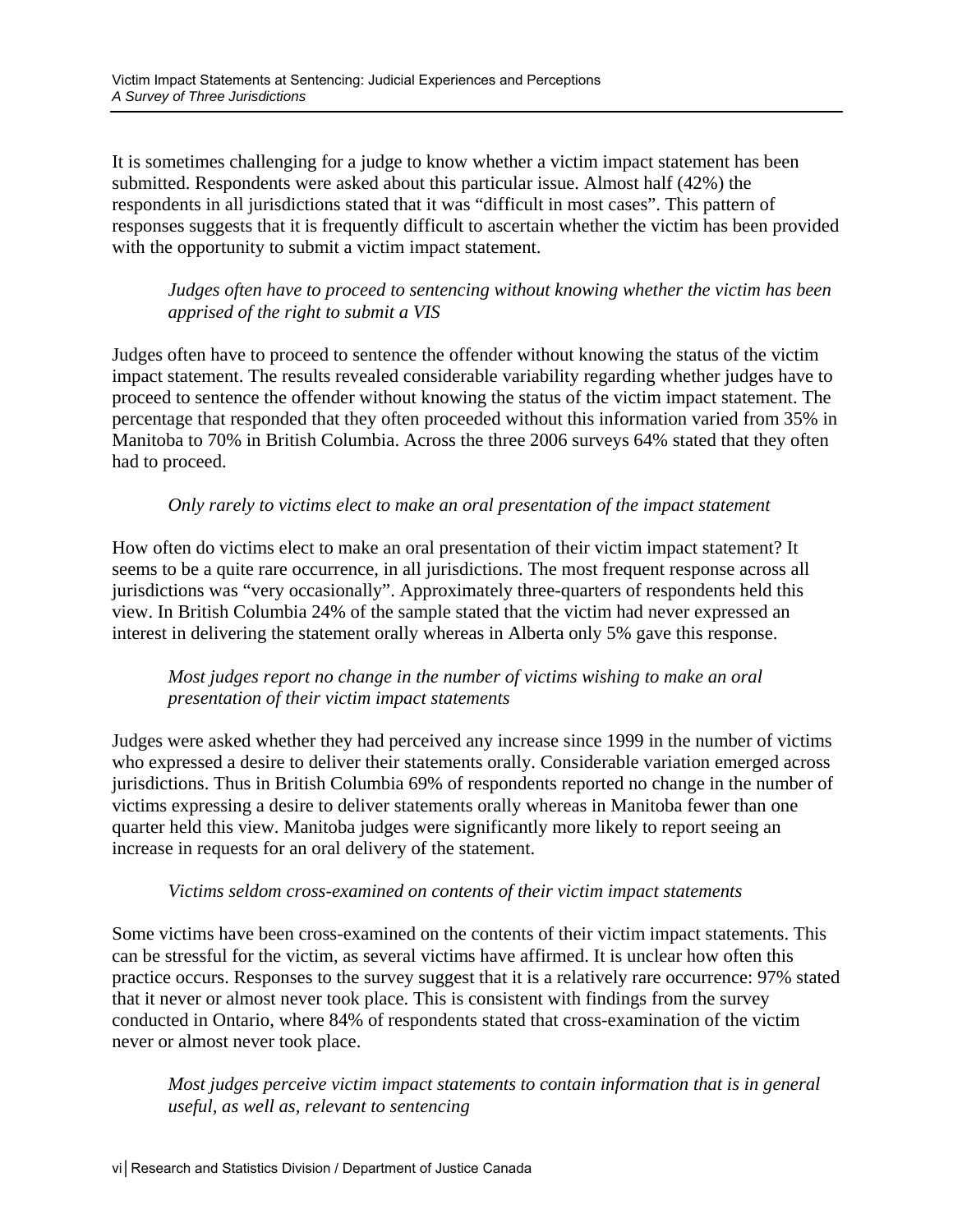It is sometimes challenging for a judge to know whether a victim impact statement has been submitted. Respondents were asked about this particular issue. Almost half (42%) the respondents in all jurisdictions stated that it was "difficult in most cases". This pattern of responses suggests that it is frequently difficult to ascertain whether the victim has been provided with the opportunity to submit a victim impact statement.

 *Judges often have to proceed to sentencing without knowing whether the victim has been apprised of the right to submit a VIS* 

Judges often have to proceed to sentence the offender without knowing the status of the victim impact statement. The results revealed considerable variability regarding whether judges have to proceed to sentence the offender without knowing the status of the victim impact statement. The percentage that responded that they often proceeded without this information varied from 35% in Manitoba to 70% in British Columbia. Across the three 2006 surveys 64% stated that they often had to proceed.

#### *Only rarely to victims elect to make an oral presentation of the impact statement*

How often do victims elect to make an oral presentation of their victim impact statement? It seems to be a quite rare occurrence, in all jurisdictions. The most frequent response across all jurisdictions was "very occasionally". Approximately three-quarters of respondents held this view. In British Columbia 24% of the sample stated that the victim had never expressed an interest in delivering the statement orally whereas in Alberta only 5% gave this response.

### *Most judges report no change in the number of victims wishing to make an oral presentation of their victim impact statements*

Judges were asked whether they had perceived any increase since 1999 in the number of victims who expressed a desire to deliver their statements orally. Considerable variation emerged across jurisdictions. Thus in British Columbia 69% of respondents reported no change in the number of victims expressing a desire to deliver statements orally whereas in Manitoba fewer than one quarter held this view. Manitoba judges were significantly more likely to report seeing an increase in requests for an oral delivery of the statement.

#### *Victims seldom cross-examined on contents of their victim impact statements*

Some victims have been cross-examined on the contents of their victim impact statements. This can be stressful for the victim, as several victims have affirmed. It is unclear how often this practice occurs. Responses to the survey suggest that it is a relatively rare occurrence: 97% stated that it never or almost never took place. This is consistent with findings from the survey conducted in Ontario, where 84% of respondents stated that cross-examination of the victim never or almost never took place.

 *Most judges perceive victim impact statements to contain information that is in general useful, as well as, relevant to sentencing*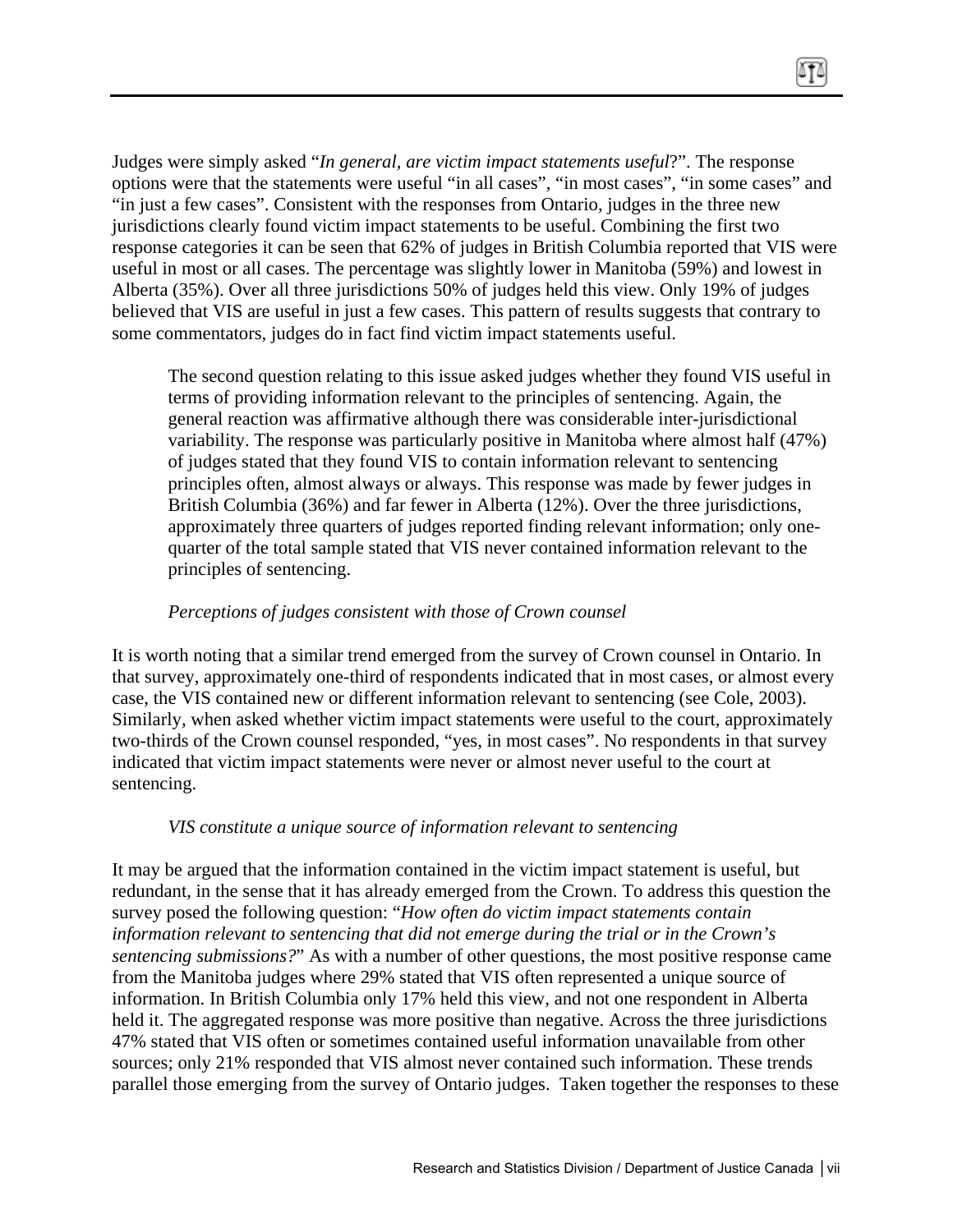Judges were simply asked "*In general, are victim impact statements useful*?". The response options were that the statements were useful "in all cases", "in most cases", "in some cases" and "in just a few cases". Consistent with the responses from Ontario, judges in the three new jurisdictions clearly found victim impact statements to be useful. Combining the first two response categories it can be seen that 62% of judges in British Columbia reported that VIS were useful in most or all cases. The percentage was slightly lower in Manitoba (59%) and lowest in Alberta (35%). Over all three jurisdictions 50% of judges held this view. Only 19% of judges believed that VIS are useful in just a few cases. This pattern of results suggests that contrary to some commentators, judges do in fact find victim impact statements useful.

The second question relating to this issue asked judges whether they found VIS useful in terms of providing information relevant to the principles of sentencing. Again, the general reaction was affirmative although there was considerable inter-jurisdictional variability. The response was particularly positive in Manitoba where almost half (47%) of judges stated that they found VIS to contain information relevant to sentencing principles often, almost always or always. This response was made by fewer judges in British Columbia (36%) and far fewer in Alberta (12%). Over the three jurisdictions, approximately three quarters of judges reported finding relevant information; only onequarter of the total sample stated that VIS never contained information relevant to the principles of sentencing.

#### *Perceptions of judges consistent with those of Crown counsel*

It is worth noting that a similar trend emerged from the survey of Crown counsel in Ontario. In that survey, approximately one-third of respondents indicated that in most cases, or almost every case, the VIS contained new or different information relevant to sentencing (see Cole, 2003). Similarly, when asked whether victim impact statements were useful to the court, approximately two-thirds of the Crown counsel responded, "yes, in most cases". No respondents in that survey indicated that victim impact statements were never or almost never useful to the court at sentencing.

### *VIS constitute a unique source of information relevant to sentencing*

It may be argued that the information contained in the victim impact statement is useful, but redundant, in the sense that it has already emerged from the Crown. To address this question the survey posed the following question: "*How often do victim impact statements contain information relevant to sentencing that did not emerge during the trial or in the Crown's sentencing submissions?*" As with a number of other questions, the most positive response came from the Manitoba judges where 29% stated that VIS often represented a unique source of information. In British Columbia only 17% held this view, and not one respondent in Alberta held it. The aggregated response was more positive than negative. Across the three jurisdictions 47% stated that VIS often or sometimes contained useful information unavailable from other sources; only 21% responded that VIS almost never contained such information. These trends parallel those emerging from the survey of Ontario judges. Taken together the responses to these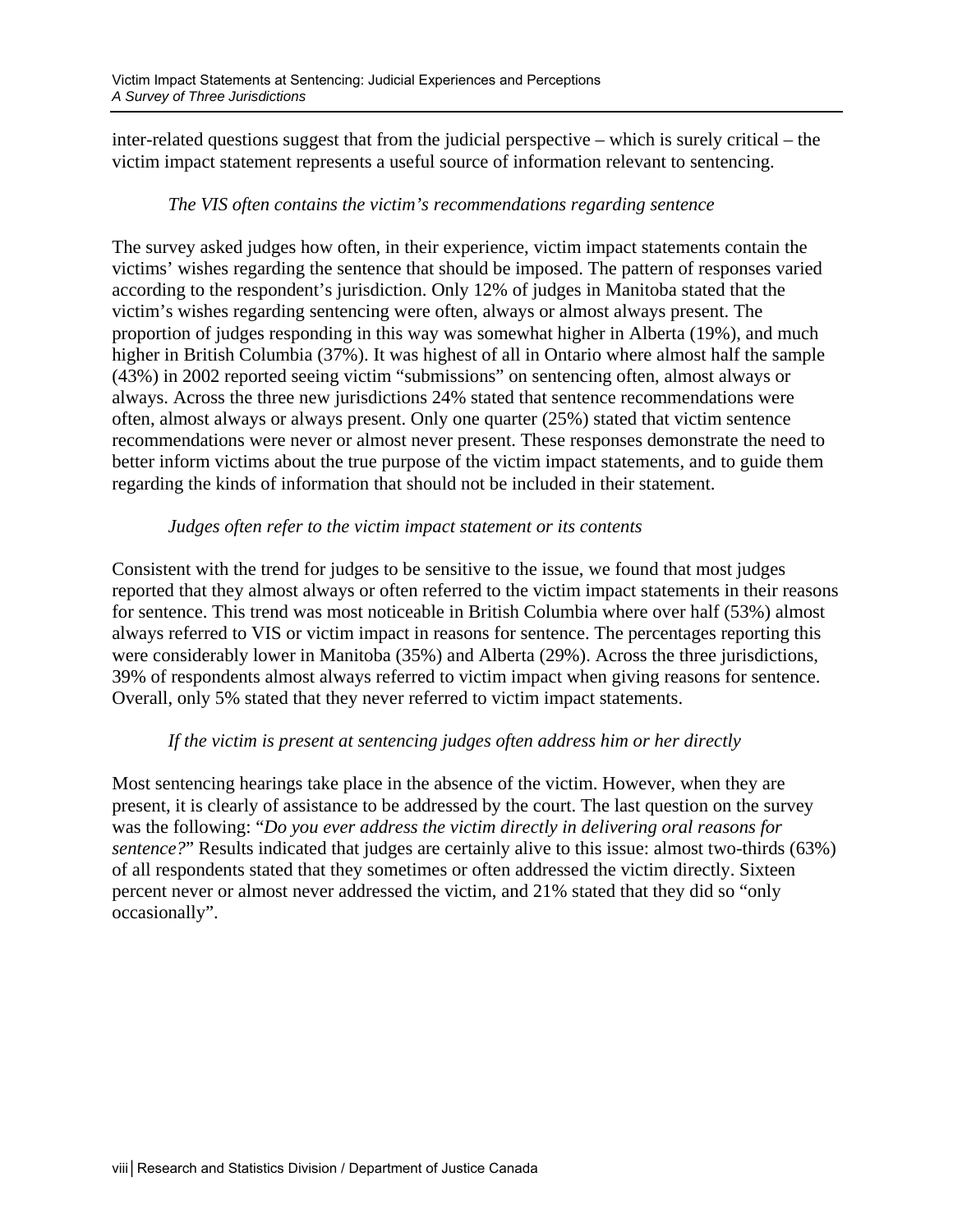inter-related questions suggest that from the judicial perspective – which is surely critical – the victim impact statement represents a useful source of information relevant to sentencing.

### *The VIS often contains the victim's recommendations regarding sentence*

The survey asked judges how often, in their experience, victim impact statements contain the victims' wishes regarding the sentence that should be imposed. The pattern of responses varied according to the respondent's jurisdiction. Only 12% of judges in Manitoba stated that the victim's wishes regarding sentencing were often, always or almost always present. The proportion of judges responding in this way was somewhat higher in Alberta (19%), and much higher in British Columbia (37%). It was highest of all in Ontario where almost half the sample (43%) in 2002 reported seeing victim "submissions" on sentencing often, almost always or always. Across the three new jurisdictions 24% stated that sentence recommendations were often, almost always or always present. Only one quarter (25%) stated that victim sentence recommendations were never or almost never present. These responses demonstrate the need to better inform victims about the true purpose of the victim impact statements, and to guide them regarding the kinds of information that should not be included in their statement.

#### *Judges often refer to the victim impact statement or its contents*

Consistent with the trend for judges to be sensitive to the issue, we found that most judges reported that they almost always or often referred to the victim impact statements in their reasons for sentence. This trend was most noticeable in British Columbia where over half (53%) almost always referred to VIS or victim impact in reasons for sentence. The percentages reporting this were considerably lower in Manitoba (35%) and Alberta (29%). Across the three jurisdictions, 39% of respondents almost always referred to victim impact when giving reasons for sentence. Overall, only 5% stated that they never referred to victim impact statements.

### *If the victim is present at sentencing judges often address him or her directly*

Most sentencing hearings take place in the absence of the victim. However, when they are present, it is clearly of assistance to be addressed by the court. The last question on the survey was the following: "*Do you ever address the victim directly in delivering oral reasons for sentence?*" Results indicated that judges are certainly alive to this issue: almost two-thirds (63%) of all respondents stated that they sometimes or often addressed the victim directly. Sixteen percent never or almost never addressed the victim, and 21% stated that they did so "only occasionally".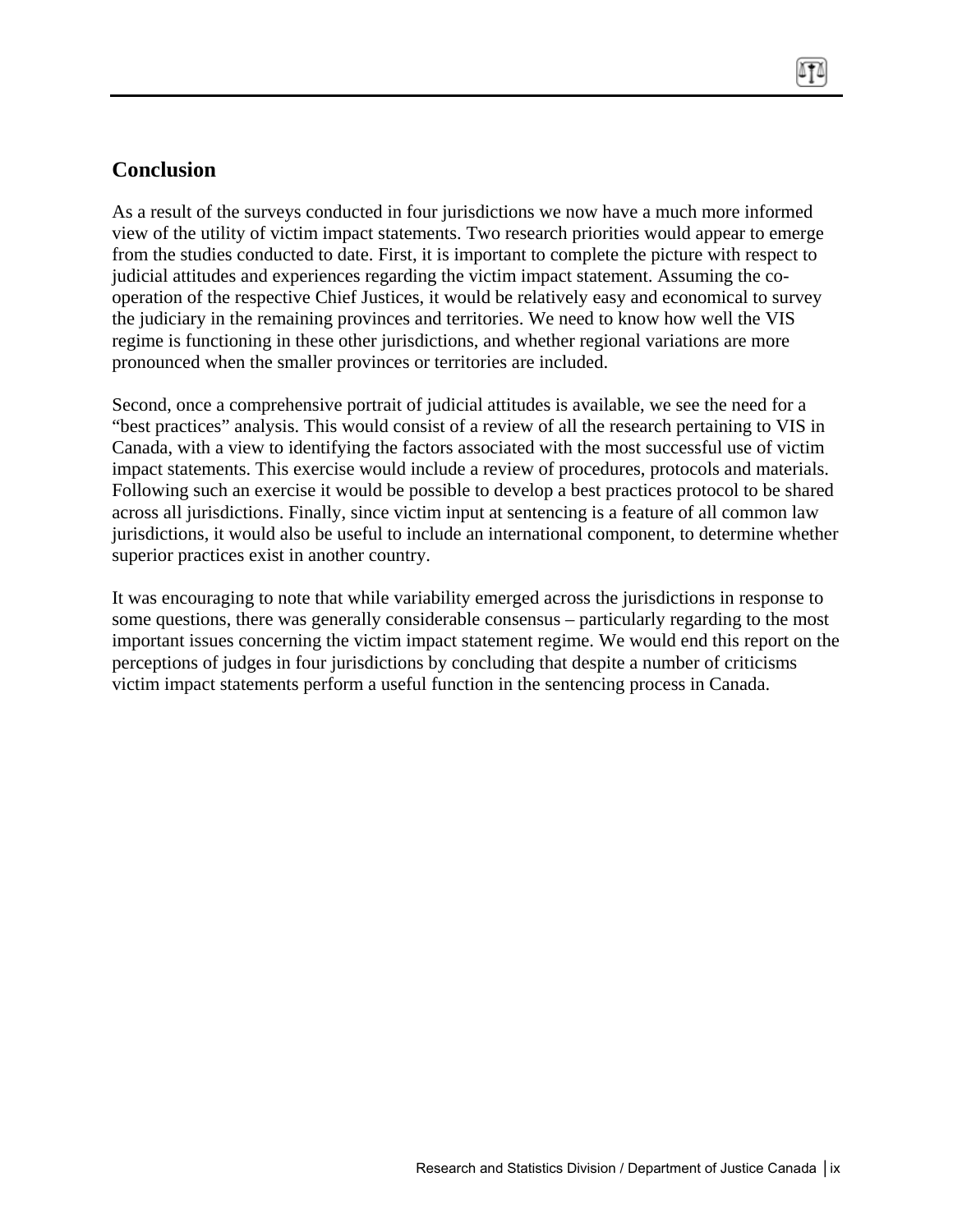### **Conclusion**

As a result of the surveys conducted in four jurisdictions we now have a much more informed view of the utility of victim impact statements. Two research priorities would appear to emerge from the studies conducted to date. First, it is important to complete the picture with respect to judicial attitudes and experiences regarding the victim impact statement. Assuming the cooperation of the respective Chief Justices, it would be relatively easy and economical to survey the judiciary in the remaining provinces and territories. We need to know how well the VIS regime is functioning in these other jurisdictions, and whether regional variations are more pronounced when the smaller provinces or territories are included.

Second, once a comprehensive portrait of judicial attitudes is available, we see the need for a "best practices" analysis. This would consist of a review of all the research pertaining to VIS in Canada, with a view to identifying the factors associated with the most successful use of victim impact statements. This exercise would include a review of procedures, protocols and materials. Following such an exercise it would be possible to develop a best practices protocol to be shared across all jurisdictions. Finally, since victim input at sentencing is a feature of all common law jurisdictions, it would also be useful to include an international component, to determine whether superior practices exist in another country.

It was encouraging to note that while variability emerged across the jurisdictions in response to some questions, there was generally considerable consensus – particularly regarding to the most important issues concerning the victim impact statement regime. We would end this report on the perceptions of judges in four jurisdictions by concluding that despite a number of criticisms victim impact statements perform a useful function in the sentencing process in Canada.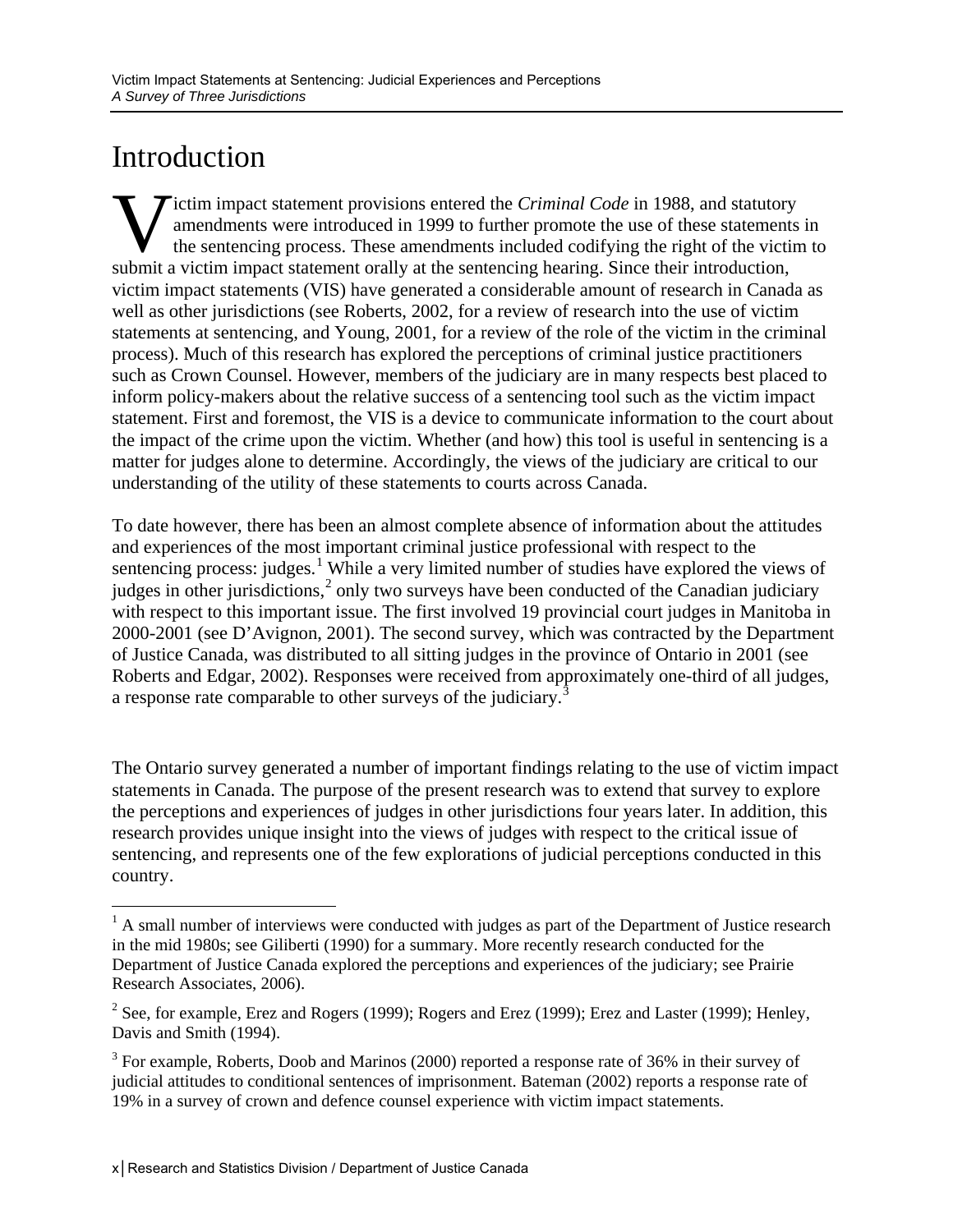## Introduction

1

ictim impact statement provisions entered the *Criminal Code* in 1988, and statutory amendments were introduced in 1999 to further promote the use of these statements in the sentencing process. These amendments included codifying the right of the victim to Submit a victim impact statement provisions entered the *Criminal Code* in 1988, and statutory amendments were introduced in 1999 to further promote the use of these statement the sentencing process. These amendments inclu victim impact statements (VIS) have generated a considerable amount of research in Canada as well as other jurisdictions (see Roberts, 2002, for a review of research into the use of victim statements at sentencing, and Young, 2001, for a review of the role of the victim in the criminal process). Much of this research has explored the perceptions of criminal justice practitioners such as Crown Counsel. However, members of the judiciary are in many respects best placed to inform policy-makers about the relative success of a sentencing tool such as the victim impact statement. First and foremost, the VIS is a device to communicate information to the court about the impact of the crime upon the victim. Whether (and how) this tool is useful in sentencing is a matter for judges alone to determine. Accordingly, the views of the judiciary are critical to our understanding of the utility of these statements to courts across Canada.

To date however, there has been an almost complete absence of information about the attitudes and experiences of the most important criminal justice professional with respect to the sentencing process: judges.<sup>1</sup> While a very limited number of studies have explored the views of judges in other jurisdictions,<sup>2</sup> only two surveys have been conducted of the Canadian judiciary with respect to this important issue. The first involved 19 provincial court judges in Manitoba in 2000-2001 (see D'Avignon, 2001). The second survey, which was contracted by the Department of Justice Canada, was distributed to all sitting judges in the province of Ontario in 2001 (see Roberts and Edgar, 2002). Responses were received from approximately one-third of all judges, a response rate comparable to other surveys of the judiciary.<sup>3</sup>

The Ontario survey generated a number of important findings relating to the use of victim impact statements in Canada. The purpose of the present research was to extend that survey to explore the perceptions and experiences of judges in other jurisdictions four years later. In addition, this research provides unique insight into the views of judges with respect to the critical issue of sentencing, and represents one of the few explorations of judicial perceptions conducted in this country.

 $<sup>1</sup>$  A small number of interviews were conducted with judges as part of the Department of Justice research</sup> in the mid 1980s; see Giliberti (1990) for a summary. More recently research conducted for the Department of Justice Canada explored the perceptions and experiences of the judiciary; see Prairie Research Associates, 2006).

<sup>&</sup>lt;sup>2</sup> See, for example, Erez and Rogers (1999); Rogers and Erez (1999); Erez and Laster (1999); Henley, Davis and Smith (1994).

 $3$  For example, Roberts, Doob and Marinos (2000) reported a response rate of 36% in their survey of judicial attitudes to conditional sentences of imprisonment. Bateman (2002) reports a response rate of 19% in a survey of crown and defence counsel experience with victim impact statements.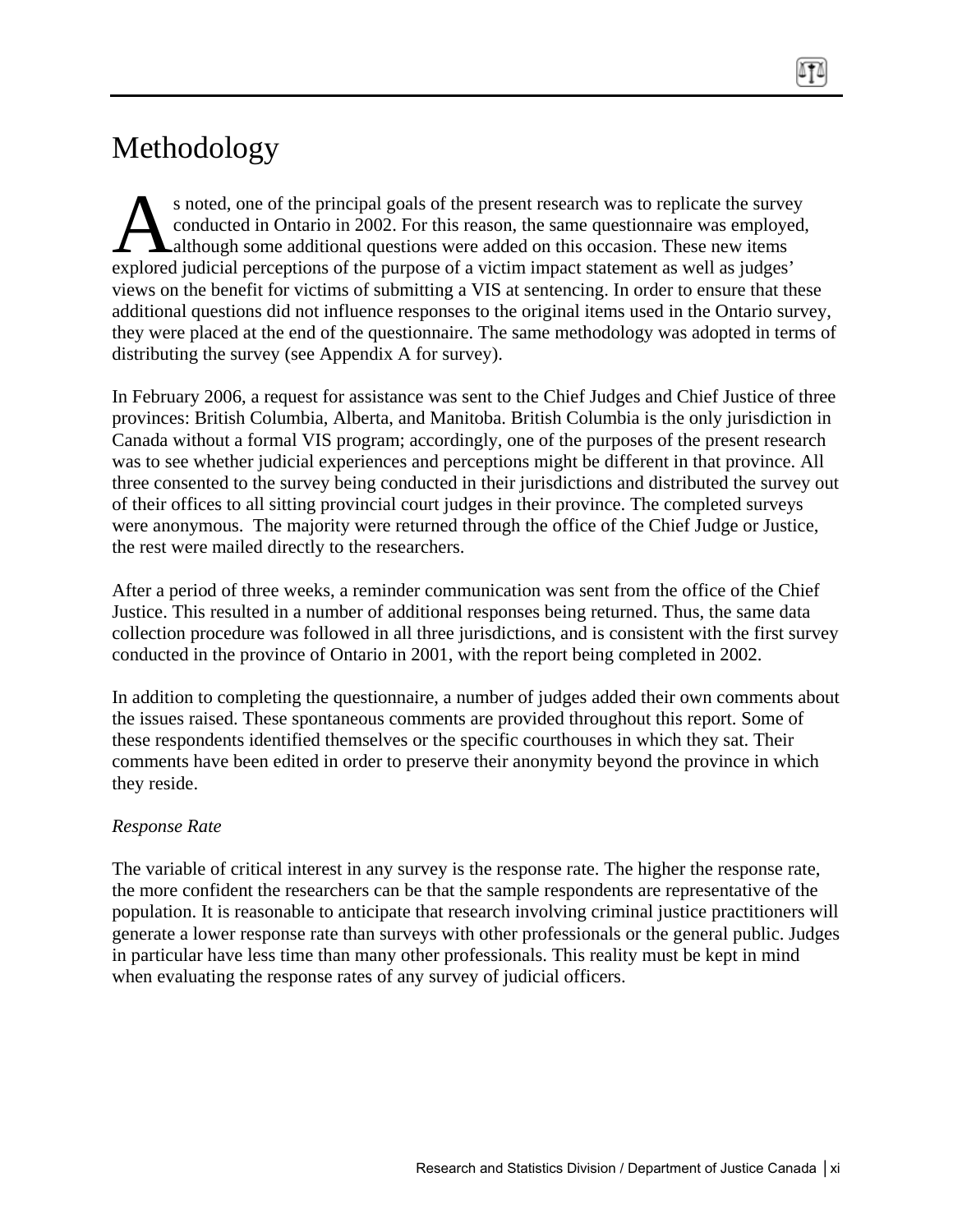## Methodology

s noted, one of the principal goals of the present research was to replicate the survey conducted in Ontario in 2002. For this reason, the same questionnaire was employed, although some additional questions were added on this occasion. These new items s noted, one of the principal goals of the present research was to replicate the survey conducted in Ontario in 2002. For this reason, the same questionnaire was employeed although some additional questions were added on t views on the benefit for victims of submitting a VIS at sentencing. In order to ensure that these additional questions did not influence responses to the original items used in the Ontario survey, they were placed at the end of the questionnaire. The same methodology was adopted in terms of distributing the survey (see Appendix A for survey).

In February 2006, a request for assistance was sent to the Chief Judges and Chief Justice of three provinces: British Columbia, Alberta, and Manitoba. British Columbia is the only jurisdiction in Canada without a formal VIS program; accordingly, one of the purposes of the present research was to see whether judicial experiences and perceptions might be different in that province. All three consented to the survey being conducted in their jurisdictions and distributed the survey out of their offices to all sitting provincial court judges in their province. The completed surveys were anonymous. The majority were returned through the office of the Chief Judge or Justice, the rest were mailed directly to the researchers.

After a period of three weeks, a reminder communication was sent from the office of the Chief Justice. This resulted in a number of additional responses being returned. Thus, the same data collection procedure was followed in all three jurisdictions, and is consistent with the first survey conducted in the province of Ontario in 2001, with the report being completed in 2002.

In addition to completing the questionnaire, a number of judges added their own comments about the issues raised. These spontaneous comments are provided throughout this report. Some of these respondents identified themselves or the specific courthouses in which they sat. Their comments have been edited in order to preserve their anonymity beyond the province in which they reside.

### *Response Rate*

The variable of critical interest in any survey is the response rate. The higher the response rate, the more confident the researchers can be that the sample respondents are representative of the population. It is reasonable to anticipate that research involving criminal justice practitioners will generate a lower response rate than surveys with other professionals or the general public. Judges in particular have less time than many other professionals. This reality must be kept in mind when evaluating the response rates of any survey of judicial officers.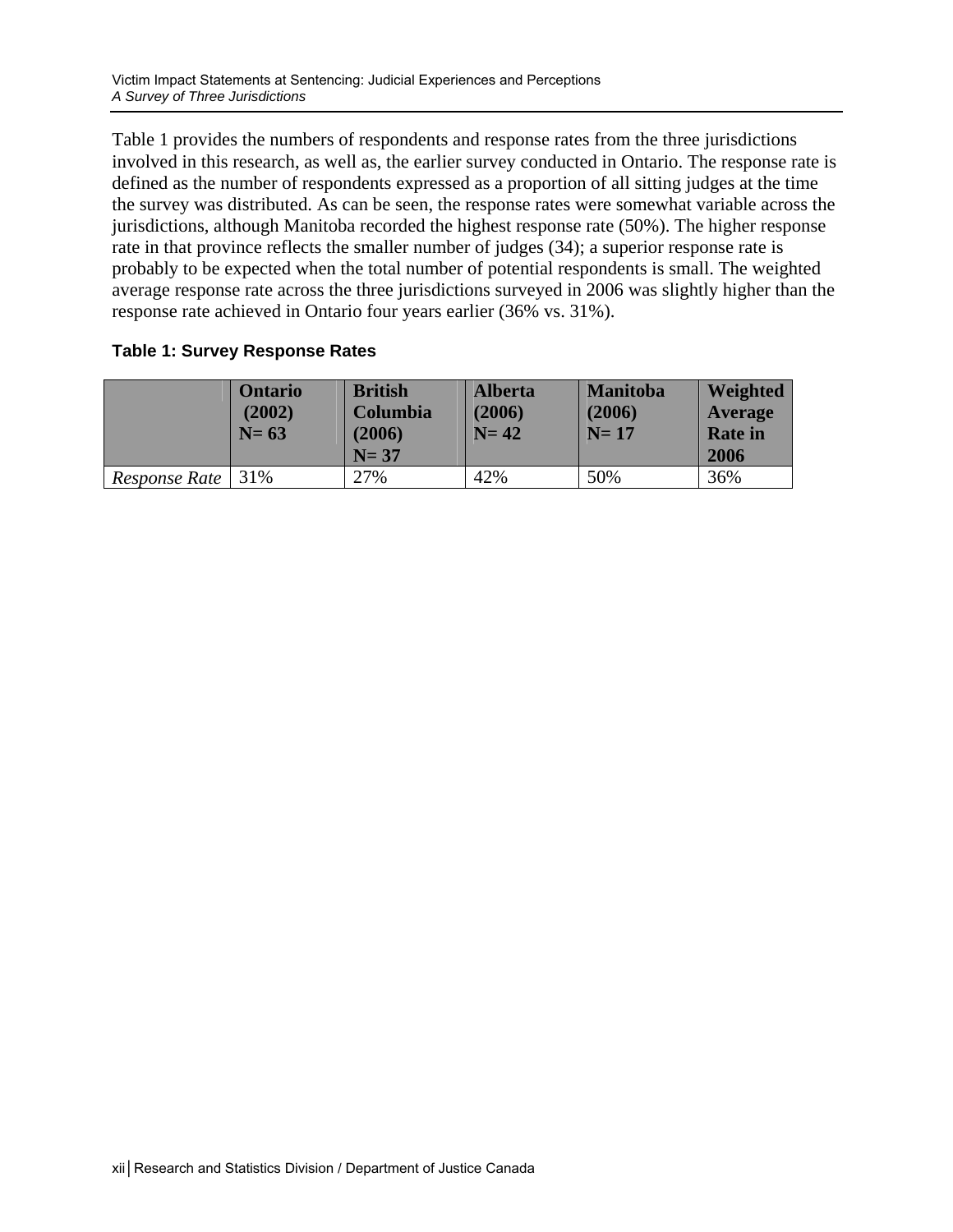Table 1 provides the numbers of respondents and response rates from the three jurisdictions involved in this research, as well as, the earlier survey conducted in Ontario. The response rate is defined as the number of respondents expressed as a proportion of all sitting judges at the time the survey was distributed. As can be seen, the response rates were somewhat variable across the jurisdictions, although Manitoba recorded the highest response rate (50%). The higher response rate in that province reflects the smaller number of judges (34); a superior response rate is probably to be expected when the total number of potential respondents is small. The weighted average response rate across the three jurisdictions surveyed in 2006 was slightly higher than the response rate achieved in Ontario four years earlier (36% vs. 31%).

### **Table 1: Survey Response Rates**

|                     | <b>Ontario</b><br>(2002)<br>$N=63$ | <b>British</b><br>Columbia<br>(2006)<br>$N=37$ | <b>Alberta</b><br>(2006)<br>$N=42$ | <b>Manitoba</b><br>(2006)<br>$N=17$ | Weighted<br>Average<br><b>Rate</b> in<br>2006 |
|---------------------|------------------------------------|------------------------------------------------|------------------------------------|-------------------------------------|-----------------------------------------------|
| Response Rate   31% |                                    | 27%                                            | 42%                                | 50%                                 | 36%                                           |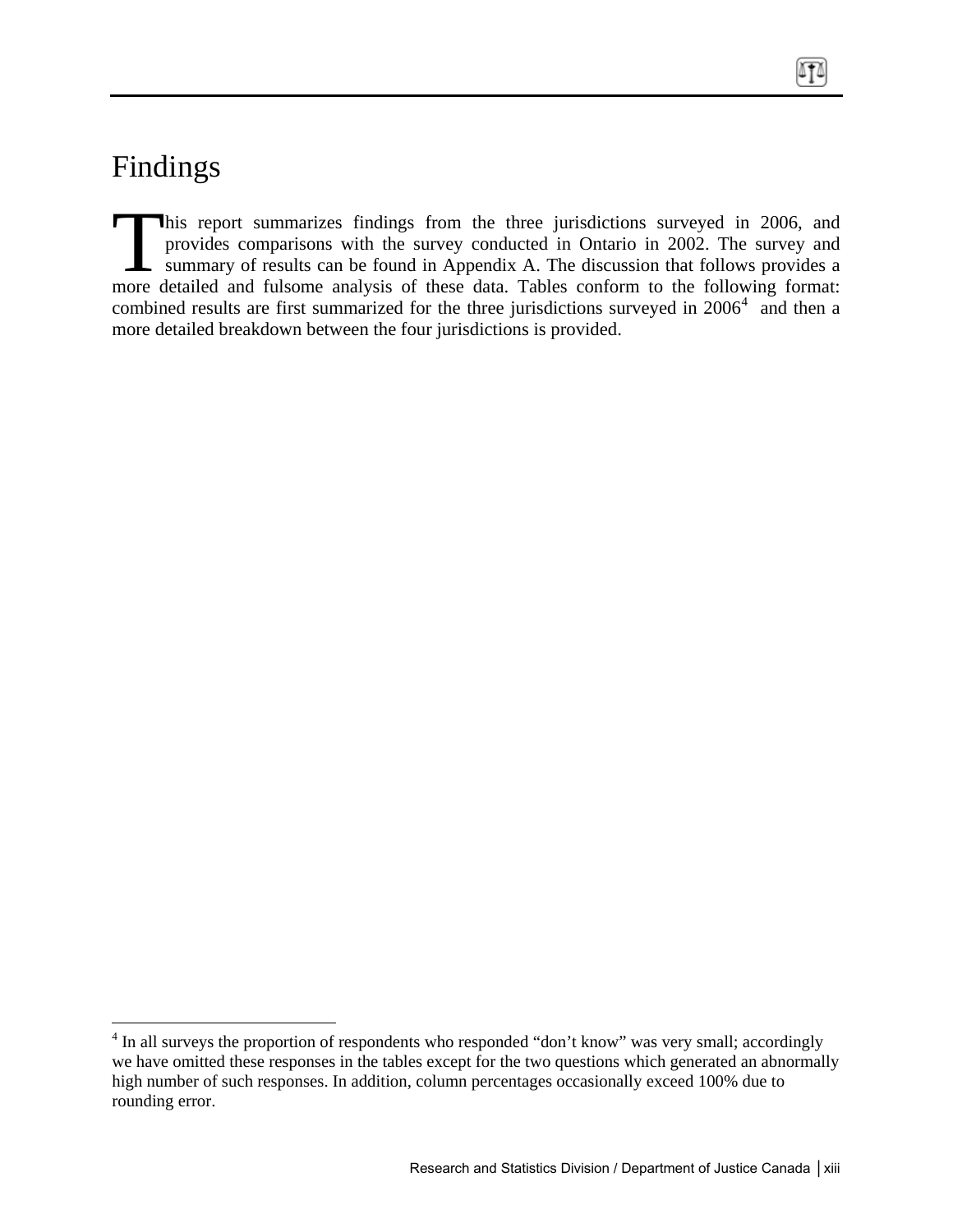## Findings

 $\overline{a}$ 

his report summarizes findings from the three jurisdictions surveyed in 2006, and provides comparisons with the survey conducted in Ontario in 2002. The survey and summary of results can be found in Appendix A. The discussion that follows provides a This report summarizes findings from the three jurisdictions surveyed in 2006, and provides comparisons with the survey conducted in Ontario in 2002. The survey and summary of results can be found in Appendix A. The discus combined results are first summarized for the three jurisdictions surveyed in  $2006<sup>4</sup>$  and then a more detailed breakdown between the four jurisdictions is provided.

<sup>&</sup>lt;sup>4</sup> In all surveys the proportion of respondents who responded "don't know" was very small; accordingly we have omitted these responses in the tables except for the two questions which generated an abnormally high number of such responses. In addition, column percentages occasionally exceed 100% due to rounding error.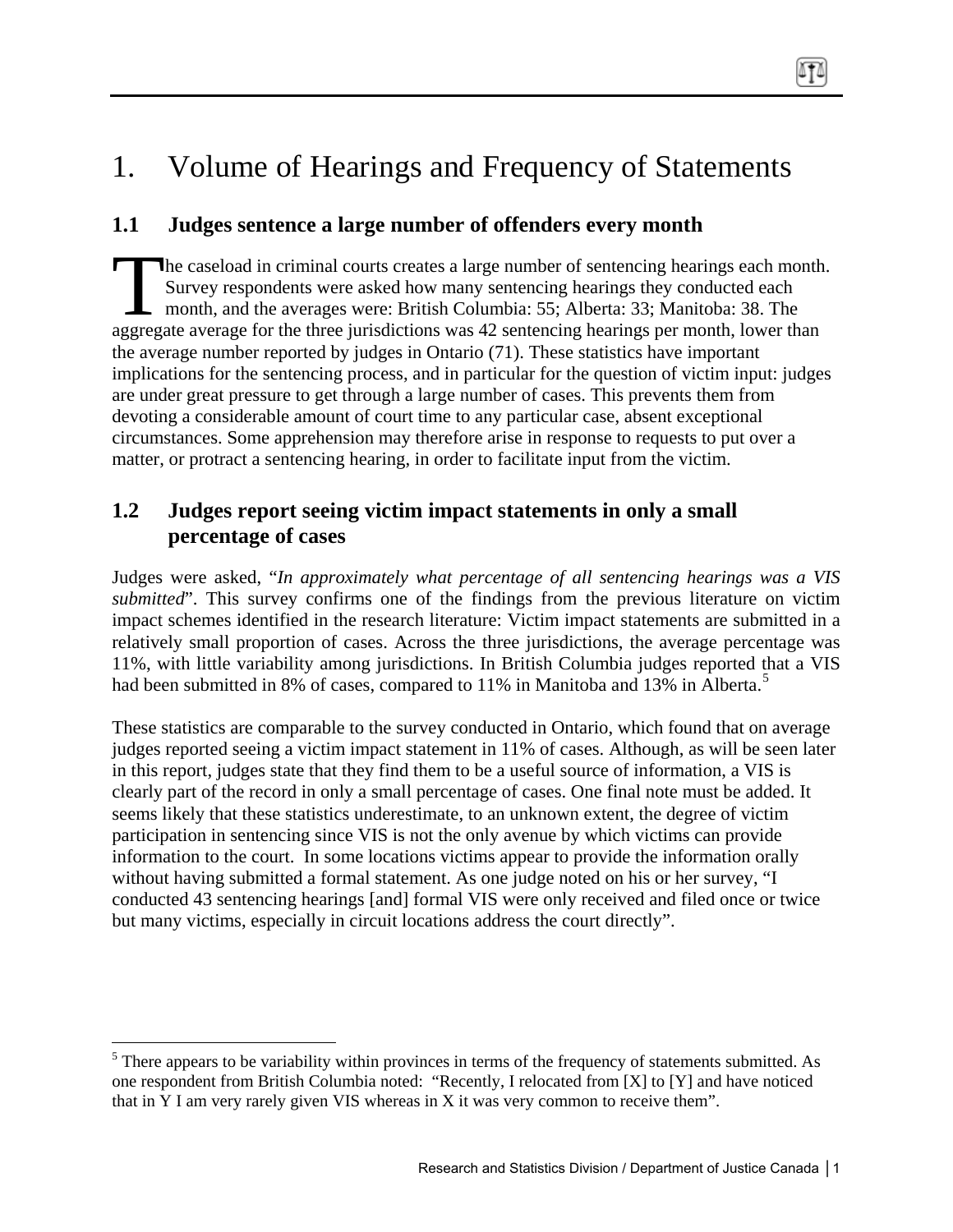## 1. Volume of Hearings and Frequency of Statements

## **1.1 Judges sentence a large number of offenders every month**

he caseload in criminal courts creates a large number of sentencing hearings each month. Survey respondents were asked how many sentencing hearings they conducted each month, and the averages were: British Columbia: 55; Alberta: 33; Manitoba: 38. The The caseload in criminal courts creates a large number of sentencing hearings each month<br>Survey respondents were asked how many sentencing hearings they conducted each<br>month, and the averages were: British Columbia: 55; Al the average number reported by judges in Ontario (71). These statistics have important implications for the sentencing process, and in particular for the question of victim input: judges are under great pressure to get through a large number of cases. This prevents them from devoting a considerable amount of court time to any particular case, absent exceptional circumstances. Some apprehension may therefore arise in response to requests to put over a matter, or protract a sentencing hearing, in order to facilitate input from the victim.

## **1.2 Judges report seeing victim impact statements in only a small percentage of cases**

Judges were asked, "*In approximately what percentage of all sentencing hearings was a VIS submitted*". This survey confirms one of the findings from the previous literature on victim impact schemes identified in the research literature: Victim impact statements are submitted in a relatively small proportion of cases. Across the three jurisdictions, the average percentage was 11%, with little variability among jurisdictions. In British Columbia judges reported that a VIS had been submitted in 8% of cases, compared to 11% in Manitoba and 13% in Alberta.<sup>5</sup>

These statistics are comparable to the survey conducted in Ontario, which found that on average judges reported seeing a victim impact statement in 11% of cases. Although, as will be seen later in this report, judges state that they find them to be a useful source of information, a VIS is clearly part of the record in only a small percentage of cases. One final note must be added. It seems likely that these statistics underestimate, to an unknown extent, the degree of victim participation in sentencing since VIS is not the only avenue by which victims can provide information to the court. In some locations victims appear to provide the information orally without having submitted a formal statement. As one judge noted on his or her survey, "I conducted 43 sentencing hearings [and] formal VIS were only received and filed once or twice but many victims, especially in circuit locations address the court directly".

<sup>&</sup>lt;sup>5</sup>There appears to be variability within provinces in terms of the frequency of statements submitted. As one respondent from British Columbia noted: "Recently, I relocated from [X] to [Y] and have noticed that in Y I am very rarely given VIS whereas in X it was very common to receive them".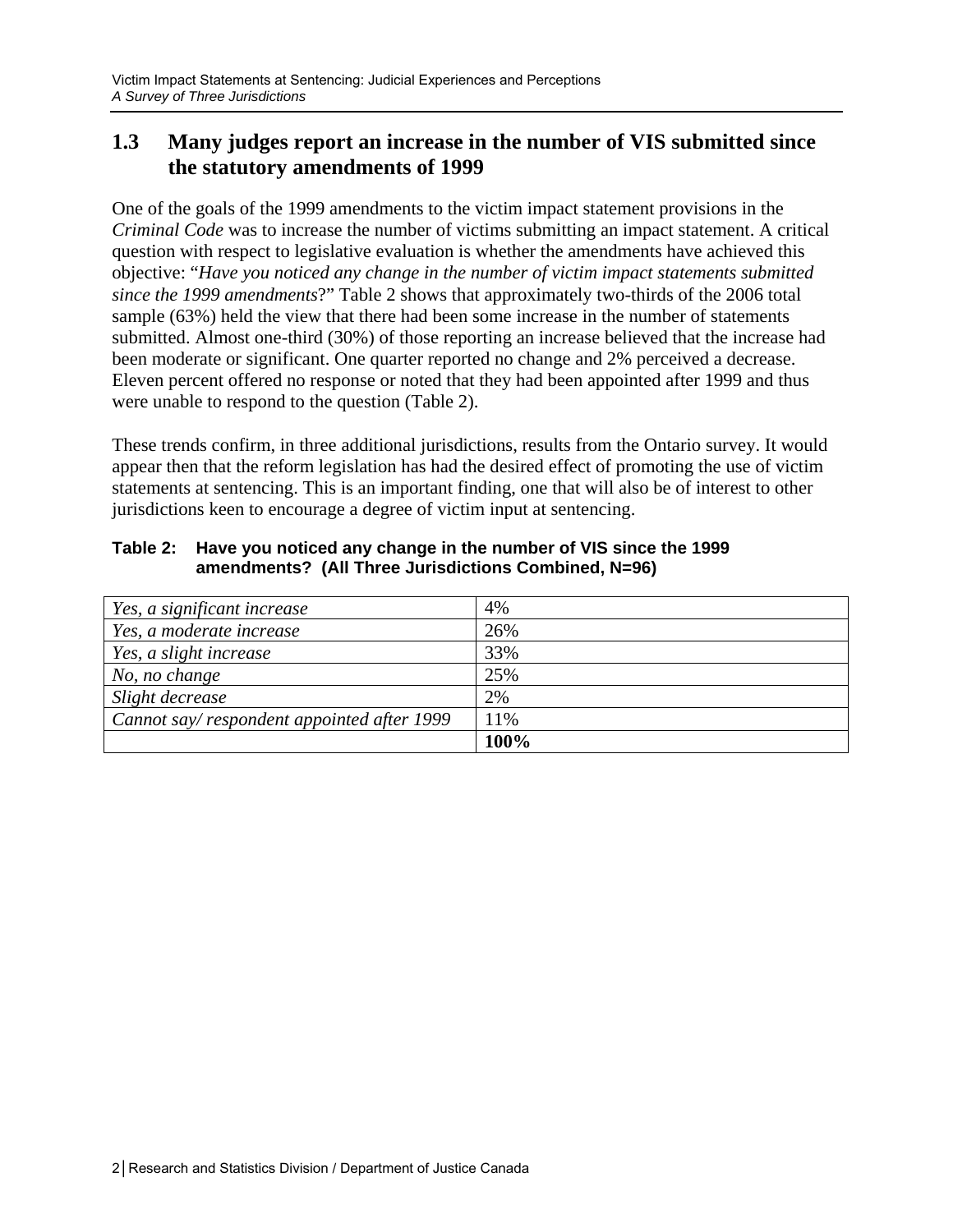## **1.3 Many judges report an increase in the number of VIS submitted since the statutory amendments of 1999**

One of the goals of the 1999 amendments to the victim impact statement provisions in the *Criminal Code* was to increase the number of victims submitting an impact statement. A critical question with respect to legislative evaluation is whether the amendments have achieved this objective: "*Have you noticed any change in the number of victim impact statements submitted since the 1999 amendments*?" Table 2 shows that approximately two-thirds of the 2006 total sample (63%) held the view that there had been some increase in the number of statements submitted. Almost one-third (30%) of those reporting an increase believed that the increase had been moderate or significant. One quarter reported no change and 2% perceived a decrease. Eleven percent offered no response or noted that they had been appointed after 1999 and thus were unable to respond to the question (Table 2).

These trends confirm, in three additional jurisdictions, results from the Ontario survey. It would appear then that the reform legislation has had the desired effect of promoting the use of victim statements at sentencing. This is an important finding, one that will also be of interest to other jurisdictions keen to encourage a degree of victim input at sentencing.

#### **Table 2: Have you noticed any change in the number of VIS since the 1999 amendments? (All Three Jurisdictions Combined, N=96)**

| Yes, a significant increase                | 4%   |
|--------------------------------------------|------|
| Yes, a moderate increase                   | 26%  |
| Yes, a slight increase                     | 33%  |
| No, no change                              | 25%  |
| Slight decrease                            | 2%   |
| Cannot say/respondent appointed after 1999 | 11%  |
|                                            | 100% |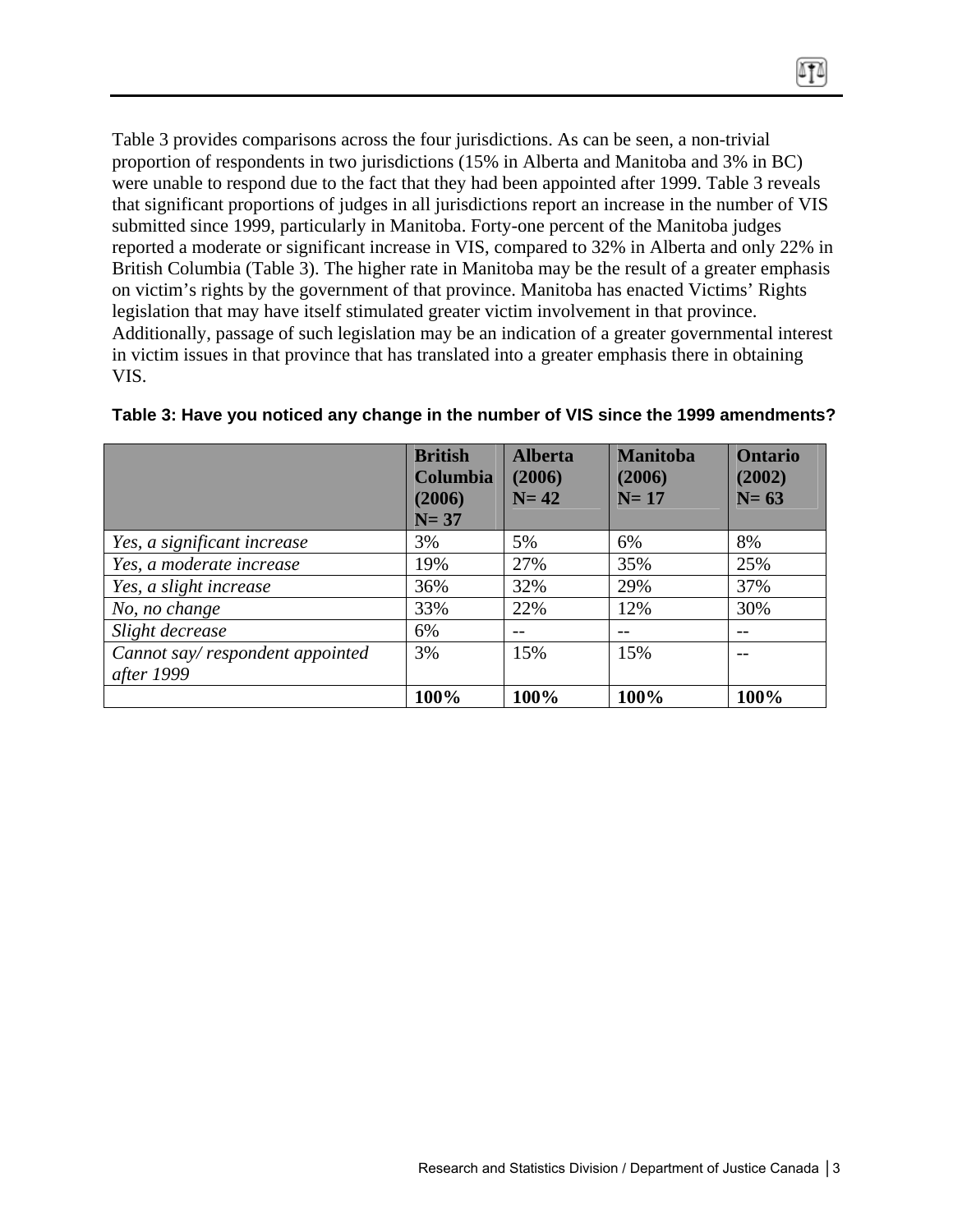Table 3 provides comparisons across the four jurisdictions. As can be seen, a non-trivial proportion of respondents in two jurisdictions (15% in Alberta and Manitoba and 3% in BC) were unable to respond due to the fact that they had been appointed after 1999. Table 3 reveals that significant proportions of judges in all jurisdictions report an increase in the number of VIS submitted since 1999, particularly in Manitoba. Forty-one percent of the Manitoba judges reported a moderate or significant increase in VIS, compared to 32% in Alberta and only 22% in British Columbia (Table 3). The higher rate in Manitoba may be the result of a greater emphasis on victim's rights by the government of that province. Manitoba has enacted Victims' Rights legislation that may have itself stimulated greater victim involvement in that province. Additionally, passage of such legislation may be an indication of a greater governmental interest in victim issues in that province that has translated into a greater emphasis there in obtaining VIS.

|                                 | <b>British</b><br>Columbia<br>(2006)<br>$N=37$ | <b>Alberta</b><br>(2006)<br>$N=42$ | <b>Manitoba</b><br>(2006)<br>$N=17$ | <b>Ontario</b><br>(2002)<br>$N=63$ |
|---------------------------------|------------------------------------------------|------------------------------------|-------------------------------------|------------------------------------|
| Yes, a significant increase     | 3%                                             | 5%                                 | 6%                                  | 8%                                 |
| Yes, a moderate increase        | 19%                                            | 27%                                | 35%                                 | 25%                                |
| Yes, a slight increase          | 36%                                            | 32%                                | 29%                                 | 37%                                |
| No, no change                   | 33%                                            | 22%                                | 12%                                 | 30%                                |
| Slight decrease                 | 6%                                             |                                    |                                     | --                                 |
| Cannot say/respondent appointed | 3%                                             | 15%                                | 15%                                 |                                    |
| after 1999                      |                                                |                                    |                                     |                                    |
|                                 | 100%                                           | 100%                               | 100%                                | 100%                               |

**Table 3: Have you noticed any change in the number of VIS since the 1999 amendments?**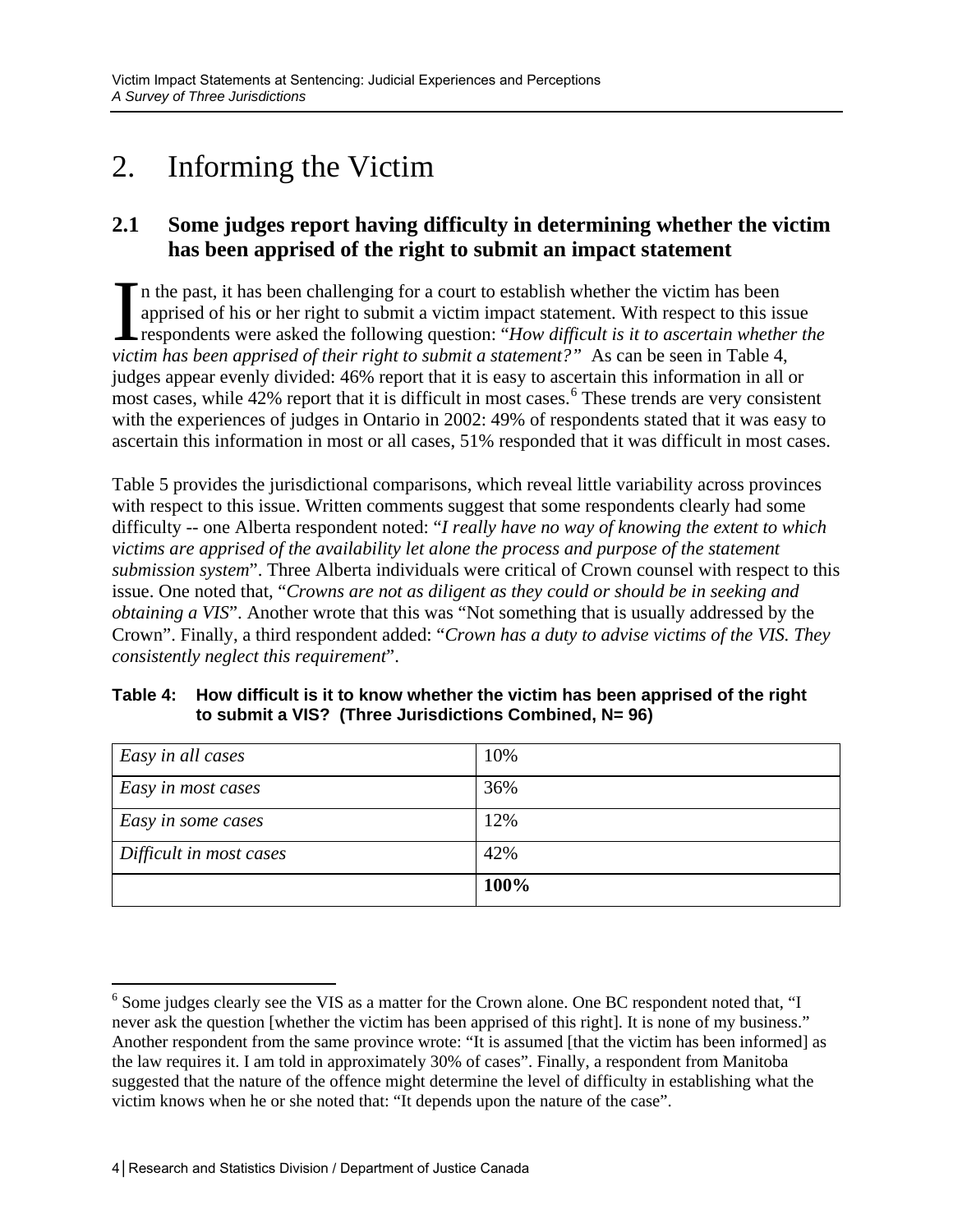## 2. Informing the Victim

## **2.1 Some judges report having difficulty in determining whether the victim has been apprised of the right to submit an impact statement**

In the past, it has been challenging for a court to establish whether the victim has been apprised of his or her right to submit a victim impact statement. With respect to this issue respondents were asked the following question: "*How difficult is it to ascertain whether the victim has been apprised of their right to submit a statement?"* As can be seen in Table 4, judges appear evenly divided: 46% report that it is easy to ascertain this information in all or  $\frac{1}{2}$  most cases, while 42% report that it is difficult in most cases.<sup>6</sup> These trends are very consistent with the experiences of judges in Ontario in 2002: 49% of respondents stated that it was easy to ascertain this information in most or all cases, 51% responded that it was difficult in most cases. In the approximation

Table 5 provides the jurisdictional comparisons, which reveal little variability across provinces with respect to this issue. Written comments suggest that some respondents clearly had some difficulty -- one Alberta respondent noted: "*I really have no way of knowing the extent to which victims are apprised of the availability let alone the process and purpose of the statement submission system*". Three Alberta individuals were critical of Crown counsel with respect to this issue. One noted that, "*Crowns are not as diligent as they could or should be in seeking and obtaining a VIS*". Another wrote that this was "Not something that is usually addressed by the Crown". Finally, a third respondent added: "*Crown has a duty to advise victims of the VIS. They consistently neglect this requirement*".

| Easy in all cases       | 10%  |
|-------------------------|------|
| Easy in most cases      | 36%  |
| Easy in some cases      | 12%  |
| Difficult in most cases | 42%  |
|                         | 100% |

### **Table 4: How difficult is it to know whether the victim has been apprised of the right to submit a VIS? (Three Jurisdictions Combined, N= 96)**

 $\overline{a}$ <sup>6</sup> Some judges clearly see the VIS as a matter for the Crown alone. One BC respondent noted that, "I never ask the question [whether the victim has been apprised of this right]. It is none of my business." Another respondent from the same province wrote: "It is assumed [that the victim has been informed] as the law requires it. I am told in approximately 30% of cases". Finally, a respondent from Manitoba suggested that the nature of the offence might determine the level of difficulty in establishing what the victim knows when he or she noted that: "It depends upon the nature of the case".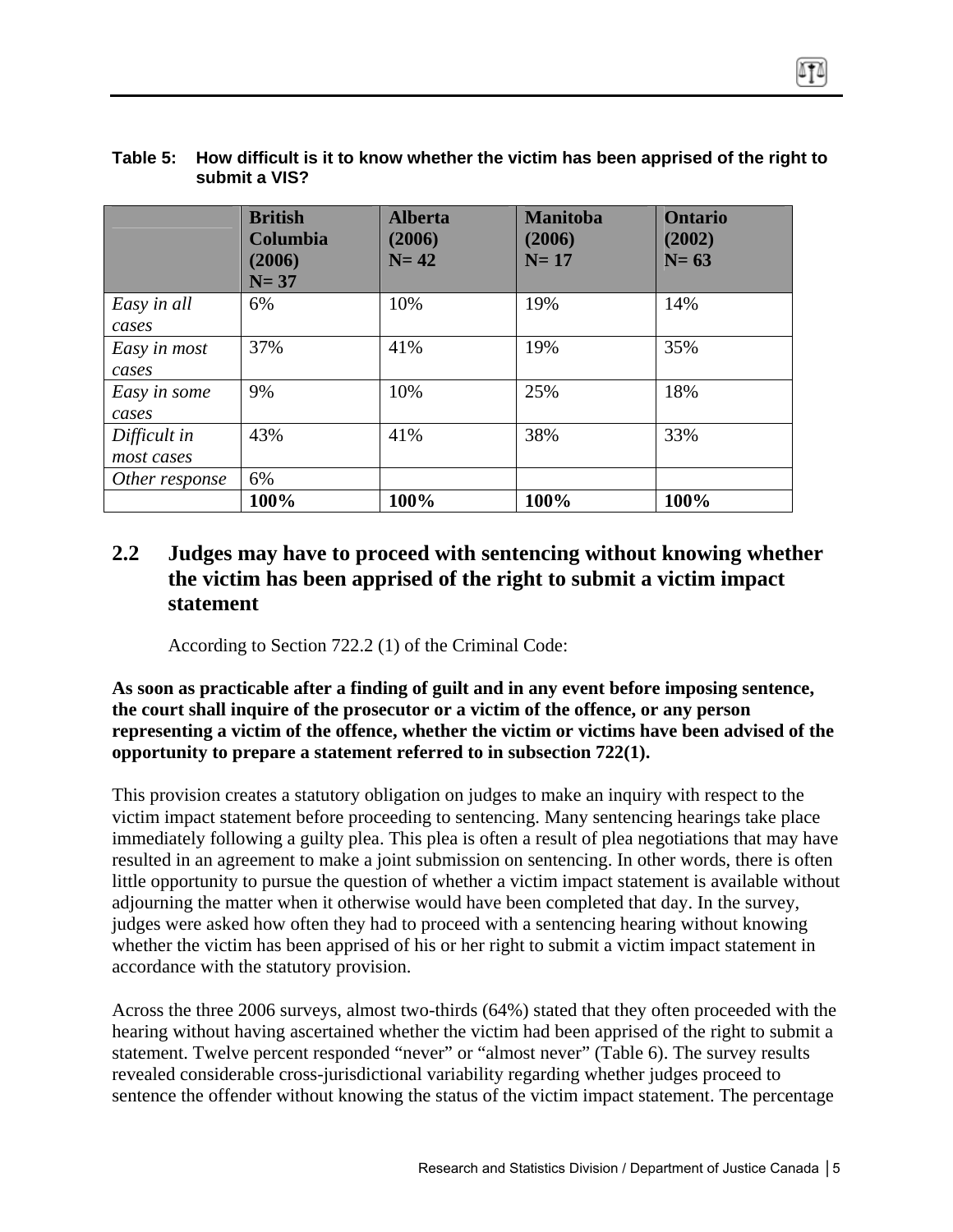|                                | <b>British</b><br>Columbia<br>(2006)<br>$N = 37$ | <b>Alberta</b><br>(2006)<br>$N=42$ | <b>Manitoba</b><br>(2006)<br>$N=17$ | <b>Ontario</b><br>(2002)<br>$N=63$ |
|--------------------------------|--------------------------------------------------|------------------------------------|-------------------------------------|------------------------------------|
| Easy in all                    | 6%                                               | 10%                                | 19%                                 | 14%                                |
| cases<br>Easy in most          | 37%                                              | 41%                                | 19%                                 | 35%                                |
| cases<br>Easy in some<br>cases | 9%                                               | 10%                                | 25%                                 | 18%                                |
| Difficult in<br>most cases     | 43%                                              | 41%                                | 38%                                 | 33%                                |
| Other response                 | 6%                                               |                                    |                                     |                                    |
|                                | 100%                                             | 100%                               | 100%                                | 100%                               |

### **Table 5: How difficult is it to know whether the victim has been apprised of the right to submit a VIS?**

## **2.2 Judges may have to proceed with sentencing without knowing whether the victim has been apprised of the right to submit a victim impact statement**

According to Section 722.2 (1) of the Criminal Code:

**As soon as practicable after a finding of guilt and in any event before imposing sentence, the court shall inquire of the prosecutor or a victim of the offence, or any person representing a victim of the offence, whether the victim or victims have been advised of the opportunity to prepare a statement referred to in subsection 722(1).**

This provision creates a statutory obligation on judges to make an inquiry with respect to the victim impact statement before proceeding to sentencing. Many sentencing hearings take place immediately following a guilty plea. This plea is often a result of plea negotiations that may have resulted in an agreement to make a joint submission on sentencing. In other words, there is often little opportunity to pursue the question of whether a victim impact statement is available without adjourning the matter when it otherwise would have been completed that day. In the survey, judges were asked how often they had to proceed with a sentencing hearing without knowing whether the victim has been apprised of his or her right to submit a victim impact statement in accordance with the statutory provision.

Across the three 2006 surveys, almost two-thirds (64%) stated that they often proceeded with the hearing without having ascertained whether the victim had been apprised of the right to submit a statement. Twelve percent responded "never" or "almost never" (Table 6). The survey results revealed considerable cross-jurisdictional variability regarding whether judges proceed to sentence the offender without knowing the status of the victim impact statement. The percentage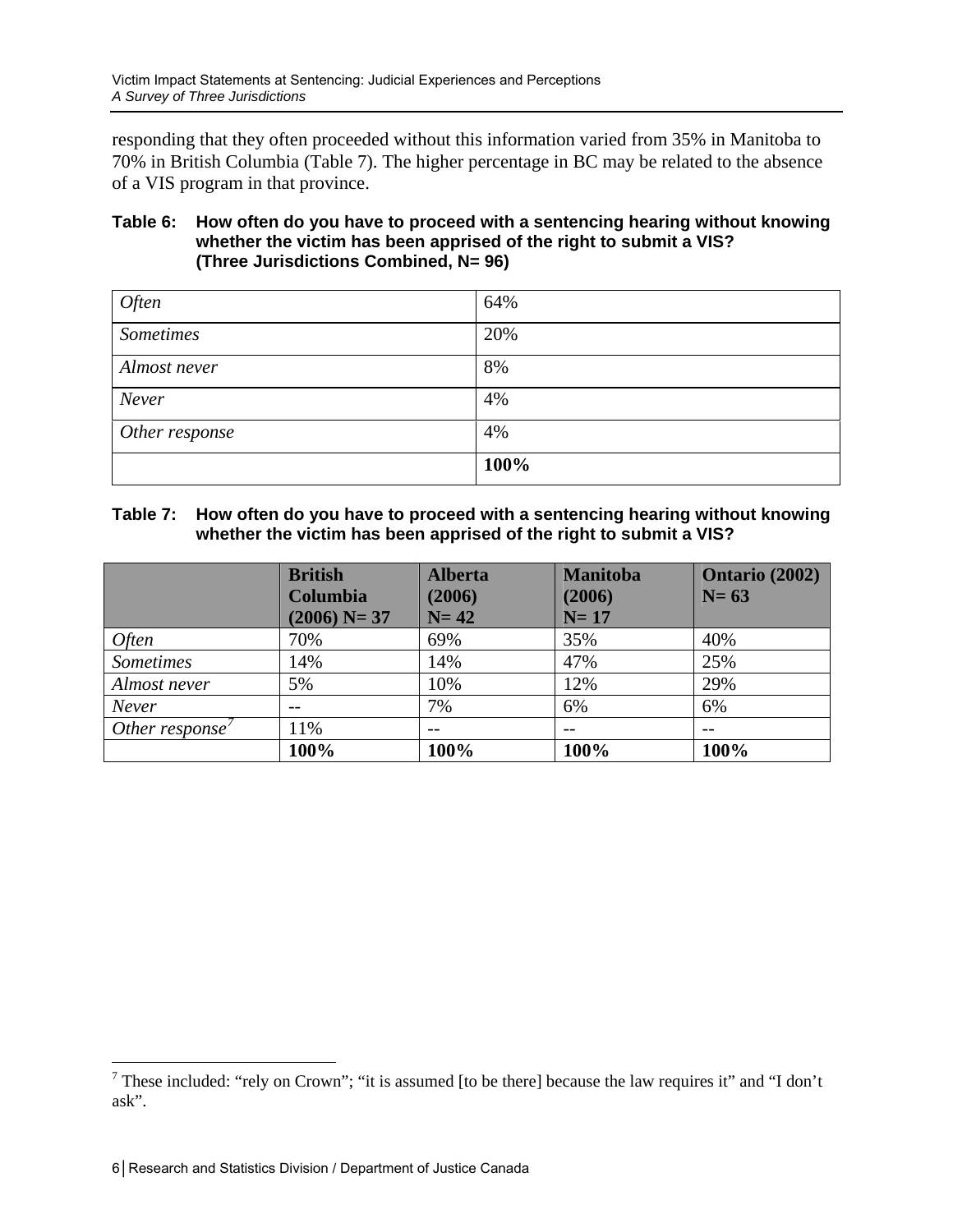responding that they often proceeded without this information varied from 35% in Manitoba to 70% in British Columbia (Table 7). The higher percentage in BC may be related to the absence of a VIS program in that province.

#### **Table 6: How often do you have to proceed with a sentencing hearing without knowing whether the victim has been apprised of the right to submit a VIS? (Three Jurisdictions Combined, N= 96)**

|                  | 100% |
|------------------|------|
| Other response   | 4%   |
| Never            | 4%   |
| Almost never     | 8%   |
| <b>Sometimes</b> | 20%  |
| Often            | 64%  |

#### **Table 7: How often do you have to proceed with a sentencing hearing without knowing whether the victim has been apprised of the right to submit a VIS?**

|                     | <b>British</b><br>Columbia<br>$(2006)$ N= 37 | <b>Alberta</b><br>(2006)<br>$N=42$ | <b>Manitoba</b><br>(2006)<br>$N=17$ | Ontario (2002)<br>$N=63$ |
|---------------------|----------------------------------------------|------------------------------------|-------------------------------------|--------------------------|
| <i><b>Often</b></i> | 70%                                          | 69%                                | 35%                                 | 40%                      |
| <b>Sometimes</b>    | 14%                                          | 14%                                | 47%                                 | 25%                      |
| Almost never        | 5%                                           | 10%                                | 12%                                 | 29%                      |
| Never               |                                              | 7%                                 | 6%                                  | 6%                       |
| Other response'     | 11%                                          |                                    |                                     | $- -$                    |
|                     | 100%                                         | 100%                               | 100%                                | 100%                     |

<sup>&</sup>lt;sup>7</sup> These included: "rely on Crown"; "it is assumed [to be there] because the law requires it" and "I don't ask".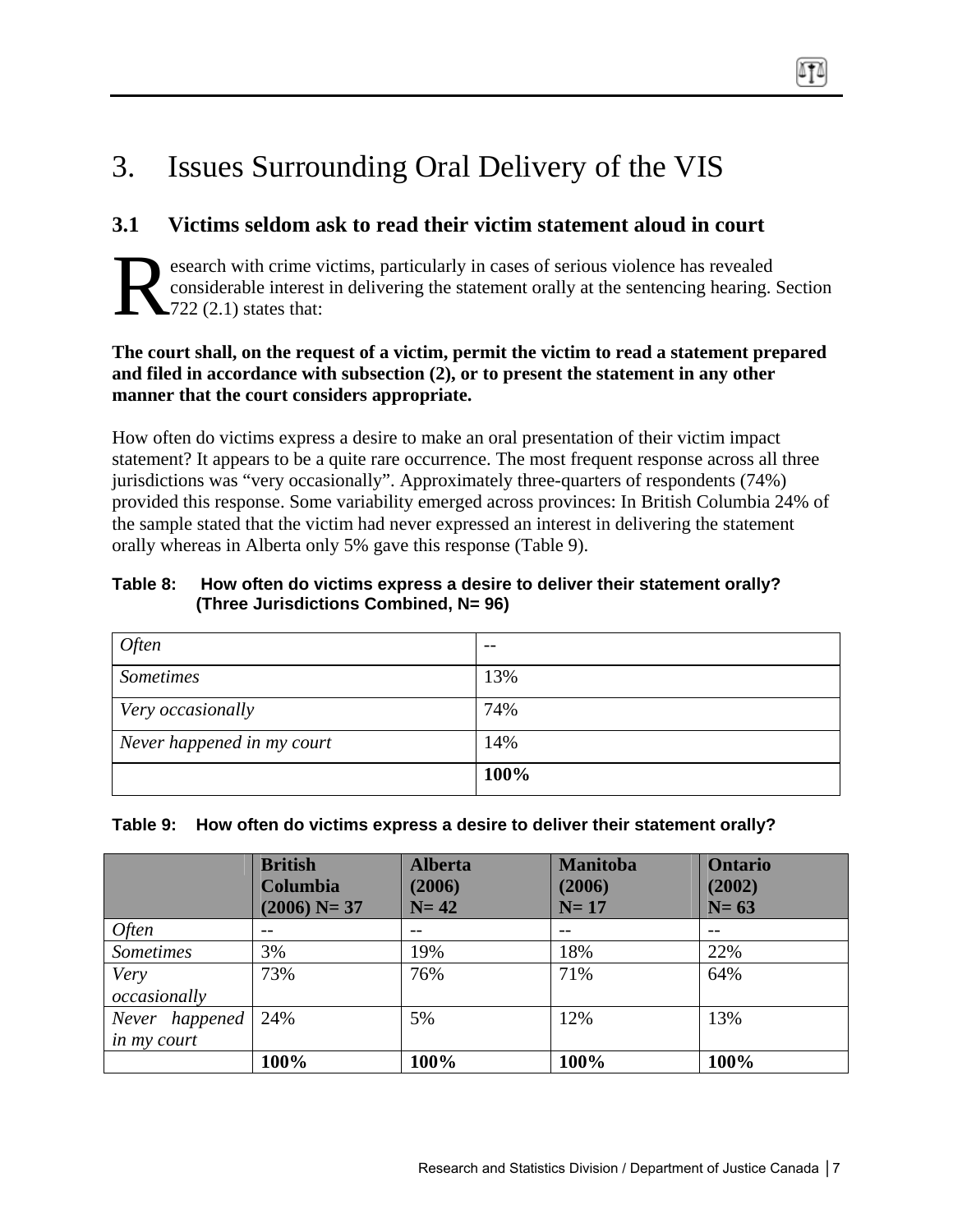## 3. Issues Surrounding Oral Delivery of the VIS

## **3.1 Victims seldom ask to read their victim statement aloud in court**

esearch with crime victims, particularly in cases of serious violence has revealed considerable interest in delivering the statement orally at the sentencing hearing. Section  $\textcolor{red}{\mathcal{L}}$  722 (2.1) states that: R

### **The court shall, on the request of a victim, permit the victim to read a statement prepared and filed in accordance with subsection (2), or to present the statement in any other manner that the court considers appropriate.**

How often do victims express a desire to make an oral presentation of their victim impact statement? It appears to be a quite rare occurrence. The most frequent response across all three jurisdictions was "very occasionally". Approximately three-quarters of respondents (74%) provided this response. Some variability emerged across provinces: In British Columbia 24% of the sample stated that the victim had never expressed an interest in delivering the statement orally whereas in Alberta only 5% gave this response (Table 9).

#### **Table 8: How often do victims express a desire to deliver their statement orally? (Three Jurisdictions Combined, N= 96)**

| <i>Often</i>               | $- -$ |
|----------------------------|-------|
| <b>Sometimes</b>           | 13%   |
| Very occasionally          | 74%   |
| Never happened in my court | 14%   |
|                            | 100%  |

#### **Table 9: How often do victims express a desire to deliver their statement orally?**

|                     | <b>British</b><br>Columbia<br>$(2006)$ N= 37 | <b>Alberta</b><br>(2006)<br>$N=42$ | <b>Manitoba</b><br>(2006)<br>$N=17$ | <b>Ontario</b><br>(2002)<br>$N=63$ |
|---------------------|----------------------------------------------|------------------------------------|-------------------------------------|------------------------------------|
| <i><b>Often</b></i> | $- -$                                        | --                                 | $- -$                               | $- -$                              |
| <b>Sometimes</b>    | 3%                                           | 19%                                | 18%                                 | 22%                                |
| Very                | 73%                                          | 76%                                | 71%                                 | 64%                                |
| occasionally        |                                              |                                    |                                     |                                    |
| $Never$ happened    | 24%                                          | 5%                                 | 12%                                 | 13%                                |
| in my court         |                                              |                                    |                                     |                                    |
|                     | 100%                                         | 100%                               | 100%                                | 100%                               |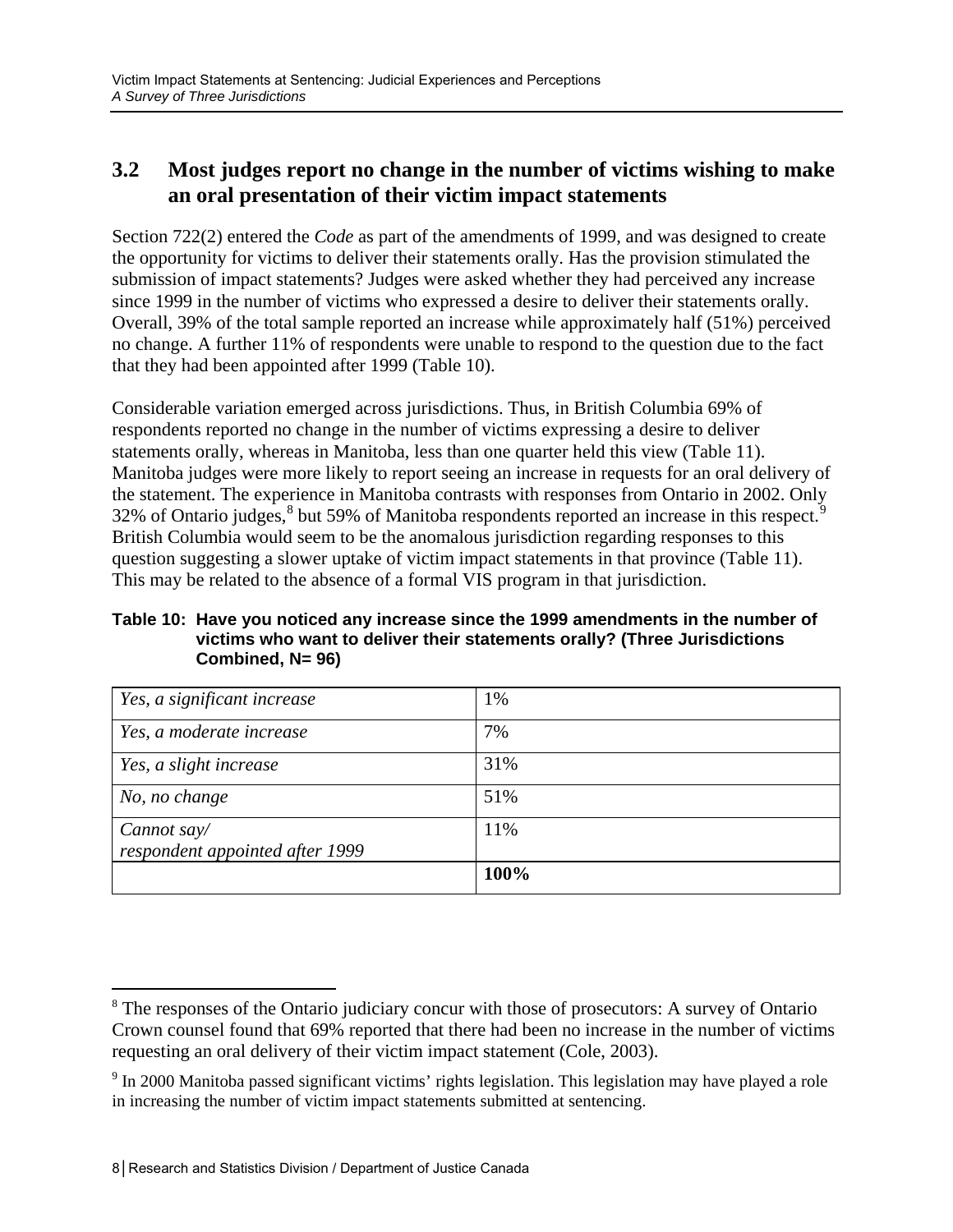## **3.2 Most judges report no change in the number of victims wishing to make an oral presentation of their victim impact statements**

Section 722(2) entered the *Code* as part of the amendments of 1999, and was designed to create the opportunity for victims to deliver their statements orally. Has the provision stimulated the submission of impact statements? Judges were asked whether they had perceived any increase since 1999 in the number of victims who expressed a desire to deliver their statements orally. Overall, 39% of the total sample reported an increase while approximately half (51%) perceived no change. A further 11% of respondents were unable to respond to the question due to the fact that they had been appointed after 1999 (Table 10).

Considerable variation emerged across jurisdictions. Thus, in British Columbia 69% of respondents reported no change in the number of victims expressing a desire to deliver statements orally, whereas in Manitoba, less than one quarter held this view (Table 11). Manitoba judges were more likely to report seeing an increase in requests for an oral delivery of the statement. The experience in Manitoba contrasts with responses from Ontario in 2002. Only 32% of Ontario judges,  $8$  but 59% of Manitoba respondents reported an increase in this respect. British Columbia would seem to be the anomalous jurisdiction regarding responses to this question suggesting a slower uptake of victim impact statements in that province (Table 11). This may be related to the absence of a formal VIS program in that jurisdiction.

#### **Table 10: Have you noticed any increase since the 1999 amendments in the number of victims who want to deliver their statements orally? (Three Jurisdictions Combined, N= 96)**

|                                                | 100% |
|------------------------------------------------|------|
| Cannot say/<br>respondent appointed after 1999 | 11%  |
| No, no change                                  | 51%  |
| Yes, a slight increase                         | 31%  |
| Yes, a moderate increase                       | 7%   |
| Yes, a significant increase                    | 1%   |

 $\overline{a}$ 

<sup>&</sup>lt;sup>8</sup> The responses of the Ontario judiciary concur with those of prosecutors: A survey of Ontario Crown counsel found that 69% reported that there had been no increase in the number of victims requesting an oral delivery of their victim impact statement (Cole, 2003).

<sup>&</sup>lt;sup>9</sup> In 2000 Manitoba passed significant victims' rights legislation. This legislation may have played a role in increasing the number of victim impact statements submitted at sentencing.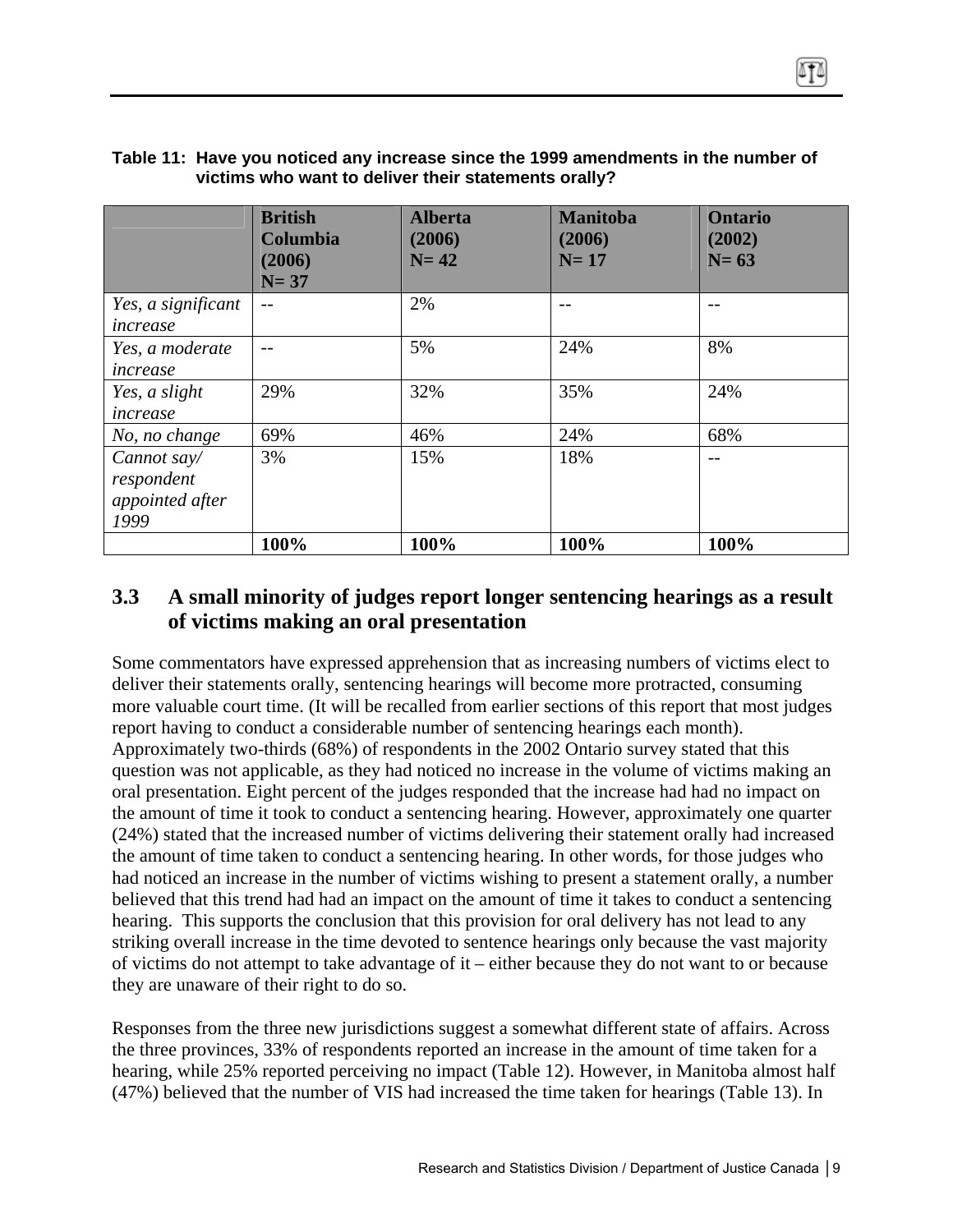| Table 11: Have you noticed any increase since the 1999 amendments in the number of |  |
|------------------------------------------------------------------------------------|--|
| victims who want to deliver their statements orally?                               |  |

|                                                      | <b>British</b><br>Columbia<br>(2006)<br>$N=37$ | <b>Alberta</b><br>(2006)<br>$N=42$ | <b>Manitoba</b><br>(2006)<br>$N=17$ | <b>Ontario</b><br>(2002)<br>$N=63$ |
|------------------------------------------------------|------------------------------------------------|------------------------------------|-------------------------------------|------------------------------------|
| Yes, a significant<br>increase                       | $-$                                            | 2%                                 | --                                  |                                    |
| Yes, a moderate<br>increase                          | $-$                                            | 5%                                 | 24%                                 | 8%                                 |
| Yes, a slight<br>increase                            | 29%                                            | 32%                                | 35%                                 | 24%                                |
| No, no change                                        | 69%                                            | 46%                                | 24%                                 | 68%                                |
| Cannot say/<br>respondent<br>appointed after<br>1999 | 3%                                             | 15%                                | 18%                                 |                                    |
|                                                      | 100%                                           | 100%                               | 100%                                | 100%                               |

## **3.3 A small minority of judges report longer sentencing hearings as a result of victims making an oral presentation**

Some commentators have expressed apprehension that as increasing numbers of victims elect to deliver their statements orally, sentencing hearings will become more protracted, consuming more valuable court time. (It will be recalled from earlier sections of this report that most judges report having to conduct a considerable number of sentencing hearings each month). Approximately two-thirds (68%) of respondents in the 2002 Ontario survey stated that this question was not applicable, as they had noticed no increase in the volume of victims making an oral presentation. Eight percent of the judges responded that the increase had had no impact on the amount of time it took to conduct a sentencing hearing. However, approximately one quarter (24%) stated that the increased number of victims delivering their statement orally had increased the amount of time taken to conduct a sentencing hearing. In other words, for those judges who had noticed an increase in the number of victims wishing to present a statement orally, a number believed that this trend had had an impact on the amount of time it takes to conduct a sentencing hearing. This supports the conclusion that this provision for oral delivery has not lead to any striking overall increase in the time devoted to sentence hearings only because the vast majority of victims do not attempt to take advantage of it – either because they do not want to or because they are unaware of their right to do so.

Responses from the three new jurisdictions suggest a somewhat different state of affairs. Across the three provinces, 33% of respondents reported an increase in the amount of time taken for a hearing, while 25% reported perceiving no impact (Table 12). However, in Manitoba almost half (47%) believed that the number of VIS had increased the time taken for hearings (Table 13). In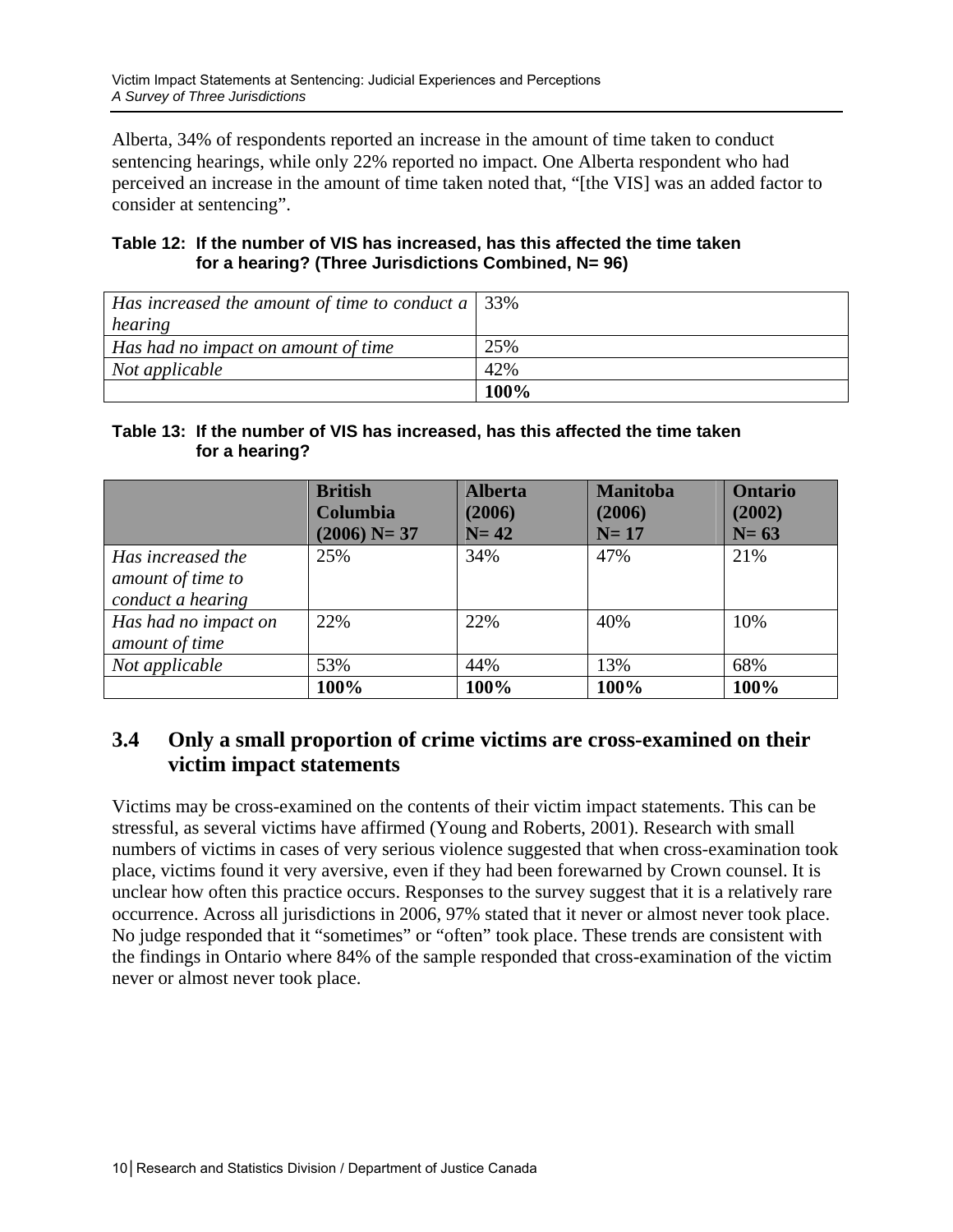Alberta, 34% of respondents reported an increase in the amount of time taken to conduct sentencing hearings, while only 22% reported no impact. One Alberta respondent who had perceived an increase in the amount of time taken noted that, "[the VIS] was an added factor to consider at sentencing".

#### **Table 12: If the number of VIS has increased, has this affected the time taken for a hearing? (Three Jurisdictions Combined, N= 96)**

| Has increased the amount of time to conduct a $\vert$ 33% |         |
|-----------------------------------------------------------|---------|
| hearing                                                   |         |
| Has had no impact on amount of time                       | 25%     |
| Not applicable                                            | 42%     |
|                                                           | $100\%$ |

### **Table 13: If the number of VIS has increased, has this affected the time taken for a hearing?**

|                                                             | <b>British</b><br>Columbia<br>$(2006)$ N= 37 | <b>Alberta</b><br>(2006)<br>$N=42$ | <b>Manitoba</b><br>(2006)<br>$N=17$ | <b>Ontario</b><br>(2002)<br>$N=63$ |
|-------------------------------------------------------------|----------------------------------------------|------------------------------------|-------------------------------------|------------------------------------|
| Has increased the<br>amount of time to<br>conduct a hearing | 25%                                          | 34%                                | 47%                                 | 21%                                |
| Has had no impact on<br>amount of time                      | 22%                                          | 22%                                | 40%                                 | 10%                                |
| Not applicable                                              | 53%                                          | 44%                                | 13%                                 | 68%                                |
|                                                             | 100%                                         | 100%                               | 100%                                | 100%                               |

## **3.4 Only a small proportion of crime victims are cross-examined on their victim impact statements**

Victims may be cross-examined on the contents of their victim impact statements. This can be stressful, as several victims have affirmed (Young and Roberts, 2001). Research with small numbers of victims in cases of very serious violence suggested that when cross-examination took place, victims found it very aversive, even if they had been forewarned by Crown counsel. It is unclear how often this practice occurs. Responses to the survey suggest that it is a relatively rare occurrence. Across all jurisdictions in 2006, 97% stated that it never or almost never took place. No judge responded that it "sometimes" or "often" took place. These trends are consistent with the findings in Ontario where 84% of the sample responded that cross-examination of the victim never or almost never took place.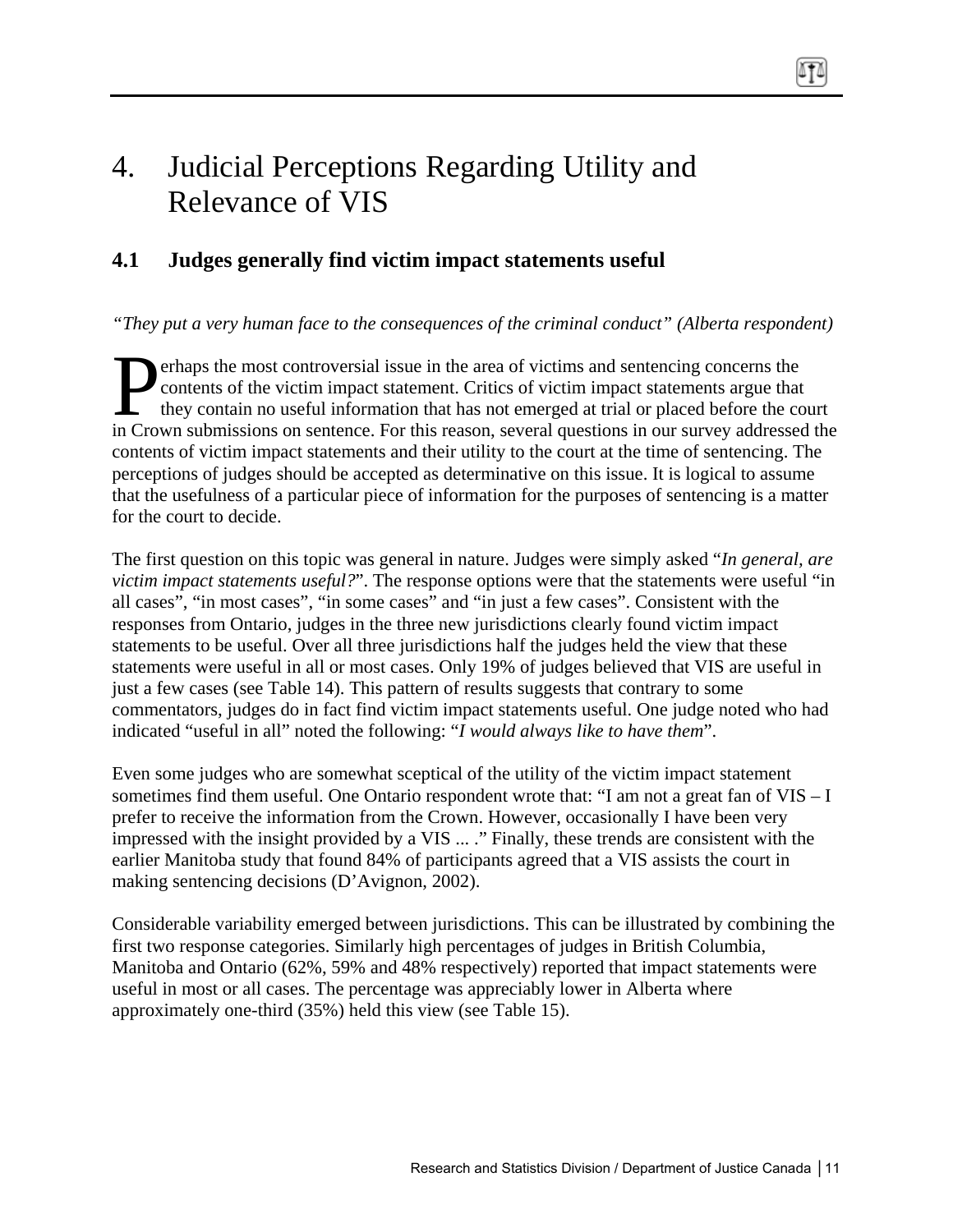## 4. Judicial Perceptions Regarding Utility and Relevance of VIS

## **4.1 Judges generally find victim impact statements useful**

*"They put a very human face to the consequences of the criminal conduct" (Alberta respondent)* 

erhaps the most controversial issue in the area of victims and sentencing concerns the contents of the victim impact statement. Critics of victim impact statements argue that they contain no useful information that has not emerged at trial or placed before the court **Example 18 Server State Server State Server State Server State Server State Servers State Servers State Servers State State State State State State State State State State State State State State State State State State S** contents of victim impact statements and their utility to the court at the time of sentencing. The perceptions of judges should be accepted as determinative on this issue. It is logical to assume that the usefulness of a particular piece of information for the purposes of sentencing is a matter for the court to decide.

The first question on this topic was general in nature. Judges were simply asked "*In general, are victim impact statements useful?*". The response options were that the statements were useful "in all cases", "in most cases", "in some cases" and "in just a few cases". Consistent with the responses from Ontario, judges in the three new jurisdictions clearly found victim impact statements to be useful. Over all three jurisdictions half the judges held the view that these statements were useful in all or most cases. Only 19% of judges believed that VIS are useful in just a few cases (see Table 14). This pattern of results suggests that contrary to some commentators, judges do in fact find victim impact statements useful. One judge noted who had indicated "useful in all" noted the following: "*I would always like to have them*".

Even some judges who are somewhat sceptical of the utility of the victim impact statement sometimes find them useful. One Ontario respondent wrote that: "I am not a great fan of VIS – I prefer to receive the information from the Crown. However, occasionally I have been very impressed with the insight provided by a VIS ... ." Finally, these trends are consistent with the earlier Manitoba study that found 84% of participants agreed that a VIS assists the court in making sentencing decisions (D'Avignon, 2002).

Considerable variability emerged between jurisdictions. This can be illustrated by combining the first two response categories. Similarly high percentages of judges in British Columbia, Manitoba and Ontario (62%, 59% and 48% respectively) reported that impact statements were useful in most or all cases. The percentage was appreciably lower in Alberta where approximately one-third (35%) held this view (see Table 15).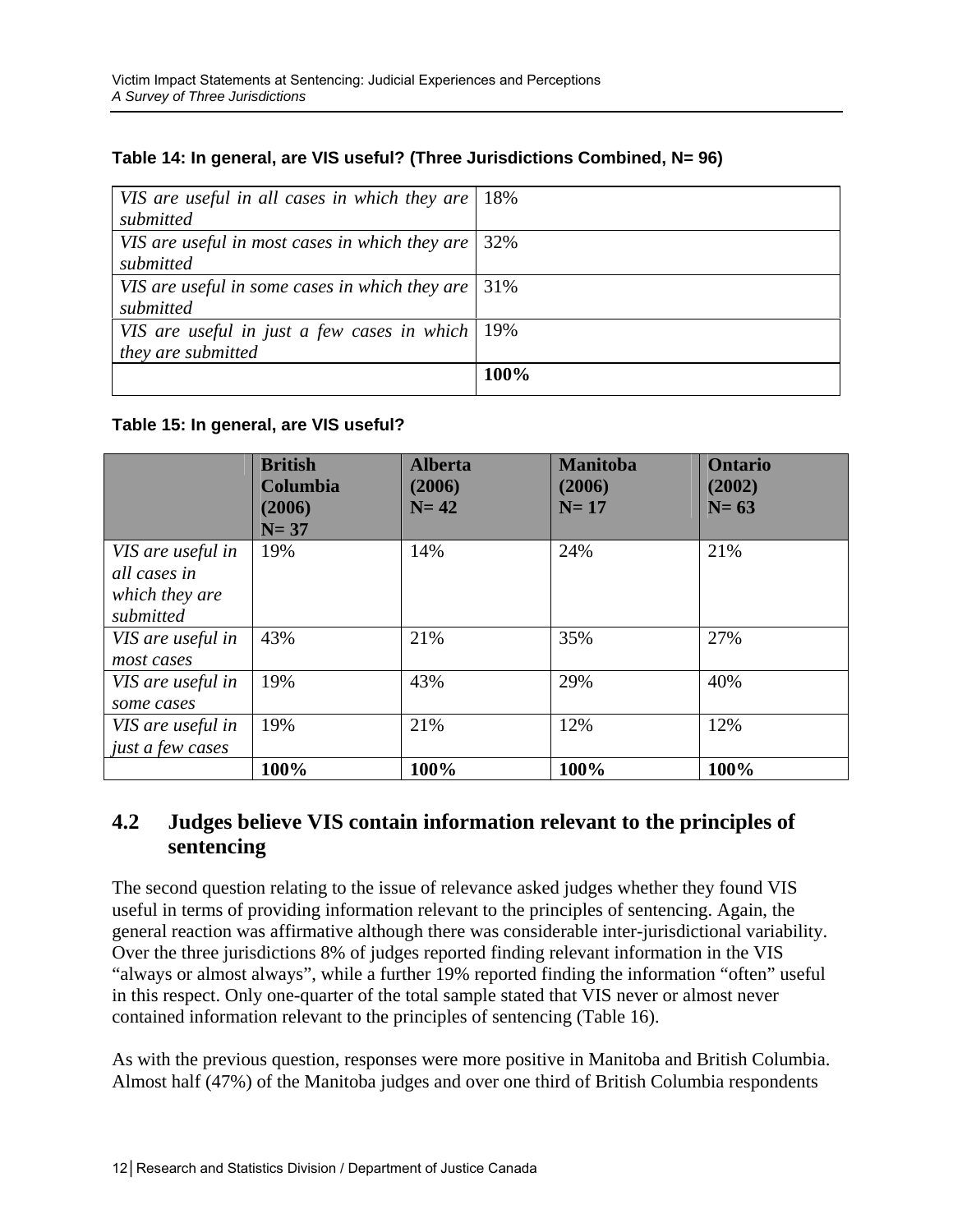### **Table 14: In general, are VIS useful? (Three Jurisdictions Combined, N= 96)**

| VIS are useful in all cases in which they are $ 18\% $<br>submitted     |      |
|-------------------------------------------------------------------------|------|
| VIS are useful in most cases in which they are $ $<br>submitted         | 32%  |
| VIS are useful in some cases in which they are $\vert$ 31%<br>submitted |      |
| VIS are useful in just a few cases in which 19%<br>they are submitted   |      |
|                                                                         | 100% |

#### **Table 15: In general, are VIS useful?**

|                                                                  | <b>British</b><br>Columbia<br>(2006)<br>$N=37$ | <b>Alberta</b><br>(2006)<br>$N=42$ | <b>Manitoba</b><br>(2006)<br>$N=17$ | <b>Ontario</b><br>(2002)<br>$N=63$ |
|------------------------------------------------------------------|------------------------------------------------|------------------------------------|-------------------------------------|------------------------------------|
| VIS are useful in<br>all cases in<br>which they are<br>submitted | 19%                                            | 14%                                | 24%                                 | 21%                                |
| VIS are useful in<br>most cases                                  | 43%                                            | 21%                                | 35%                                 | 27%                                |
| VIS are useful in<br>some cases                                  | 19%                                            | 43%                                | 29%                                 | 40%                                |
| VIS are useful in<br>just a few cases                            | 19%                                            | 21%                                | 12%                                 | 12%                                |
|                                                                  | 100%                                           | 100%                               | 100%                                | 100%                               |

## **4.2 Judges believe VIS contain information relevant to the principles of sentencing**

The second question relating to the issue of relevance asked judges whether they found VIS useful in terms of providing information relevant to the principles of sentencing. Again, the general reaction was affirmative although there was considerable inter-jurisdictional variability. Over the three jurisdictions 8% of judges reported finding relevant information in the VIS "always or almost always", while a further 19% reported finding the information "often" useful in this respect. Only one-quarter of the total sample stated that VIS never or almost never contained information relevant to the principles of sentencing (Table 16).

As with the previous question, responses were more positive in Manitoba and British Columbia. Almost half (47%) of the Manitoba judges and over one third of British Columbia respondents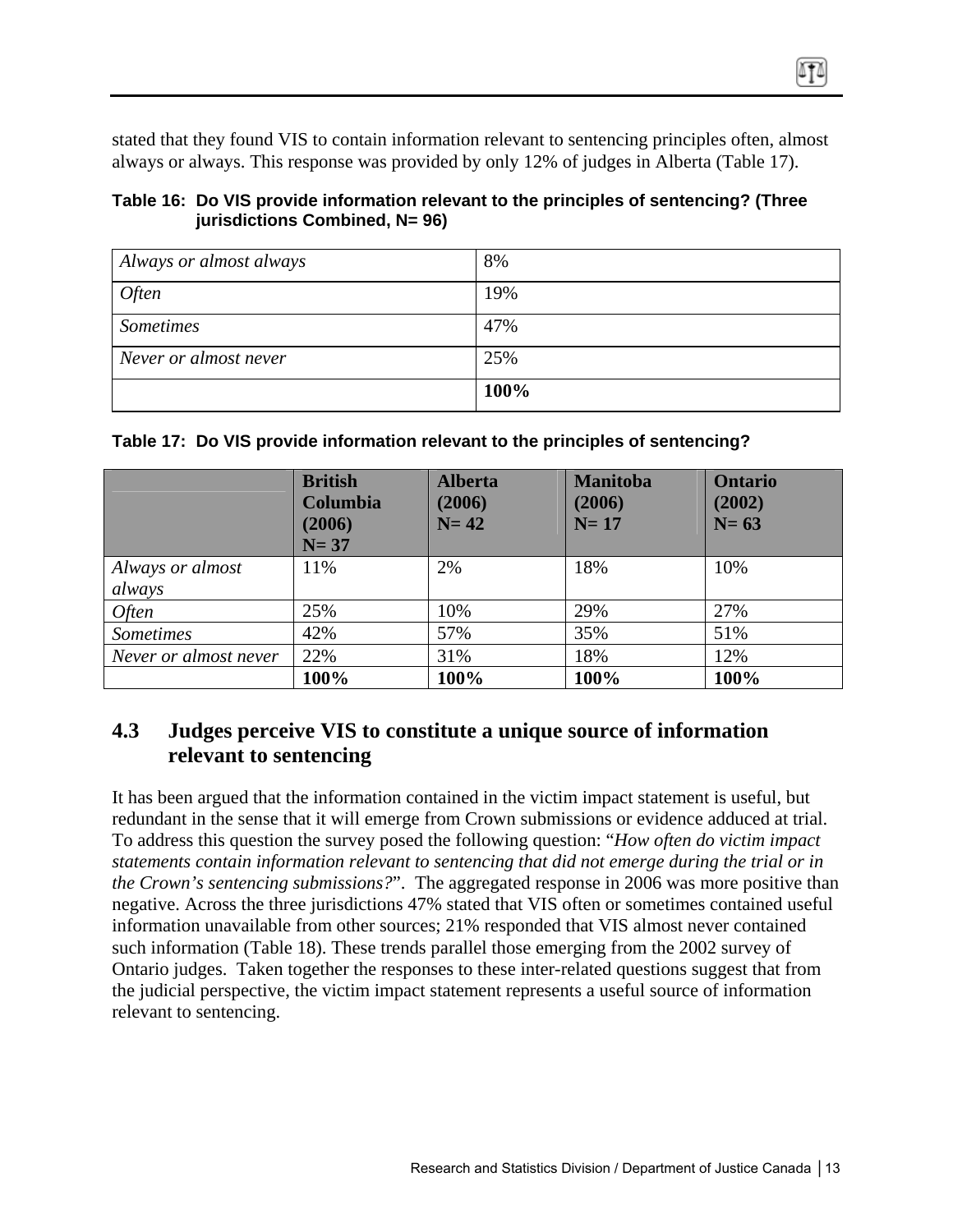stated that they found VIS to contain information relevant to sentencing principles often, almost always or always. This response was provided by only 12% of judges in Alberta (Table 17).

#### **Table 16: Do VIS provide information relevant to the principles of sentencing? (Three jurisdictions Combined, N= 96)**

| Always or almost always | 8%   |
|-------------------------|------|
| Often                   | 19%  |
| <b>Sometimes</b>        | 47%  |
| Never or almost never   | 25%  |
|                         | 100% |

|  |  | Table 17: Do VIS provide information relevant to the principles of sentencing? |  |  |  |
|--|--|--------------------------------------------------------------------------------|--|--|--|
|--|--|--------------------------------------------------------------------------------|--|--|--|

|                            | <b>British</b><br>Columbia<br>(2006)<br>$N=37$ | <b>Alberta</b><br>(2006)<br>$N=42$ | <b>Manitoba</b><br>(2006)<br>$N=17$ | <b>Ontario</b><br>(2002)<br>$N=63$ |
|----------------------------|------------------------------------------------|------------------------------------|-------------------------------------|------------------------------------|
| Always or almost<br>always | 11%                                            | 2%                                 | 18%                                 | 10%                                |
| <i><b>Often</b></i>        | 25%                                            | 10%                                | 29%                                 | 27%                                |
| <b>Sometimes</b>           | 42%                                            | 57%                                | 35%                                 | 51%                                |
| Never or almost never      | 22%                                            | 31%                                | 18%                                 | 12%                                |
|                            | 100%                                           | 100%                               | 100%                                | 100%                               |

## **4.3 Judges perceive VIS to constitute a unique source of information relevant to sentencing**

It has been argued that the information contained in the victim impact statement is useful, but redundant in the sense that it will emerge from Crown submissions or evidence adduced at trial. To address this question the survey posed the following question: "*How often do victim impact statements contain information relevant to sentencing that did not emerge during the trial or in the Crown's sentencing submissions?*". The aggregated response in 2006 was more positive than negative. Across the three jurisdictions 47% stated that VIS often or sometimes contained useful information unavailable from other sources; 21% responded that VIS almost never contained such information (Table 18). These trends parallel those emerging from the 2002 survey of Ontario judges. Taken together the responses to these inter-related questions suggest that from the judicial perspective, the victim impact statement represents a useful source of information relevant to sentencing.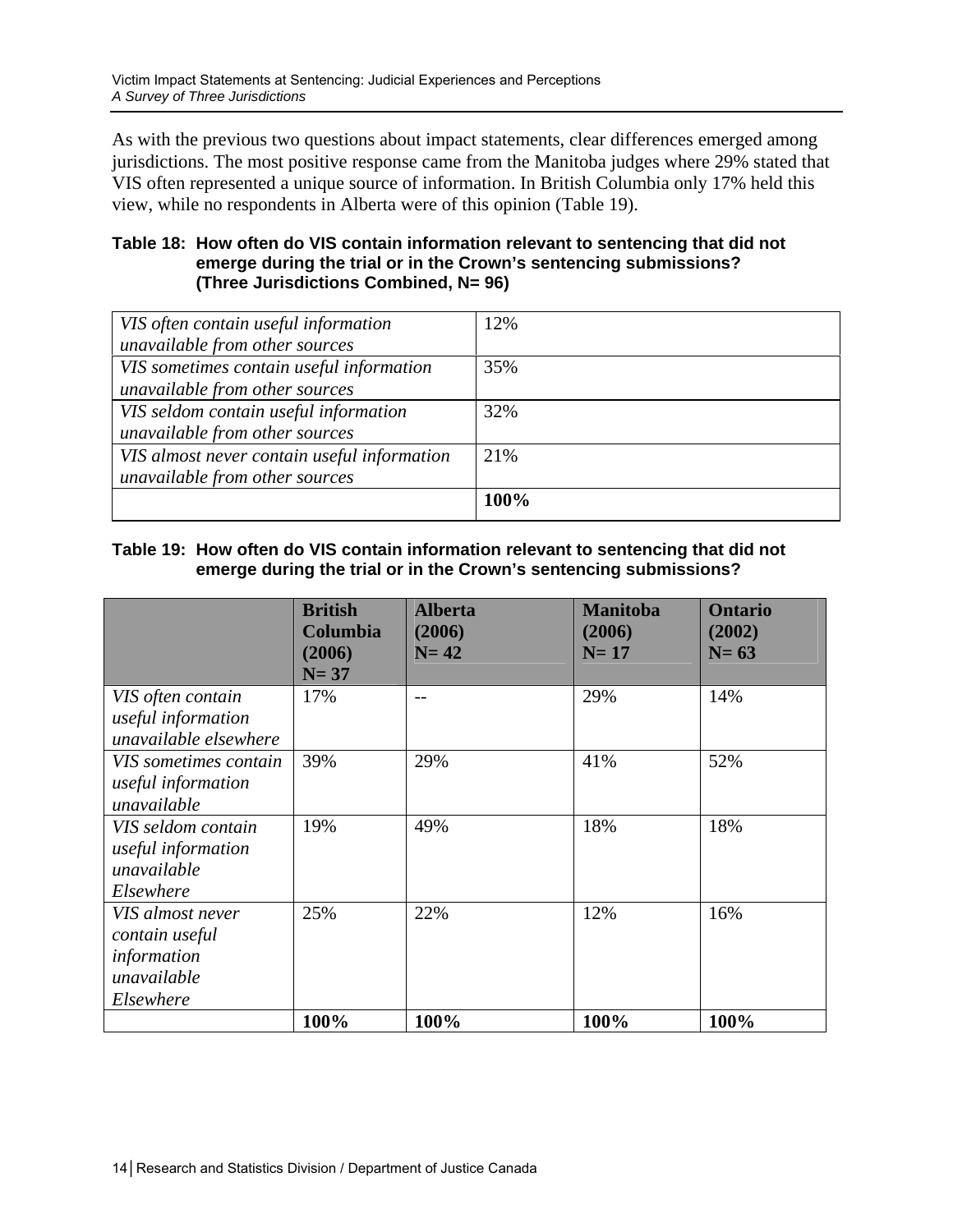As with the previous two questions about impact statements, clear differences emerged among jurisdictions. The most positive response came from the Manitoba judges where 29% stated that VIS often represented a unique source of information. In British Columbia only 17% held this view, while no respondents in Alberta were of this opinion (Table 19).

#### **Table 18: How often do VIS contain information relevant to sentencing that did not emerge during the trial or in the Crown's sentencing submissions? (Three Jurisdictions Combined, N= 96)**

| VIS often contain useful information        | 12%  |
|---------------------------------------------|------|
| unavailable from other sources              |      |
| VIS sometimes contain useful information    | 35%  |
| unavailable from other sources              |      |
| VIS seldom contain useful information       | 32%  |
| unavailable from other sources              |      |
| VIS almost never contain useful information | 21%  |
| unavailable from other sources              |      |
|                                             | 100% |

#### **Table 19: How often do VIS contain information relevant to sentencing that did not emerge during the trial or in the Crown's sentencing submissions?**

|                                                                               | <b>British</b><br>Columbia<br>(2006)<br>$N=37$ | <b>Alberta</b><br>(2006)<br>$N=42$ | <b>Manitoba</b><br>(2006)<br>$N=17$ | <b>Ontario</b><br>(2002)<br>$N=63$ |
|-------------------------------------------------------------------------------|------------------------------------------------|------------------------------------|-------------------------------------|------------------------------------|
| VIS often contain<br>useful information<br>unavailable elsewhere              | 17%                                            |                                    | 29%                                 | 14%                                |
| VIS sometimes contain<br>useful information<br>unavailable                    | 39%                                            | 29%                                | 41%                                 | 52%                                |
| VIS seldom contain<br>useful information<br>unavailable<br>Elsewhere          | 19%                                            | 49%                                | 18%                                 | 18%                                |
| VIS almost never<br>contain useful<br>information<br>unavailable<br>Elsewhere | 25%                                            | 22%                                | 12%                                 | 16%                                |
|                                                                               | 100%                                           | 100%                               | 100%                                | 100%                               |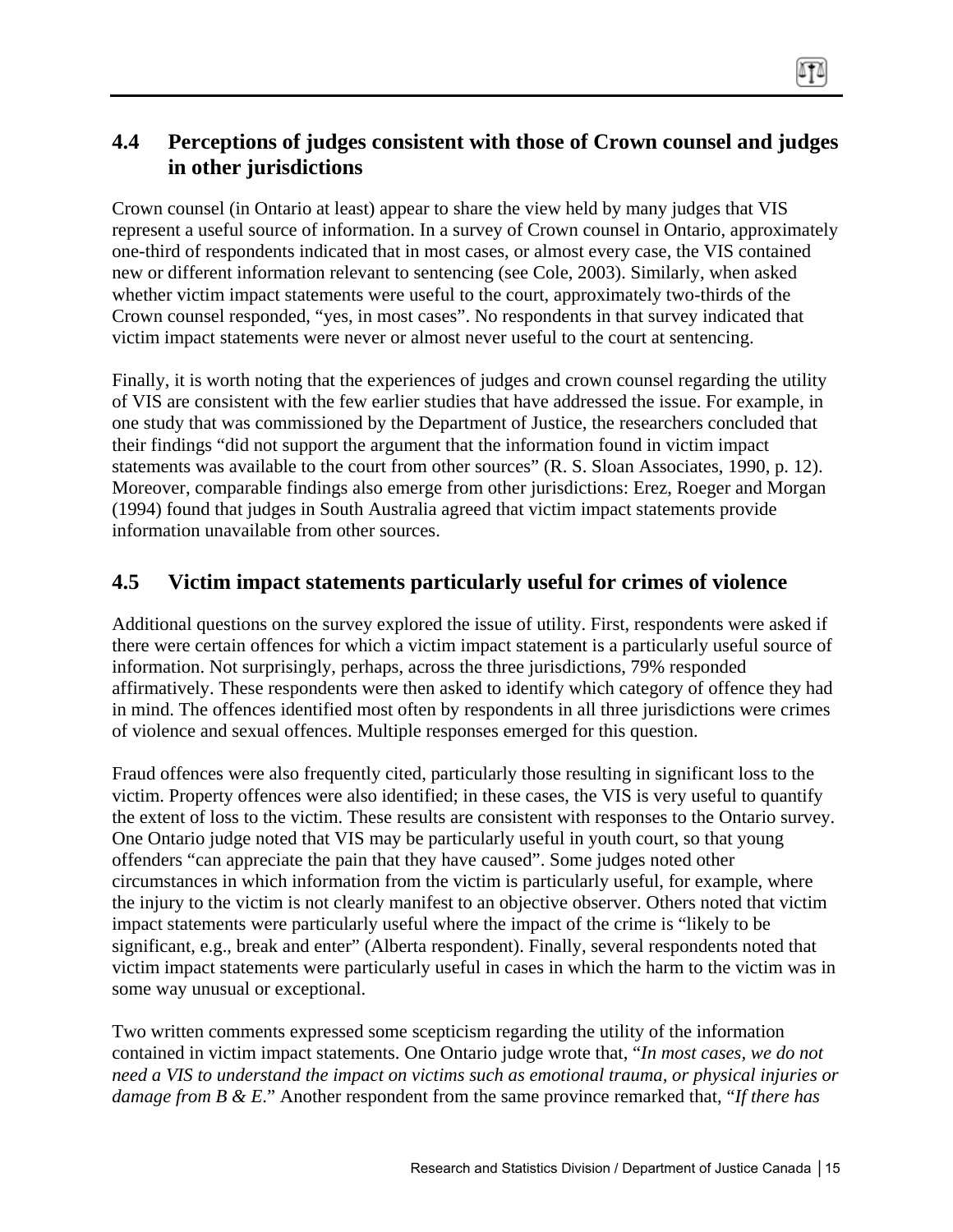## **4.4 Perceptions of judges consistent with those of Crown counsel and judges in other jurisdictions**

Crown counsel (in Ontario at least) appear to share the view held by many judges that VIS represent a useful source of information. In a survey of Crown counsel in Ontario, approximately one-third of respondents indicated that in most cases, or almost every case, the VIS contained new or different information relevant to sentencing (see Cole, 2003). Similarly, when asked whether victim impact statements were useful to the court, approximately two-thirds of the Crown counsel responded, "yes, in most cases". No respondents in that survey indicated that victim impact statements were never or almost never useful to the court at sentencing.

Finally, it is worth noting that the experiences of judges and crown counsel regarding the utility of VIS are consistent with the few earlier studies that have addressed the issue. For example, in one study that was commissioned by the Department of Justice, the researchers concluded that their findings "did not support the argument that the information found in victim impact statements was available to the court from other sources" (R. S. Sloan Associates, 1990, p. 12). Moreover, comparable findings also emerge from other jurisdictions: Erez, Roeger and Morgan (1994) found that judges in South Australia agreed that victim impact statements provide information unavailable from other sources.

### **4.5 Victim impact statements particularly useful for crimes of violence**

Additional questions on the survey explored the issue of utility. First, respondents were asked if there were certain offences for which a victim impact statement is a particularly useful source of information. Not surprisingly, perhaps, across the three jurisdictions, 79% responded affirmatively. These respondents were then asked to identify which category of offence they had in mind. The offences identified most often by respondents in all three jurisdictions were crimes of violence and sexual offences. Multiple responses emerged for this question.

Fraud offences were also frequently cited, particularly those resulting in significant loss to the victim. Property offences were also identified; in these cases, the VIS is very useful to quantify the extent of loss to the victim. These results are consistent with responses to the Ontario survey. One Ontario judge noted that VIS may be particularly useful in youth court, so that young offenders "can appreciate the pain that they have caused". Some judges noted other circumstances in which information from the victim is particularly useful, for example, where the injury to the victim is not clearly manifest to an objective observer. Others noted that victim impact statements were particularly useful where the impact of the crime is "likely to be significant, e.g., break and enter" (Alberta respondent). Finally, several respondents noted that victim impact statements were particularly useful in cases in which the harm to the victim was in some way unusual or exceptional.

Two written comments expressed some scepticism regarding the utility of the information contained in victim impact statements. One Ontario judge wrote that, "*In most cases, we do not need a VIS to understand the impact on victims such as emotional trauma, or physical injuries or damage from B & E*." Another respondent from the same province remarked that, "*If there has*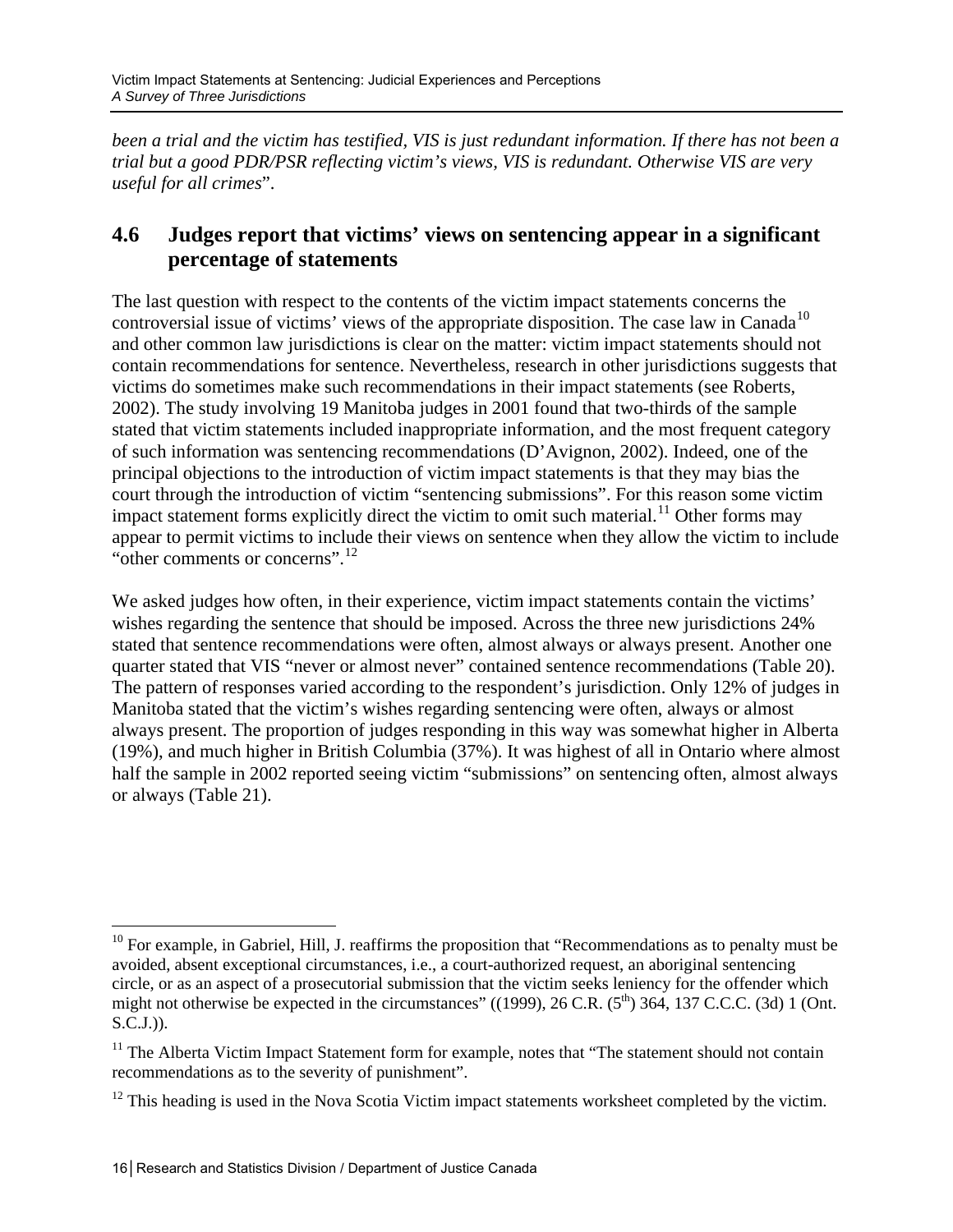*been a trial and the victim has testified, VIS is just redundant information. If there has not been a trial but a good PDR/PSR reflecting victim's views, VIS is redundant. Otherwise VIS are very useful for all crimes*".

## **4.6 Judges report that victims' views on sentencing appear in a significant percentage of statements**

The last question with respect to the contents of the victim impact statements concerns the controversial issue of victims' views of the appropriate disposition. The case law in Canada<sup>10</sup> and other common law jurisdictions is clear on the matter: victim impact statements should not contain recommendations for sentence. Nevertheless, research in other jurisdictions suggests that victims do sometimes make such recommendations in their impact statements (see Roberts, 2002). The study involving 19 Manitoba judges in 2001 found that two-thirds of the sample stated that victim statements included inappropriate information, and the most frequent category of such information was sentencing recommendations (D'Avignon, 2002). Indeed, one of the principal objections to the introduction of victim impact statements is that they may bias the court through the introduction of victim "sentencing submissions". For this reason some victim impact statement forms explicitly direct the victim to omit such material.<sup>11</sup> Other forms may appear to permit victims to include their views on sentence when they allow the victim to include "other comments or concerns".<sup>12</sup>

We asked judges how often, in their experience, victim impact statements contain the victims' wishes regarding the sentence that should be imposed. Across the three new jurisdictions 24% stated that sentence recommendations were often, almost always or always present. Another one quarter stated that VIS "never or almost never" contained sentence recommendations (Table 20). The pattern of responses varied according to the respondent's jurisdiction. Only 12% of judges in Manitoba stated that the victim's wishes regarding sentencing were often, always or almost always present. The proportion of judges responding in this way was somewhat higher in Alberta (19%), and much higher in British Columbia (37%). It was highest of all in Ontario where almost half the sample in 2002 reported seeing victim "submissions" on sentencing often, almost always or always (Table 21).

<sup>1</sup>  $10$  For example, in Gabriel, Hill, J. reaffirms the proposition that "Recommendations as to penalty must be avoided, absent exceptional circumstances, i.e., a court-authorized request, an aboriginal sentencing circle, or as an aspect of a prosecutorial submission that the victim seeks leniency for the offender which might not otherwise be expected in the circumstances" ((1999), 26 C.R.  $(5<sup>th</sup>)$  364, 137 C.C.C. (3d) 1 (Ont. S.C.J.)).

<sup>&</sup>lt;sup>11</sup> The Alberta Victim Impact Statement form for example, notes that "The statement should not contain recommendations as to the severity of punishment".

 $12$  This heading is used in the Nova Scotia Victim impact statements worksheet completed by the victim.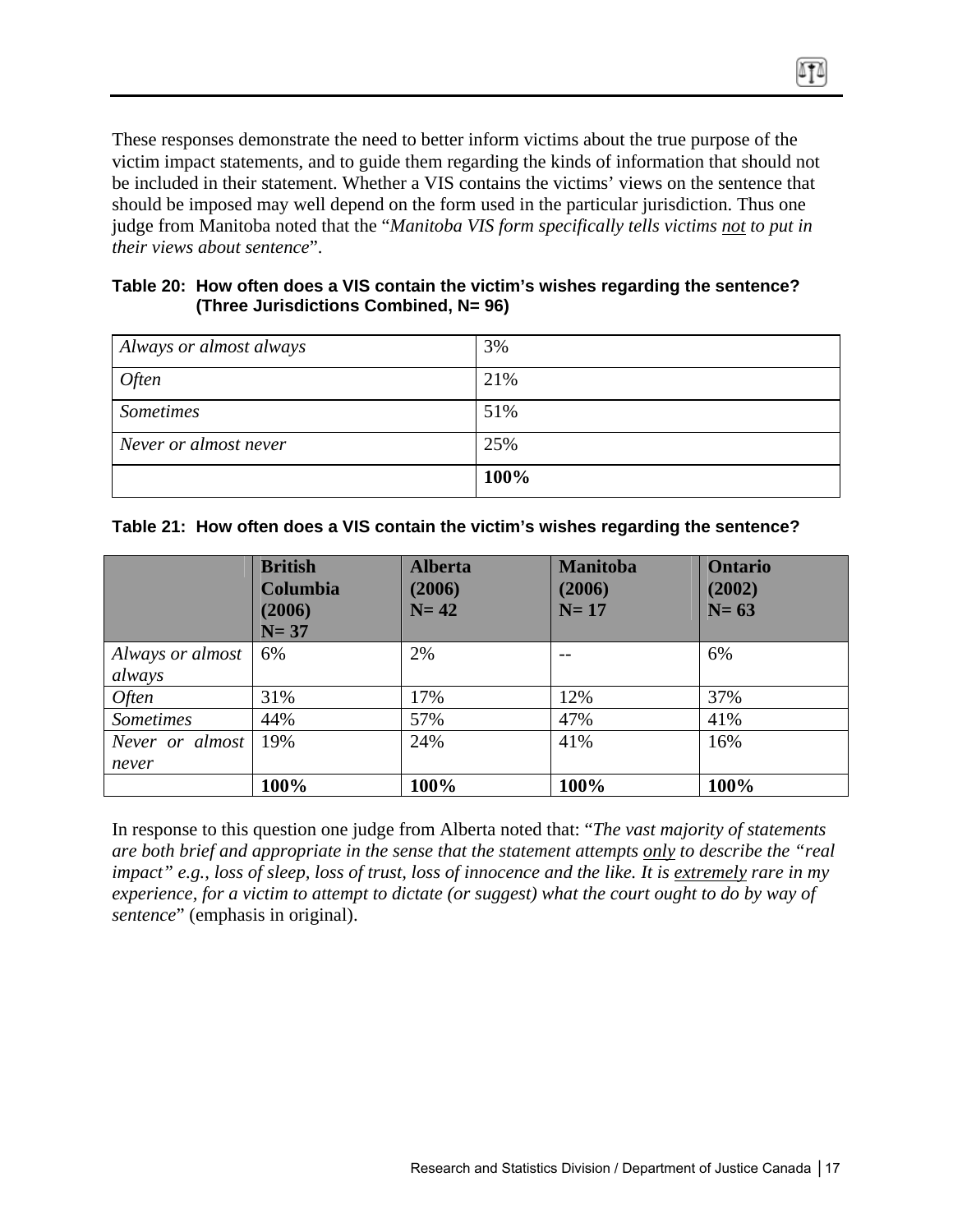These responses demonstrate the need to better inform victims about the true purpose of the victim impact statements, and to guide them regarding the kinds of information that should not be included in their statement. Whether a VIS contains the victims' views on the sentence that should be imposed may well depend on the form used in the particular jurisdiction. Thus one judge from Manitoba noted that the "*Manitoba VIS form specifically tells victims not to put in their views about sentence*".

| Table 20: How often does a VIS contain the victim's wishes regarding the sentence? |
|------------------------------------------------------------------------------------|
| (Three Jurisdictions Combined, N= 96)                                              |

| Always or almost always | 3%   |
|-------------------------|------|
| <i>Often</i>            | 21%  |
| <b>Sometimes</b>        | 51%  |
| Never or almost never   | 25%  |
|                         | 100% |

**Table 21: How often does a VIS contain the victim's wishes regarding the sentence?** 

|                     | <b>British</b><br>Columbia<br>(2006)<br>$N=37$ | <b>Alberta</b><br>(2006)<br>$N=42$ | <b>Manitoba</b><br>(2006)<br>$N=17$ | <b>Ontario</b><br>(2002)<br>$N=63$ |
|---------------------|------------------------------------------------|------------------------------------|-------------------------------------|------------------------------------|
| Always or almost    | 6%                                             | 2%                                 | --                                  | 6%                                 |
| always              |                                                |                                    |                                     |                                    |
| <i><b>Often</b></i> | 31%                                            | 17%                                | 12%                                 | 37%                                |
| <b>Sometimes</b>    | 44%                                            | 57%                                | 47%                                 | 41%                                |
| Never or almost     | 19%                                            | 24%                                | 41%                                 | 16%                                |
| never               |                                                |                                    |                                     |                                    |
|                     | 100%                                           | 100%                               | 100%                                | 100%                               |

In response to this question one judge from Alberta noted that: "*The vast majority of statements are both brief and appropriate in the sense that the statement attempts only to describe the "real impact" e.g., loss of sleep, loss of trust, loss of innocence and the like. It is extremely rare in my experience, for a victim to attempt to dictate (or suggest) what the court ought to do by way of sentence*" (emphasis in original).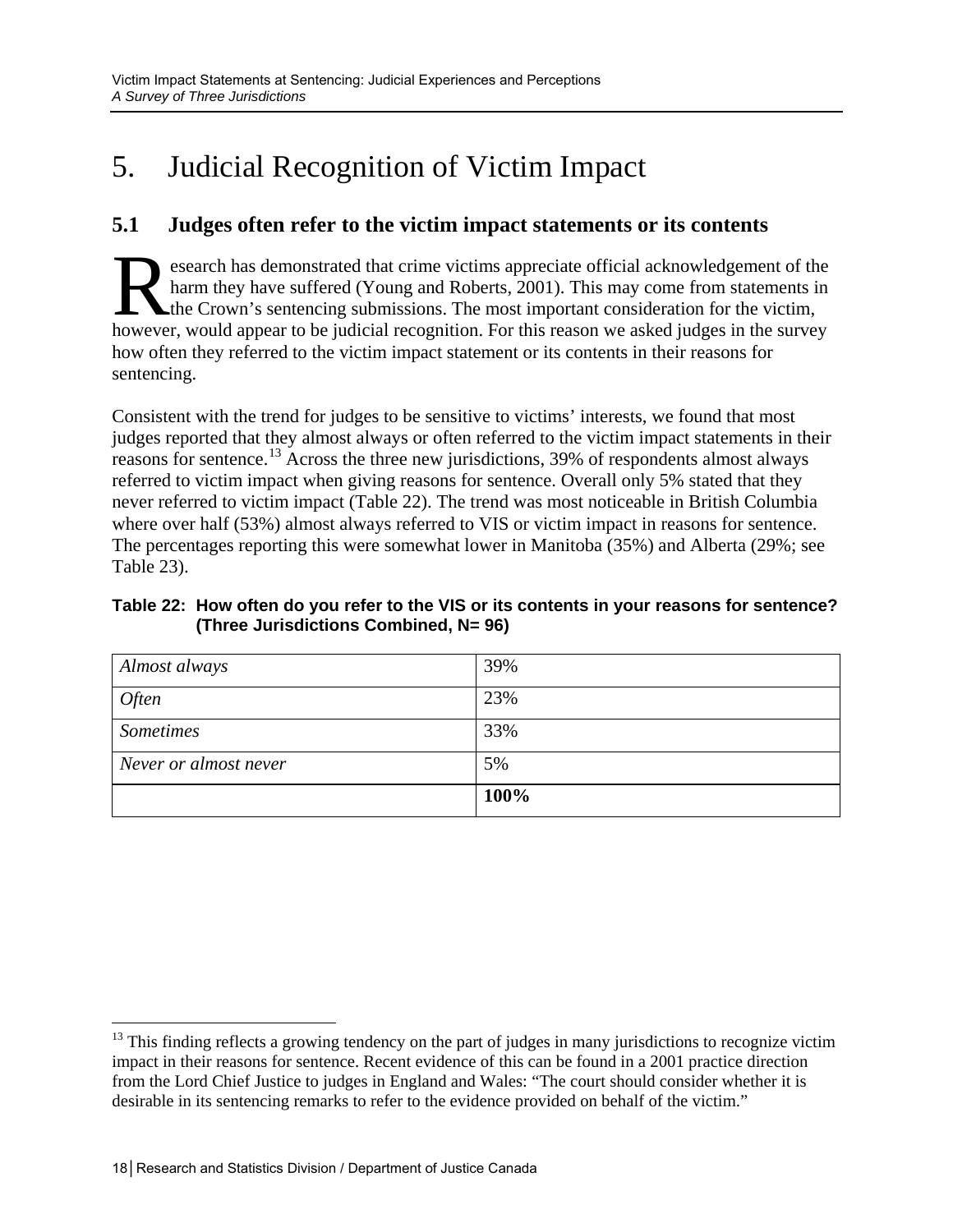## 5. Judicial Recognition of Victim Impact

## **5.1 Judges often refer to the victim impact statements or its contents**

esearch has demonstrated that crime victims appreciate official acknowledgement of the harm they have suffered (Young and Roberts, 2001). This may come from statements in the Crown's sentencing submissions. The most important consideration for the victim, **Example 18 Seconds A** demonstrated that crime victims appreciate official acknowledgement of the harm they have suffered (Young and Roberts, 2001). This may come from statements in the Crown's sentencing submissions. The how often they referred to the victim impact statement or its contents in their reasons for sentencing.

Consistent with the trend for judges to be sensitive to victims' interests, we found that most judges reported that they almost always or often referred to the victim impact statements in their reasons for sentence.13 Across the three new jurisdictions, 39% of respondents almost always referred to victim impact when giving reasons for sentence. Overall only 5% stated that they never referred to victim impact (Table 22). The trend was most noticeable in British Columbia where over half (53%) almost always referred to VIS or victim impact in reasons for sentence. The percentages reporting this were somewhat lower in Manitoba (35%) and Alberta (29%; see Table 23).

| Table 22: How often do you refer to the VIS or its contents in your reasons for sentence? |
|-------------------------------------------------------------------------------------------|
| (Three Jurisdictions Combined, N= 96)                                                     |

|                       | 100% |
|-----------------------|------|
| Never or almost never | 5%   |
| <b>Sometimes</b>      | 33%  |
| Often                 | 23%  |
| Almost always         | 39%  |

 $\overline{a}$ 

 $13$  This finding reflects a growing tendency on the part of judges in many jurisdictions to recognize victim impact in their reasons for sentence. Recent evidence of this can be found in a 2001 practice direction from the Lord Chief Justice to judges in England and Wales: "The court should consider whether it is desirable in its sentencing remarks to refer to the evidence provided on behalf of the victim."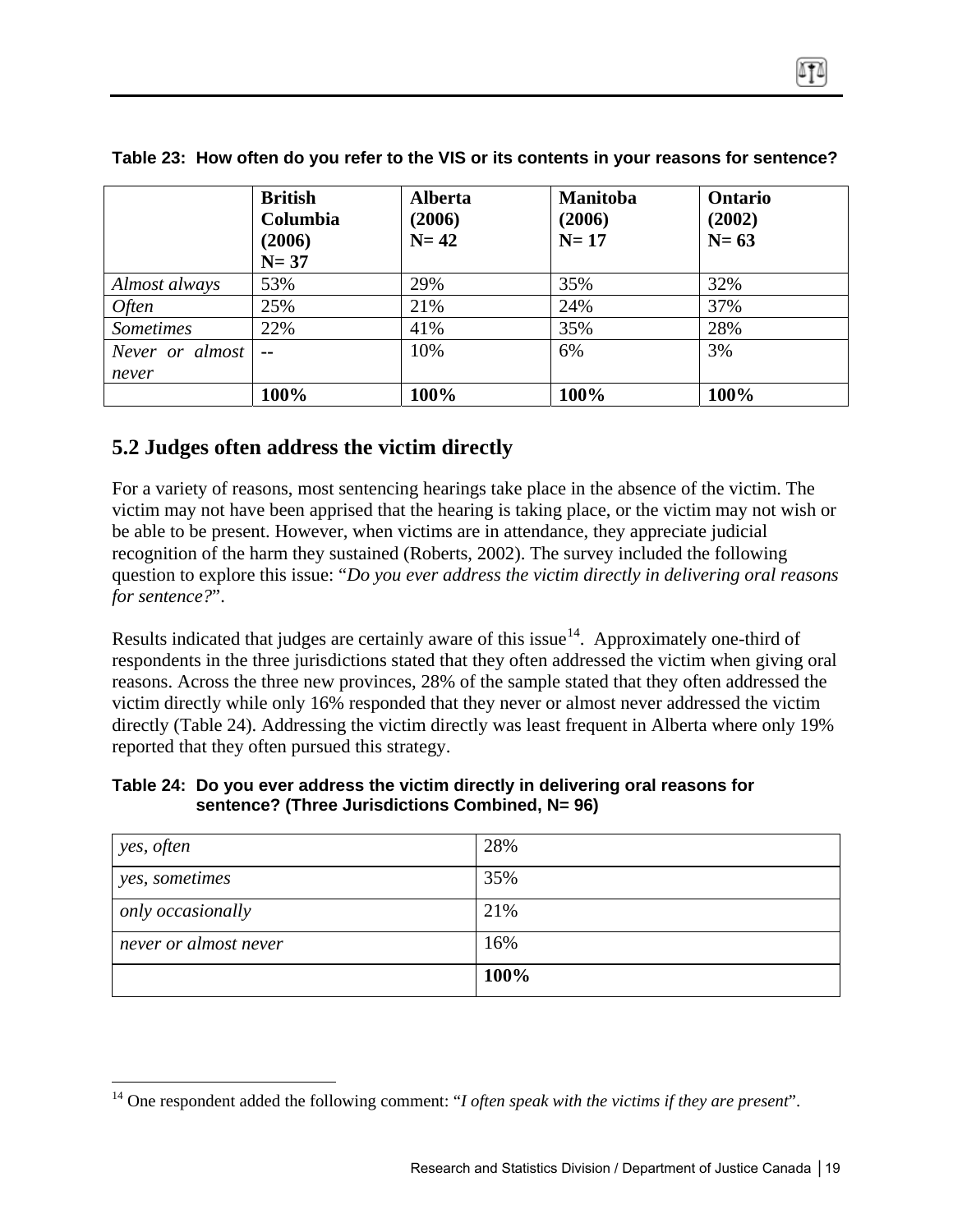|                  | <b>British</b><br>Columbia<br>(2006)<br>$N=37$ | <b>Alberta</b><br>(2006)<br>$N=42$ | <b>Manitoba</b><br>(2006)<br>$N=17$ | Ontario<br>(2002)<br>$N=63$ |
|------------------|------------------------------------------------|------------------------------------|-------------------------------------|-----------------------------|
| Almost always    | 53%                                            | 29%                                | 35%                                 | 32%                         |
| <i>Often</i>     | 25%                                            | 21%                                | 24%                                 | 37%                         |
| <b>Sometimes</b> | 22%                                            | 41%                                | 35%                                 | 28%                         |
| Never or almost  | $-$                                            | 10%                                | 6%                                  | 3%                          |
| never            |                                                |                                    |                                     |                             |
|                  | 100%                                           | 100%                               | 100%                                | 100%                        |

| Table 23: How often do you refer to the VIS or its contents in your reasons for sentence? |
|-------------------------------------------------------------------------------------------|
|-------------------------------------------------------------------------------------------|

## **5.2 Judges often address the victim directly**

 $\overline{a}$ 

For a variety of reasons, most sentencing hearings take place in the absence of the victim. The victim may not have been apprised that the hearing is taking place, or the victim may not wish or be able to be present. However, when victims are in attendance, they appreciate judicial recognition of the harm they sustained (Roberts, 2002). The survey included the following question to explore this issue: "*Do you ever address the victim directly in delivering oral reasons for sentence?*".

Results indicated that judges are certainly aware of this issue<sup>14</sup>. Approximately one-third of respondents in the three jurisdictions stated that they often addressed the victim when giving oral reasons. Across the three new provinces, 28% of the sample stated that they often addressed the victim directly while only 16% responded that they never or almost never addressed the victim directly (Table 24). Addressing the victim directly was least frequent in Alberta where only 19% reported that they often pursued this strategy.

| Table 24: Do you ever address the victim directly in delivering oral reasons for |
|----------------------------------------------------------------------------------|
| sentence? (Three Jurisdictions Combined, N= 96)                                  |

| yes, often            | 28%  |
|-----------------------|------|
| yes, sometimes        | 35%  |
| only occasionally     | 21%  |
| never or almost never | 16%  |
|                       | 100% |

<sup>&</sup>lt;sup>14</sup> One respondent added the following comment: "*I often speak with the victims if they are present*".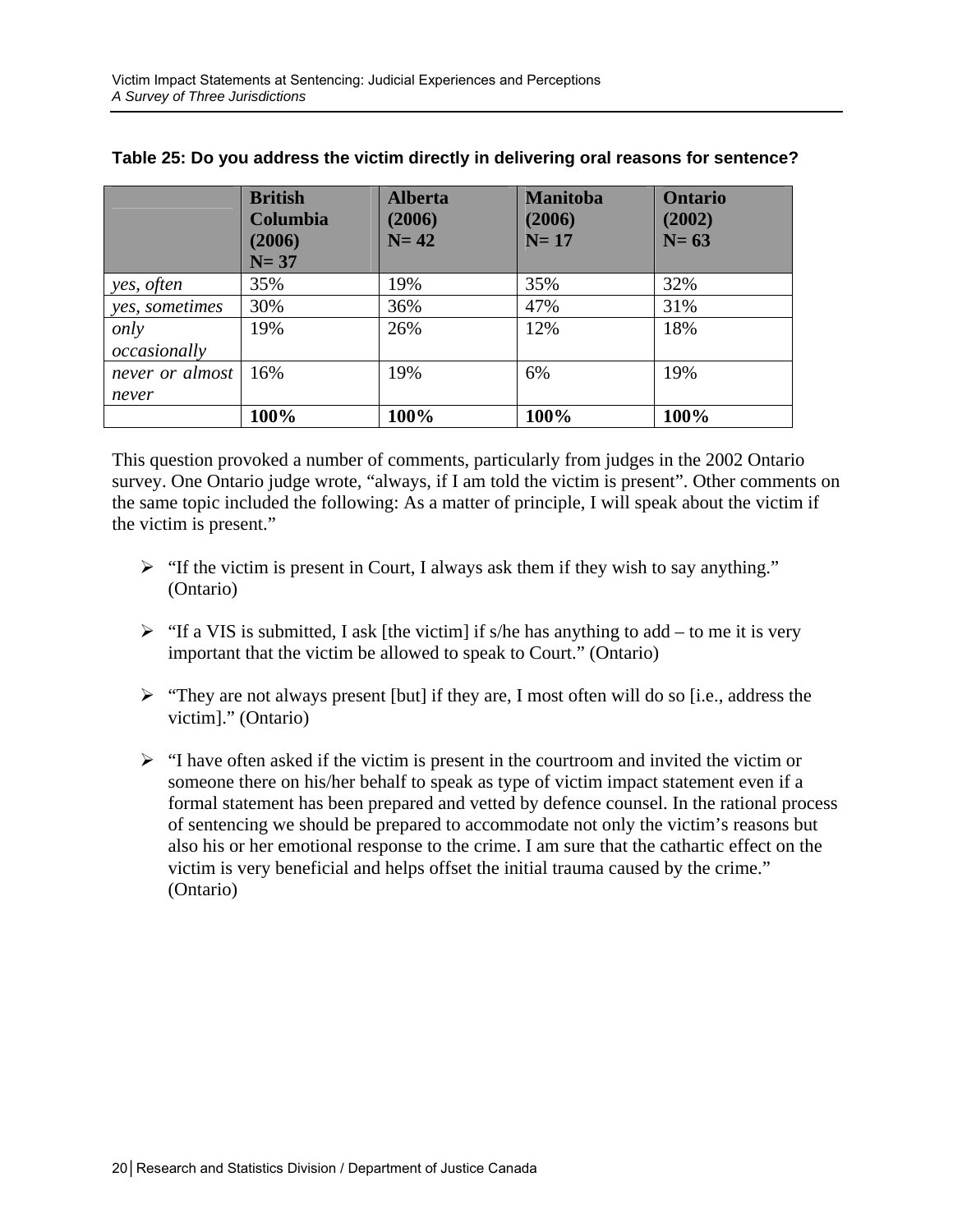|                 | <b>British</b><br>Columbia<br>(2006) | <b>Alberta</b><br>(2006)<br>$N=42$ | <b>Manitoba</b><br>(2006)<br>$N=17$ | <b>Ontario</b><br>(2002)<br>$N=63$ |
|-----------------|--------------------------------------|------------------------------------|-------------------------------------|------------------------------------|
|                 | $N=37$                               |                                    |                                     |                                    |
| yes, often      | 35%                                  | 19%                                | 35%                                 | 32%                                |
| yes, sometimes  | 30%                                  | 36%                                | 47%                                 | 31%                                |
| only            | 19%                                  | 26%                                | 12%                                 | 18%                                |
| occasionally    |                                      |                                    |                                     |                                    |
| never or almost | 16%                                  | 19%                                | 6%                                  | 19%                                |
| never           |                                      |                                    |                                     |                                    |
|                 | 100%                                 | 100%                               | 100%                                | 100%                               |

| Table 25: Do you address the victim directly in delivering oral reasons for sentence? |  |  |
|---------------------------------------------------------------------------------------|--|--|
|                                                                                       |  |  |

This question provoked a number of comments, particularly from judges in the 2002 Ontario survey. One Ontario judge wrote, "always, if I am told the victim is present". Other comments on the same topic included the following: As a matter of principle, I will speak about the victim if the victim is present."

- $\triangleright$  "If the victim is present in Court, I always ask them if they wish to say anything." (Ontario)
- $\triangleright$  "If a VIS is submitted, I ask [the victim] if s/he has anything to add to me it is very important that the victim be allowed to speak to Court." (Ontario)
- $\triangleright$  "They are not always present [but] if they are, I most often will do so [i.e., address the victim]." (Ontario)
- $\triangleright$  "I have often asked if the victim is present in the courtroom and invited the victim or someone there on his/her behalf to speak as type of victim impact statement even if a formal statement has been prepared and vetted by defence counsel. In the rational process of sentencing we should be prepared to accommodate not only the victim's reasons but also his or her emotional response to the crime. I am sure that the cathartic effect on the victim is very beneficial and helps offset the initial trauma caused by the crime." (Ontario)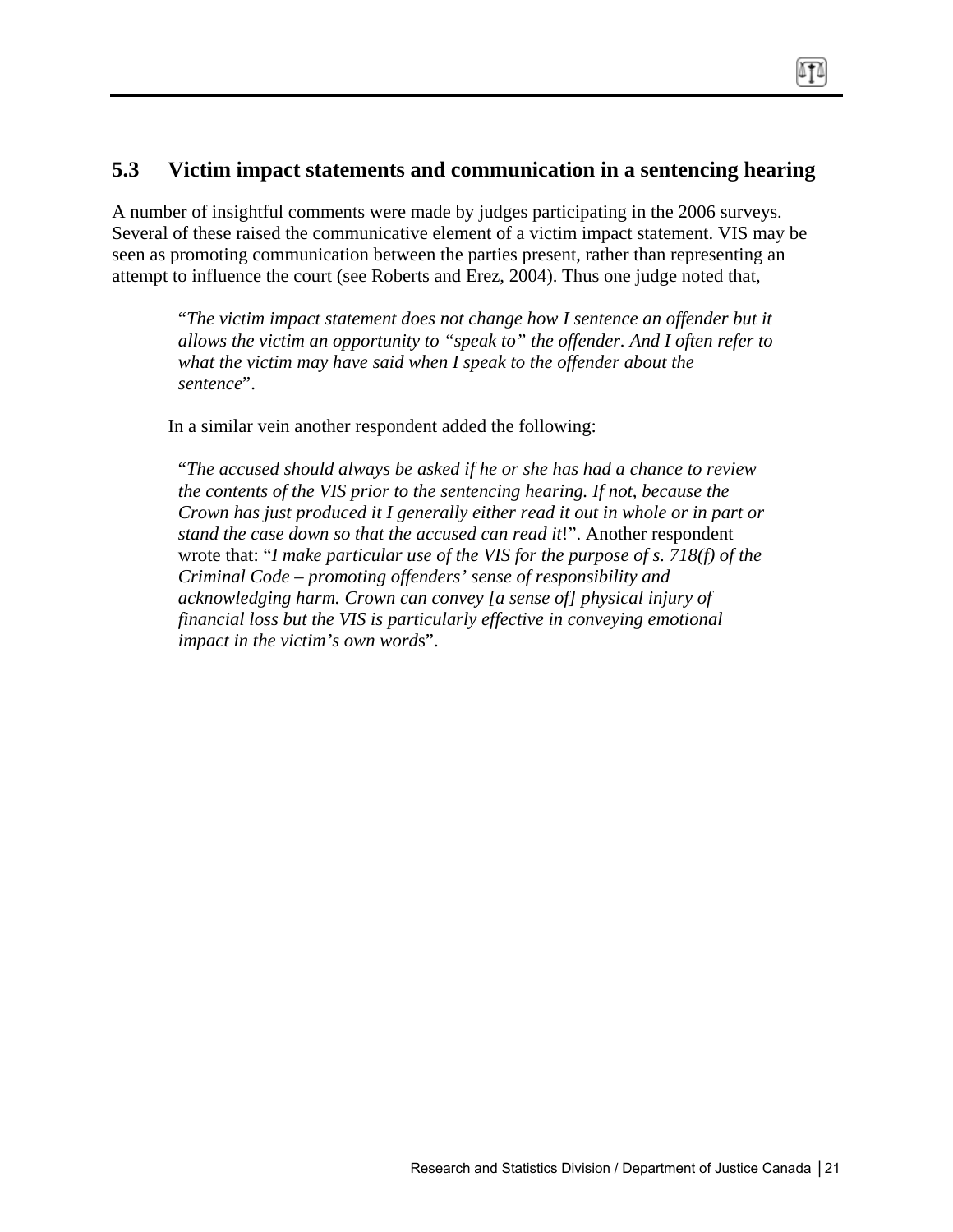### **5.3 Victim impact statements and communication in a sentencing hearing**

A number of insightful comments were made by judges participating in the 2006 surveys. Several of these raised the communicative element of a victim impact statement. VIS may be seen as promoting communication between the parties present, rather than representing an attempt to influence the court (see Roberts and Erez, 2004). Thus one judge noted that,

"*The victim impact statement does not change how I sentence an offender but it allows the victim an opportunity to "speak to" the offender. And I often refer to what the victim may have said when I speak to the offender about the sentence*".

In a similar vein another respondent added the following:

"*The accused should always be asked if he or she has had a chance to review the contents of the VIS prior to the sentencing hearing. If not, because the Crown has just produced it I generally either read it out in whole or in part or stand the case down so that the accused can read it*!". Another respondent wrote that: "*I make particular use of the VIS for the purpose of s. 718(f) of the Criminal Code – promoting offenders' sense of responsibility and acknowledging harm. Crown can convey [a sense of] physical injury of financial loss but the VIS is particularly effective in conveying emotional impact in the victim's own word*s".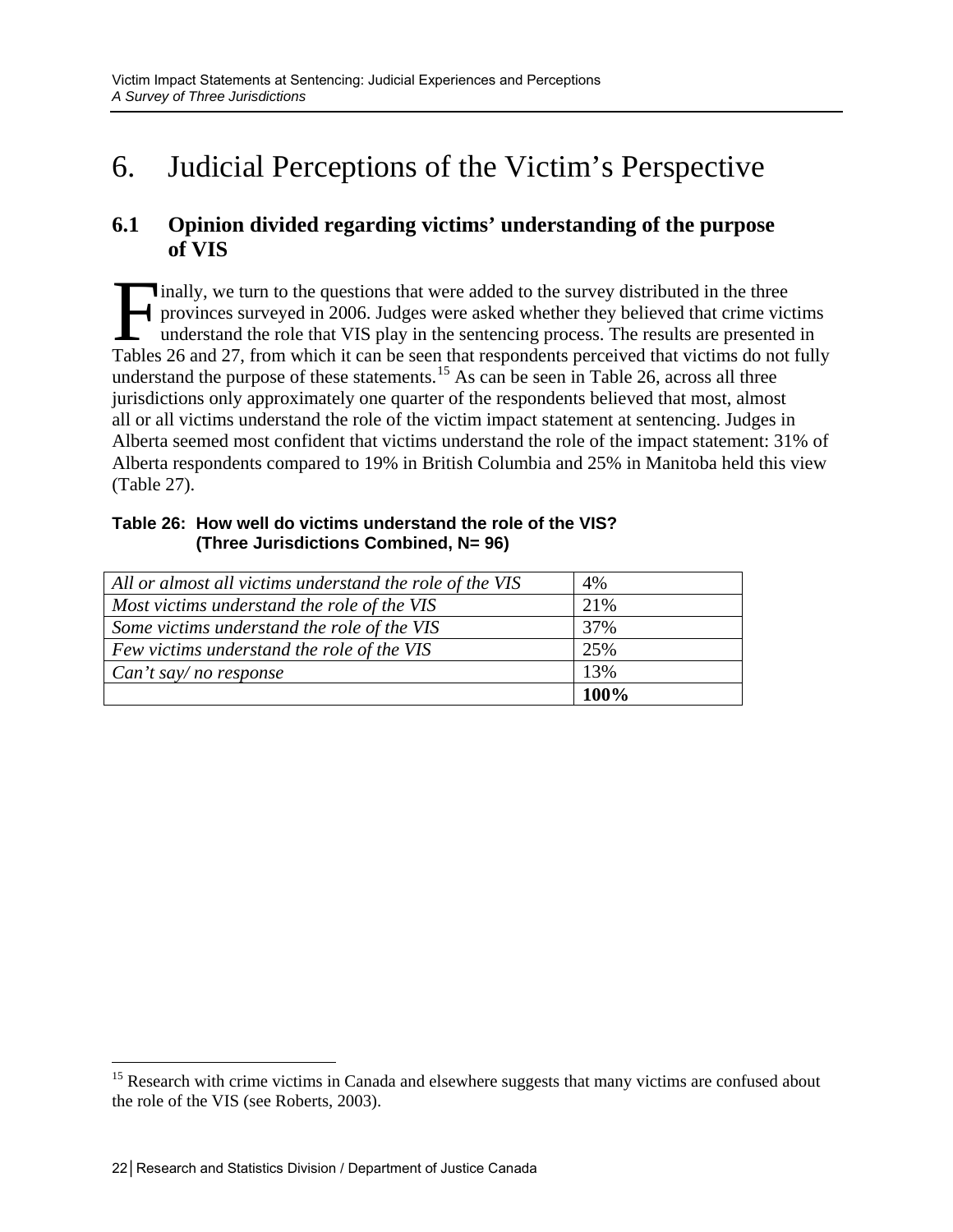## 6. Judicial Perceptions of the Victim's Perspective

## **6.1 Opinion divided regarding victims' understanding of the purpose of VIS**

**I**nally, we turn to the questions that were added to the survey distributed in the three provinces surveyed in 2006. Judges were asked whether they believed that crime victims understand the role that VIS play in the sentencing process. The results are presented in Inally, we turn to the questions that were added to the survey distributed in the three<br>provinces surveyed in 2006. Judges were asked whether they believed that crime victims<br>understand the role that VIS play in the senten understand the purpose of these statements.<sup>15</sup> As can be seen in Table 26, across all three jurisdictions only approximately one quarter of the respondents believed that most, almost all or all victims understand the role of the victim impact statement at sentencing. Judges in Alberta seemed most confident that victims understand the role of the impact statement: 31% of Alberta respondents compared to 19% in British Columbia and 25% in Manitoba held this view (Table 27).

#### **Table 26: How well do victims understand the role of the VIS? (Three Jurisdictions Combined, N= 96)**

| All or almost all victims understand the role of the VIS | 4%   |
|----------------------------------------------------------|------|
| Most victims understand the role of the VIS              | 21%  |
| Some victims understand the role of the VIS              | 37%  |
| Few victims understand the role of the VIS               | 25%  |
| $Can't say/no$ response                                  | 13%  |
|                                                          | 100% |

 $\overline{a}$ 

<sup>&</sup>lt;sup>15</sup> Research with crime victims in Canada and elsewhere suggests that many victims are confused about the role of the VIS (see Roberts, 2003).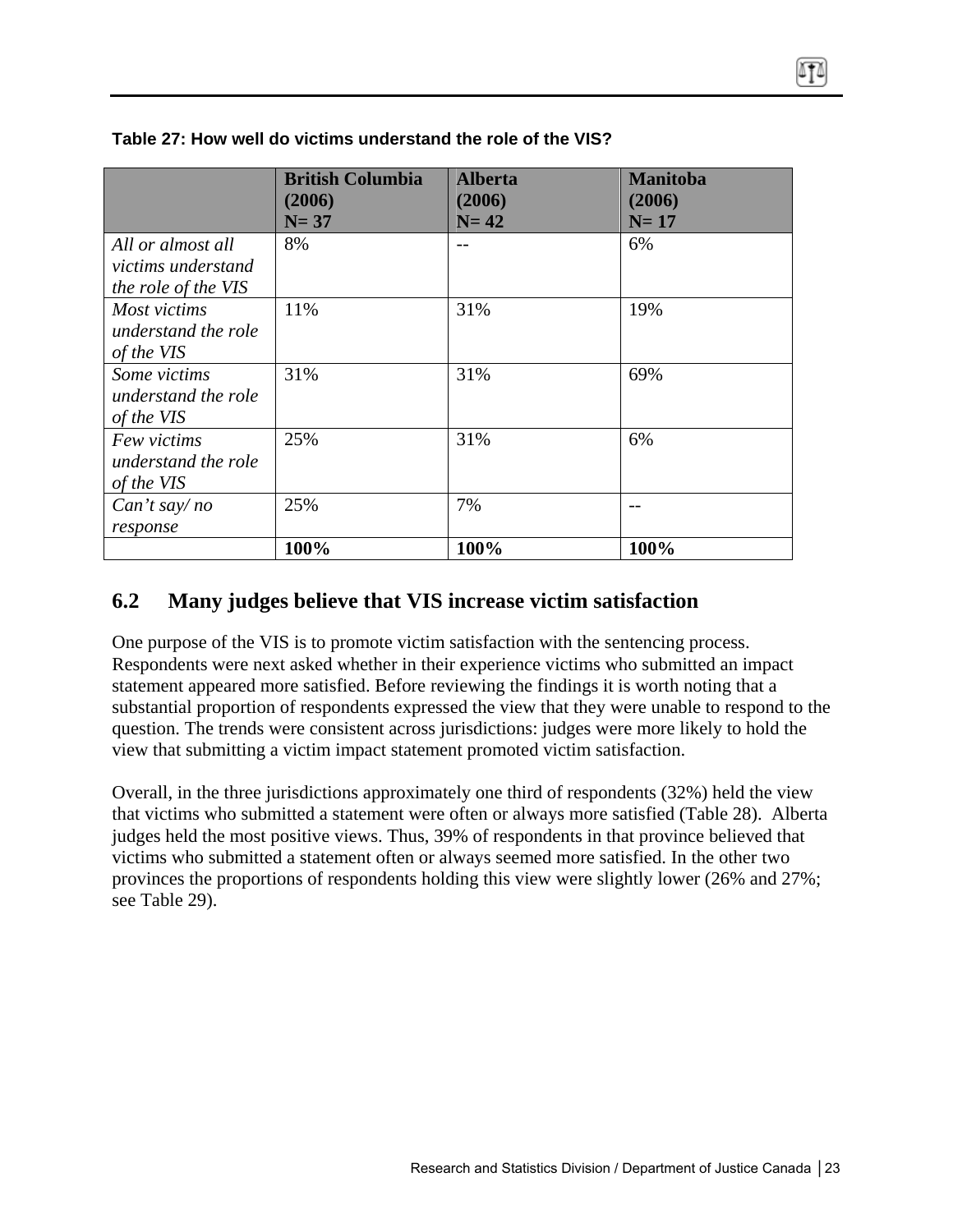|                                                                | <b>British Columbia</b><br>(2006)<br>$N=37$ | <b>Alberta</b><br>(2006)<br>$N=42$ | <b>Manitoba</b><br>(2006)<br>$N=17$ |
|----------------------------------------------------------------|---------------------------------------------|------------------------------------|-------------------------------------|
| All or almost all<br>victims understand<br>the role of the VIS | 8%                                          |                                    | 6%                                  |
| Most victims<br>understand the role<br>of the VIS              | 11%                                         | 31%                                | 19%                                 |
| Some victims<br>understand the role<br>of the VIS              | 31%                                         | 31%                                | 69%                                 |
| Few victims<br>understand the role<br>of the VIS               | 25%                                         | 31%                                | 6%                                  |
| Can't say/no<br>response                                       | 25%                                         | 7%                                 |                                     |
|                                                                | 100%                                        | 100%                               | 100%                                |

**Table 27: How well do victims understand the role of the VIS?** 

### **6.2 Many judges believe that VIS increase victim satisfaction**

One purpose of the VIS is to promote victim satisfaction with the sentencing process. Respondents were next asked whether in their experience victims who submitted an impact statement appeared more satisfied. Before reviewing the findings it is worth noting that a substantial proportion of respondents expressed the view that they were unable to respond to the question. The trends were consistent across jurisdictions: judges were more likely to hold the view that submitting a victim impact statement promoted victim satisfaction.

Overall, in the three jurisdictions approximately one third of respondents (32%) held the view that victims who submitted a statement were often or always more satisfied (Table 28). Alberta judges held the most positive views. Thus, 39% of respondents in that province believed that victims who submitted a statement often or always seemed more satisfied. In the other two provinces the proportions of respondents holding this view were slightly lower (26% and 27%; see Table 29).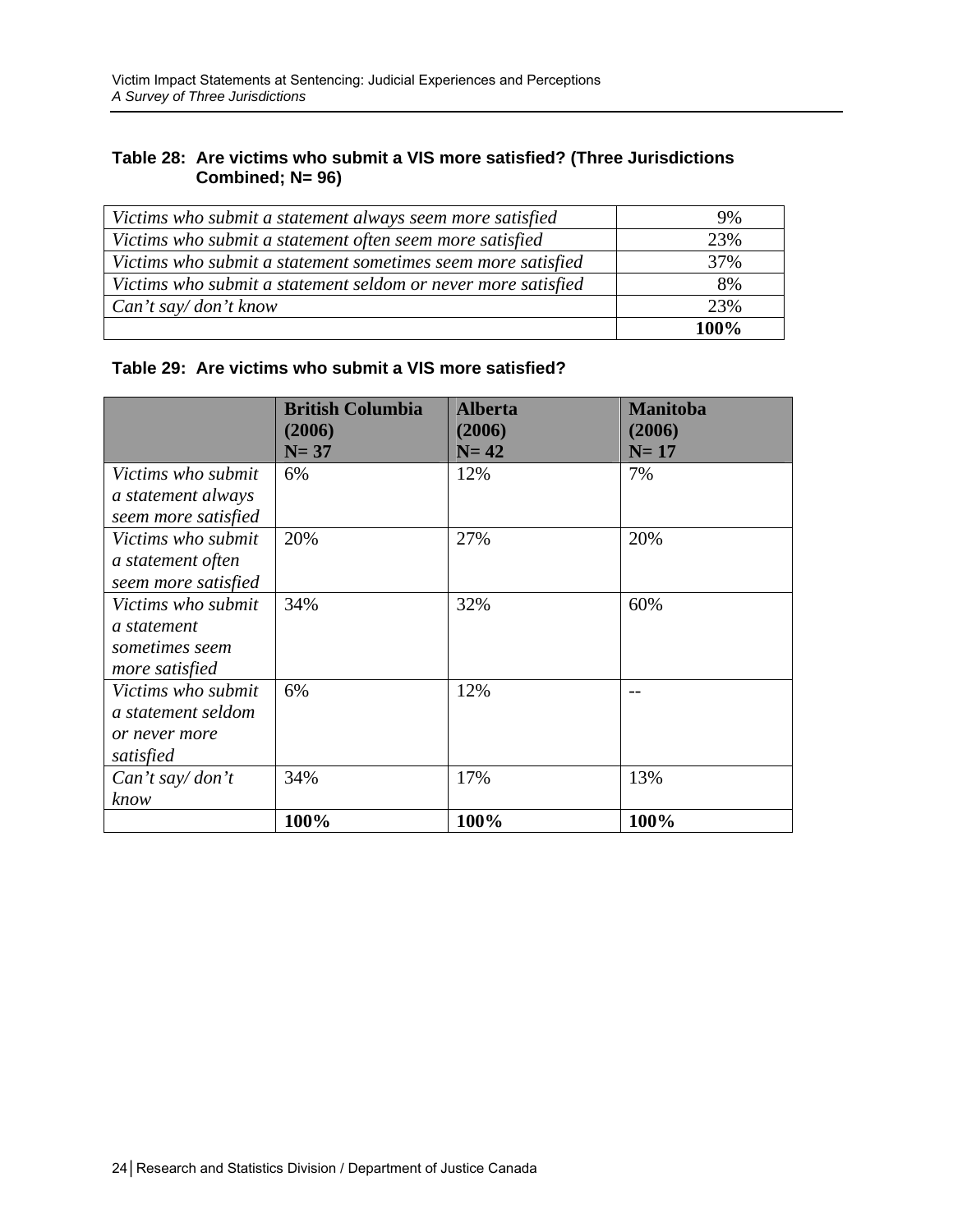#### **Table 28: Are victims who submit a VIS more satisfied? (Three Jurisdictions Combined; N= 96)**

| Victims who submit a statement always seem more satisfied     | 9%   |
|---------------------------------------------------------------|------|
| Victims who submit a statement often seem more satisfied      | 23%  |
| Victims who submit a statement sometimes seem more satisfied  | 37%  |
| Victims who submit a statement seldom or never more satisfied | 8%   |
| $\int$ Can't say/don't know                                   | 23%  |
|                                                               | 100% |

#### **Table 29: Are victims who submit a VIS more satisfied?**

|                                                                        | <b>British Columbia</b><br>(2006)<br>$N=37$ | <b>Alberta</b><br>(2006)<br>$N=42$ | <b>Manitoba</b><br>(2006)<br>$N=17$ |
|------------------------------------------------------------------------|---------------------------------------------|------------------------------------|-------------------------------------|
| Victims who submit<br>a statement always<br>seem more satisfied        | 6%                                          | 12%                                | 7%                                  |
| Victims who submit<br>a statement often<br>seem more satisfied         | 20%                                         | 27%                                | 20%                                 |
| Victims who submit<br>a statement<br>sometimes seem<br>more satisfied  | 34%                                         | 32%                                | 60%                                 |
| Victims who submit<br>a statement seldom<br>or never more<br>satisfied | 6%                                          | 12%                                |                                     |
| Can't say/don't<br>know                                                | 34%                                         | 17%                                | 13%                                 |
|                                                                        | 100%                                        | 100%                               | 100%                                |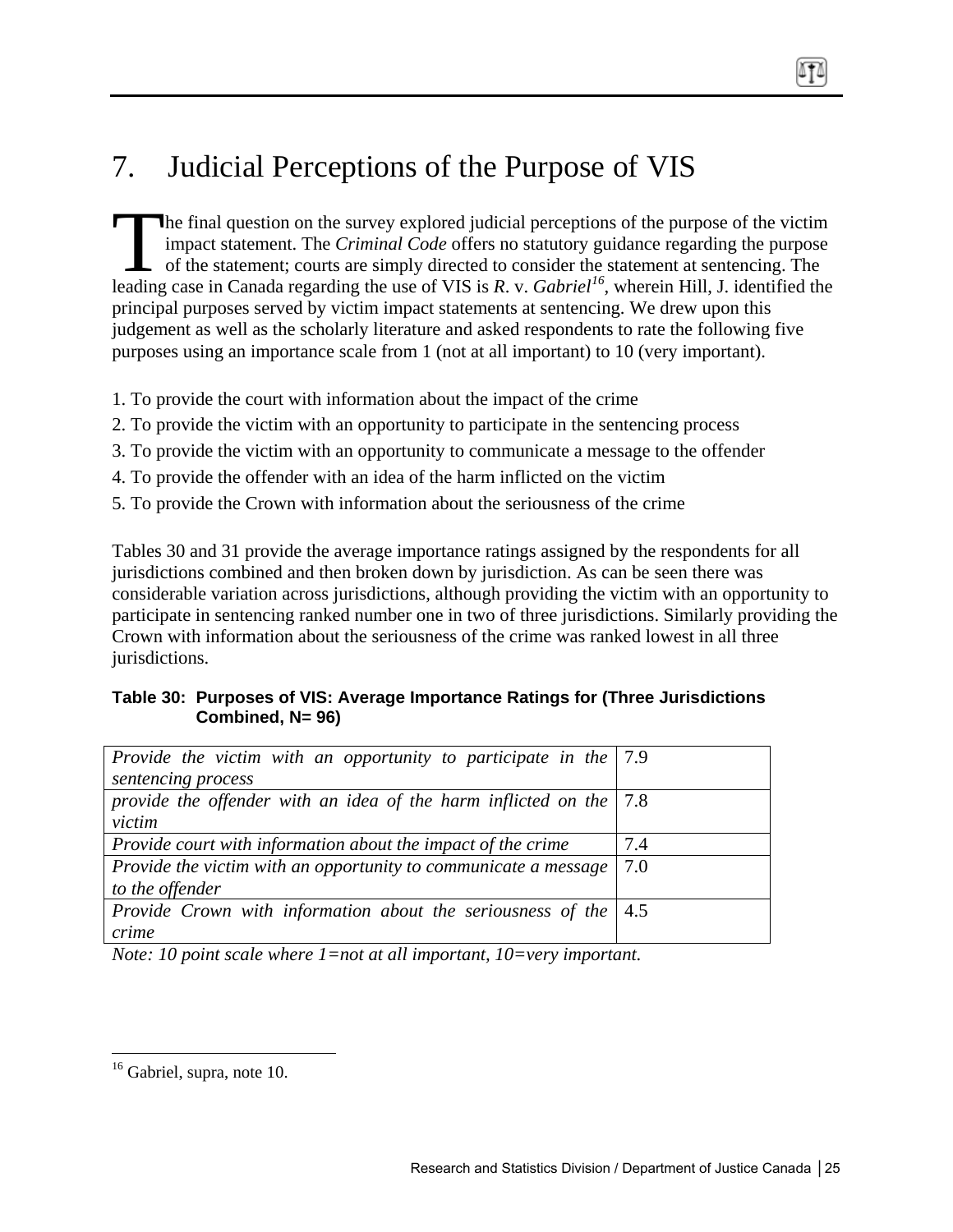## 7. Judicial Perceptions of the Purpose of VIS

he final question on the survey explored judicial perceptions of the purpose of the victim impact statement. The *Criminal Code* offers no statutory guidance regarding the purpose of the statement; courts are simply directed to consider the statement at sentencing. The In the final question on the survey explored judicial perceptions of the purpose of the victim impact statement. The *Criminal Code* offers no statutory guidance regarding the purpose of the statement; courts are simply di principal purposes served by victim impact statements at sentencing. We drew upon this judgement as well as the scholarly literature and asked respondents to rate the following five purposes using an importance scale from 1 (not at all important) to 10 (very important).

- 1. To provide the court with information about the impact of the crime
- 2. To provide the victim with an opportunity to participate in the sentencing process
- 3. To provide the victim with an opportunity to communicate a message to the offender
- 4. To provide the offender with an idea of the harm inflicted on the victim
- 5. To provide the Crown with information about the seriousness of the crime

Tables 30 and 31 provide the average importance ratings assigned by the respondents for all jurisdictions combined and then broken down by jurisdiction. As can be seen there was considerable variation across jurisdictions, although providing the victim with an opportunity to participate in sentencing ranked number one in two of three jurisdictions. Similarly providing the Crown with information about the seriousness of the crime was ranked lowest in all three jurisdictions.

#### **Table 30: Purposes of VIS: Average Importance Ratings for (Three Jurisdictions Combined, N= 96)**

| Provide the victim with an opportunity to participate in the $ 7.9\rangle$ |     |
|----------------------------------------------------------------------------|-----|
| sentencing process                                                         |     |
| provide the offender with an idea of the harm inflicted on the $ 7.8 $     |     |
| victim                                                                     |     |
| Provide court with information about the impact of the crime               | 7.4 |
| Provide the victim with an opportunity to communicate a message            | 7.0 |
| to the offender                                                            |     |
| Provide Crown with information about the seriousness of the $ 4.5 $        |     |
| crime                                                                      |     |

*Note: 10 point scale where 1=not at all important, 10=very important.* 

 $\overline{a}$ 

<sup>&</sup>lt;sup>16</sup> Gabriel, supra, note 10.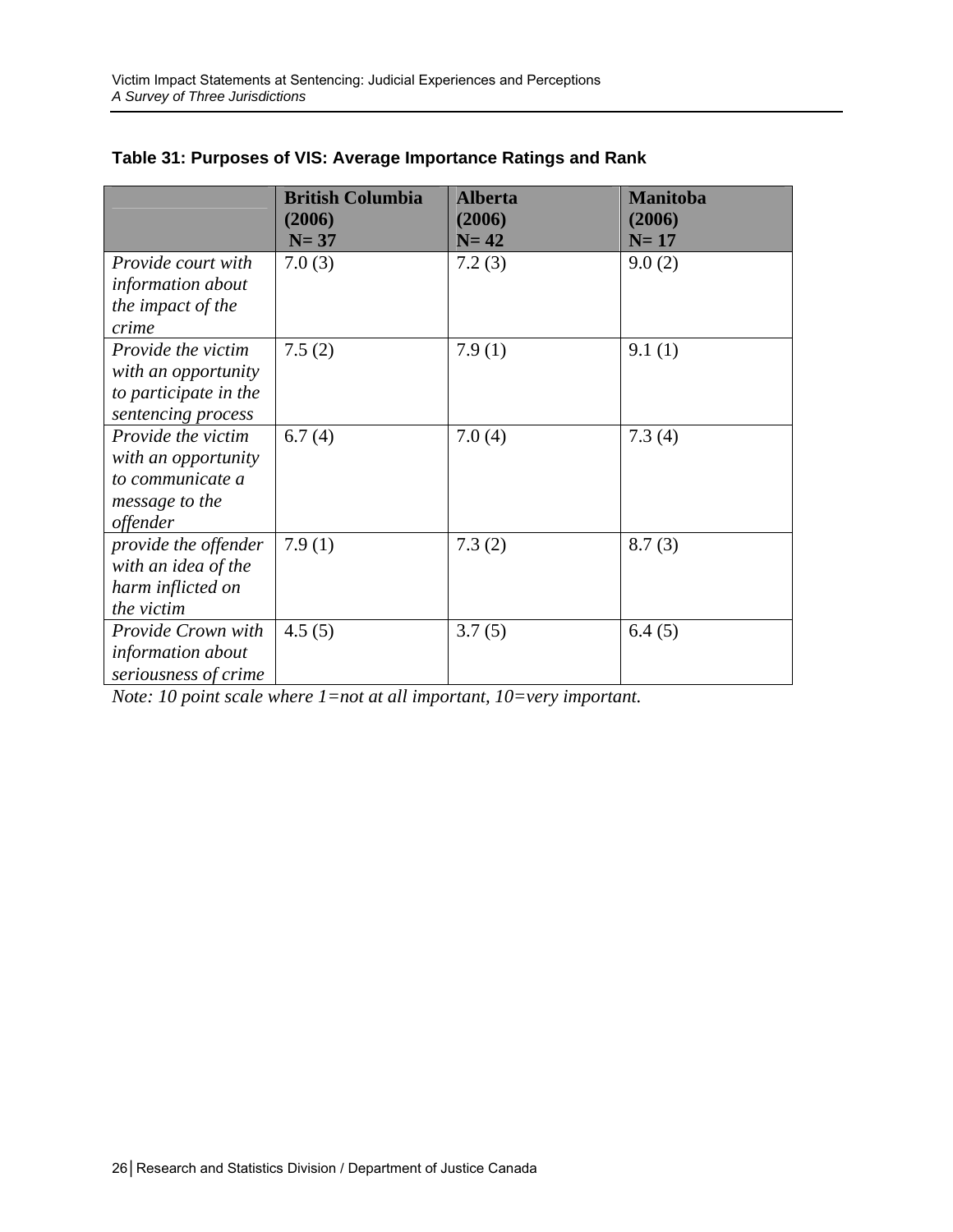|                                                                                             | <b>British Columbia</b><br>(2006)<br>$N = 37$ | <b>Alberta</b><br>(2006)<br>$N=42$ | <b>Manitoba</b><br>(2006)<br>$N=17$ |
|---------------------------------------------------------------------------------------------|-----------------------------------------------|------------------------------------|-------------------------------------|
| Provide court with<br>information about<br>the impact of the<br>crime                       | 7.0(3)                                        | 7.2(3)                             | 9.0(2)                              |
| Provide the victim<br>with an opportunity<br>to participate in the<br>sentencing process    | 7.5(2)                                        | 7.9(1)                             | 9.1(1)                              |
| Provide the victim<br>with an opportunity<br>to communicate a<br>message to the<br>offender | 6.7(4)                                        | 7.0(4)                             | 7.3(4)                              |
| provide the offender<br>with an idea of the<br>harm inflicted on<br>the victim              | 7.9(1)                                        | 7.3(2)                             | 8.7(3)                              |
| Provide Crown with<br>information about<br>seriousness of crime                             | 4.5(5)                                        | 3.7(5)                             | 6.4(5)                              |

#### **Table 31: Purposes of VIS: Average Importance Ratings and Rank**

*Note: 10 point scale where 1=not at all important, 10=very important.*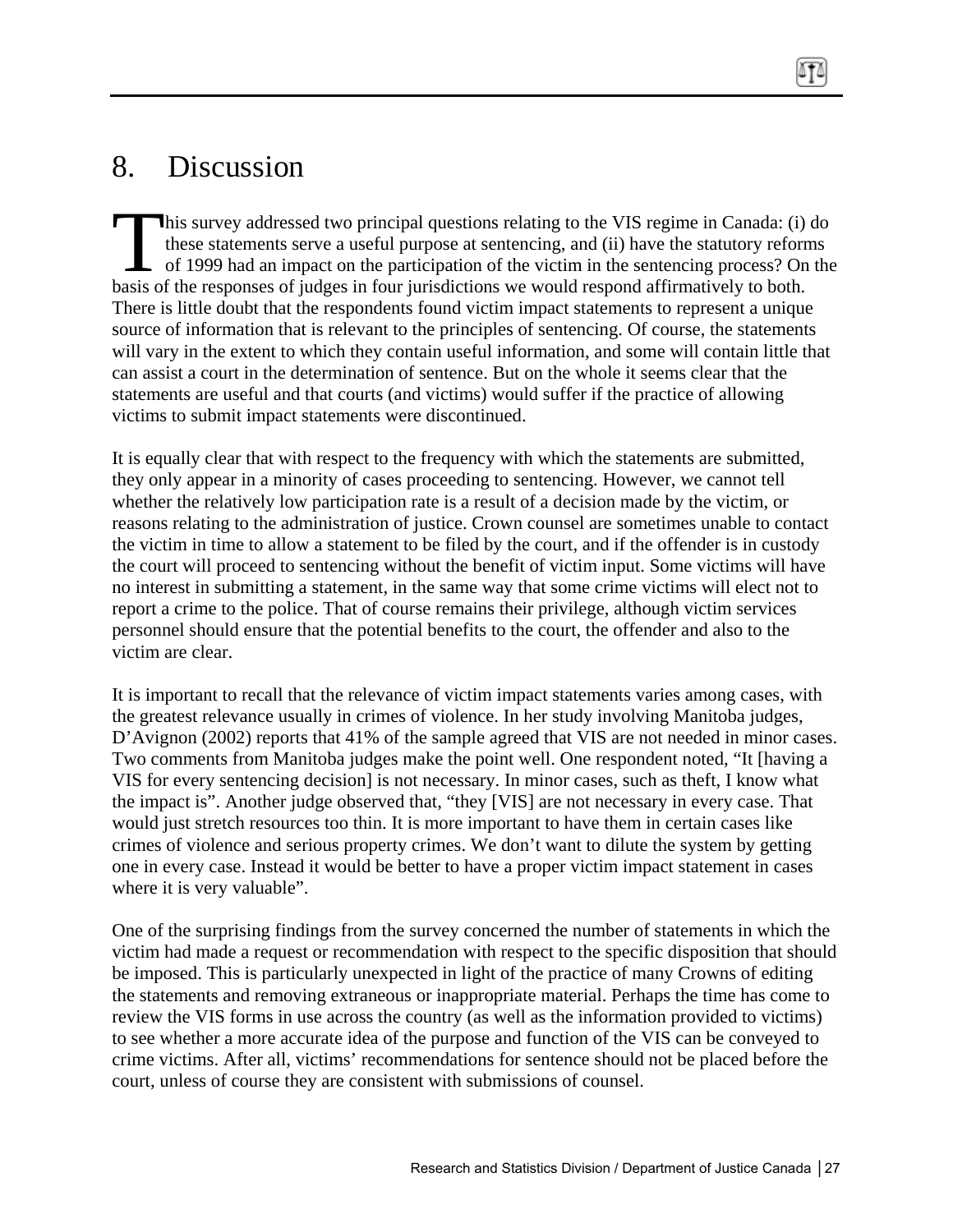## 8. Discussion

his survey addressed two principal questions relating to the VIS regime in Canada: (i) do these statements serve a useful purpose at sentencing, and (ii) have the statutory reforms of 1999 had an impact on the participation of the victim in the sentencing process? On the basis of the responses of judges in four jurisdictions we would respond affirmatively to both. There is little doubt that the respondents found victim impact statements to represent a unique source of information that is relevant to the principles of sentencing. Of course, the statements will vary in the extent to which they contain useful information, and some will contain little that can assist a court in the determination of sentence. But on the whole it seems clear that the statements are useful and that courts (and victims) would suffer if the practice of allowing victims to submit impact statements were discontinued. This<br>the<br>basis of the

It is equally clear that with respect to the frequency with which the statements are submitted, they only appear in a minority of cases proceeding to sentencing. However, we cannot tell whether the relatively low participation rate is a result of a decision made by the victim, or reasons relating to the administration of justice. Crown counsel are sometimes unable to contact the victim in time to allow a statement to be filed by the court, and if the offender is in custody the court will proceed to sentencing without the benefit of victim input. Some victims will have no interest in submitting a statement, in the same way that some crime victims will elect not to report a crime to the police. That of course remains their privilege, although victim services personnel should ensure that the potential benefits to the court, the offender and also to the victim are clear.

It is important to recall that the relevance of victim impact statements varies among cases, with the greatest relevance usually in crimes of violence. In her study involving Manitoba judges, D'Avignon (2002) reports that 41% of the sample agreed that VIS are not needed in minor cases. Two comments from Manitoba judges make the point well. One respondent noted, "It [having a VIS for every sentencing decision] is not necessary. In minor cases, such as theft, I know what the impact is". Another judge observed that, "they [VIS] are not necessary in every case. That would just stretch resources too thin. It is more important to have them in certain cases like crimes of violence and serious property crimes. We don't want to dilute the system by getting one in every case. Instead it would be better to have a proper victim impact statement in cases where it is very valuable".

One of the surprising findings from the survey concerned the number of statements in which the victim had made a request or recommendation with respect to the specific disposition that should be imposed. This is particularly unexpected in light of the practice of many Crowns of editing the statements and removing extraneous or inappropriate material. Perhaps the time has come to review the VIS forms in use across the country (as well as the information provided to victims) to see whether a more accurate idea of the purpose and function of the VIS can be conveyed to crime victims. After all, victims' recommendations for sentence should not be placed before the court, unless of course they are consistent with submissions of counsel.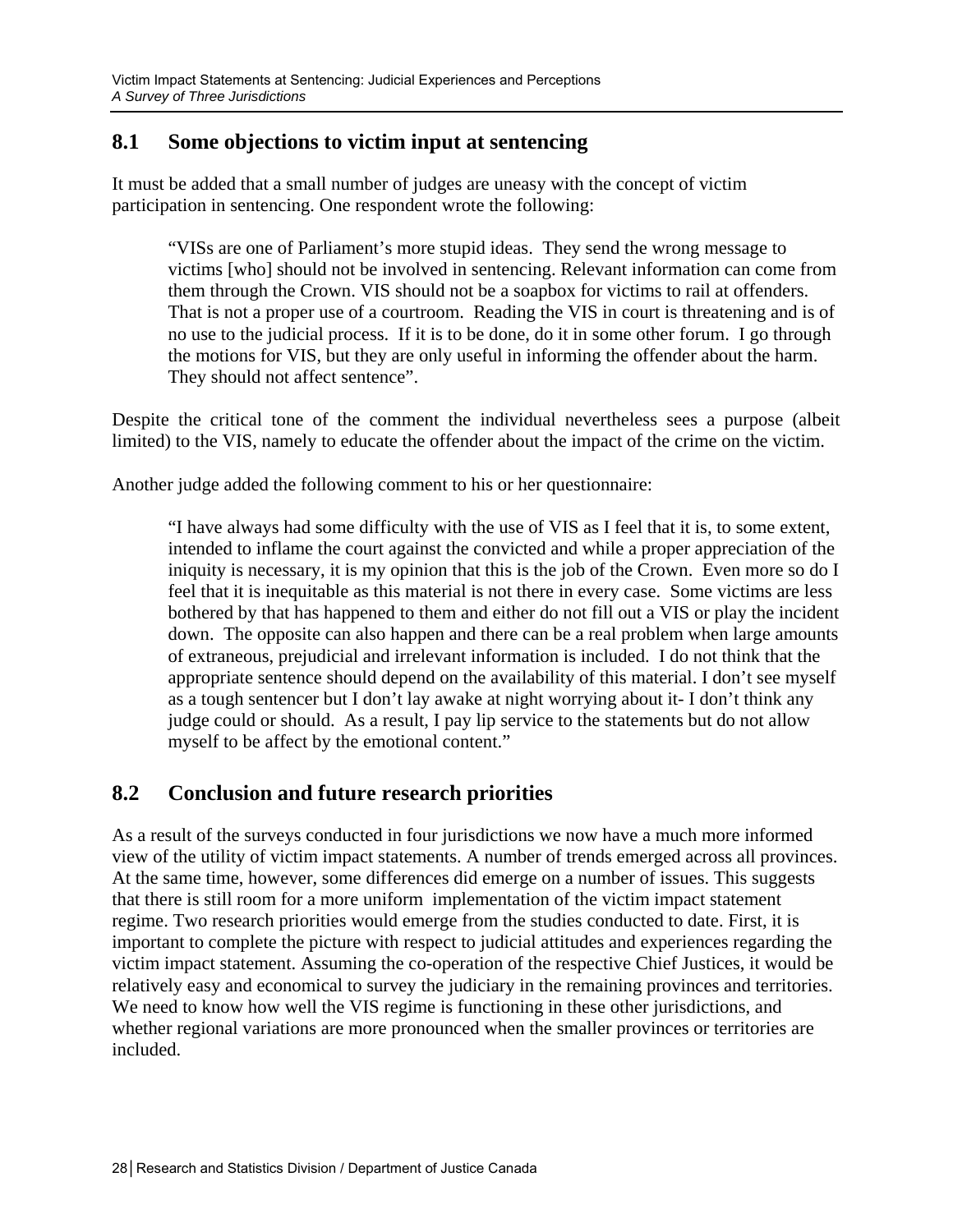## **8.1 Some objections to victim input at sentencing**

It must be added that a small number of judges are uneasy with the concept of victim participation in sentencing. One respondent wrote the following:

"VISs are one of Parliament's more stupid ideas. They send the wrong message to victims [who] should not be involved in sentencing. Relevant information can come from them through the Crown. VIS should not be a soapbox for victims to rail at offenders. That is not a proper use of a courtroom. Reading the VIS in court is threatening and is of no use to the judicial process. If it is to be done, do it in some other forum. I go through the motions for VIS, but they are only useful in informing the offender about the harm. They should not affect sentence".

Despite the critical tone of the comment the individual nevertheless sees a purpose (albeit limited) to the VIS, namely to educate the offender about the impact of the crime on the victim.

Another judge added the following comment to his or her questionnaire:

"I have always had some difficulty with the use of VIS as I feel that it is, to some extent, intended to inflame the court against the convicted and while a proper appreciation of the iniquity is necessary, it is my opinion that this is the job of the Crown. Even more so do I feel that it is inequitable as this material is not there in every case. Some victims are less bothered by that has happened to them and either do not fill out a VIS or play the incident down. The opposite can also happen and there can be a real problem when large amounts of extraneous, prejudicial and irrelevant information is included. I do not think that the appropriate sentence should depend on the availability of this material. I don't see myself as a tough sentencer but I don't lay awake at night worrying about it- I don't think any judge could or should. As a result, I pay lip service to the statements but do not allow myself to be affect by the emotional content."

## **8.2 Conclusion and future research priorities**

As a result of the surveys conducted in four jurisdictions we now have a much more informed view of the utility of victim impact statements. A number of trends emerged across all provinces. At the same time, however, some differences did emerge on a number of issues. This suggests that there is still room for a more uniform implementation of the victim impact statement regime. Two research priorities would emerge from the studies conducted to date. First, it is important to complete the picture with respect to judicial attitudes and experiences regarding the victim impact statement. Assuming the co-operation of the respective Chief Justices, it would be relatively easy and economical to survey the judiciary in the remaining provinces and territories. We need to know how well the VIS regime is functioning in these other jurisdictions, and whether regional variations are more pronounced when the smaller provinces or territories are included.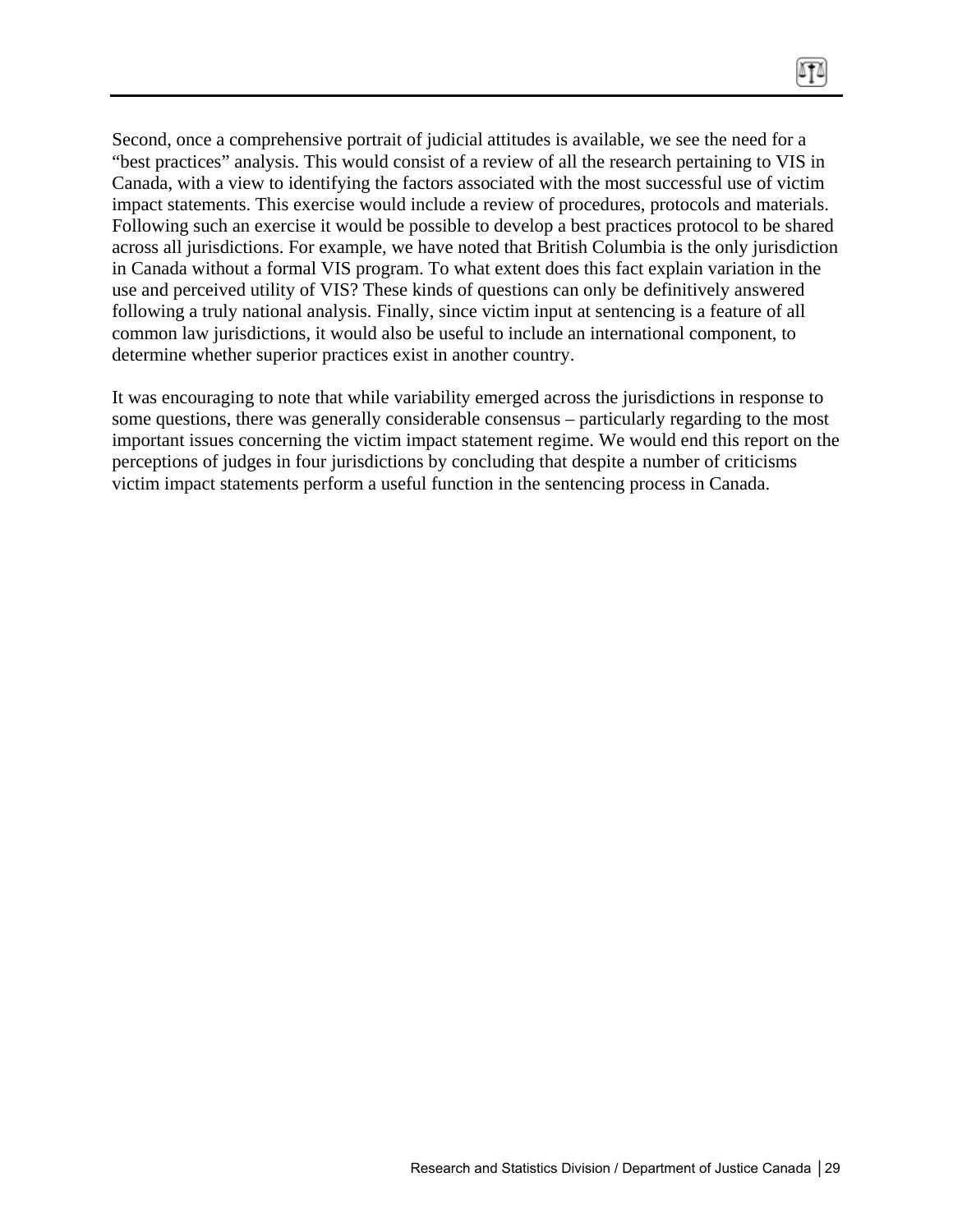Second, once a comprehensive portrait of judicial attitudes is available, we see the need for a "best practices" analysis. This would consist of a review of all the research pertaining to VIS in Canada, with a view to identifying the factors associated with the most successful use of victim impact statements. This exercise would include a review of procedures, protocols and materials. Following such an exercise it would be possible to develop a best practices protocol to be shared across all jurisdictions. For example, we have noted that British Columbia is the only jurisdiction in Canada without a formal VIS program. To what extent does this fact explain variation in the use and perceived utility of VIS? These kinds of questions can only be definitively answered following a truly national analysis. Finally, since victim input at sentencing is a feature of all common law jurisdictions, it would also be useful to include an international component, to determine whether superior practices exist in another country.

It was encouraging to note that while variability emerged across the jurisdictions in response to some questions, there was generally considerable consensus – particularly regarding to the most important issues concerning the victim impact statement regime. We would end this report on the perceptions of judges in four jurisdictions by concluding that despite a number of criticisms victim impact statements perform a useful function in the sentencing process in Canada.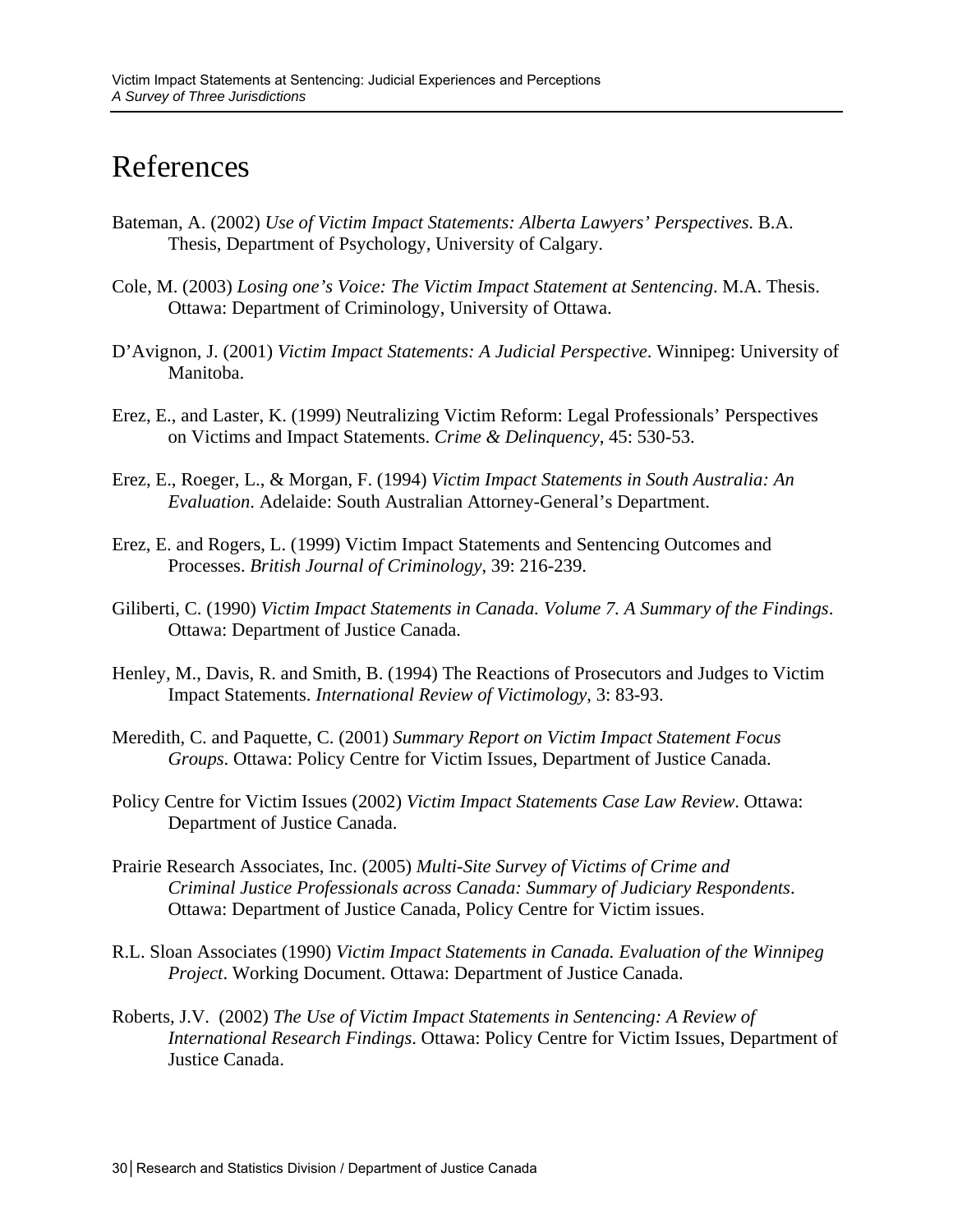## References

- Bateman, A. (2002) *Use of Victim Impact Statements: Alberta Lawyers' Perspectives*. B.A. Thesis, Department of Psychology, University of Calgary.
- Cole, M. (2003) *Losing one's Voice: The Victim Impact Statement at Sentencing*. M.A. Thesis. Ottawa: Department of Criminology, University of Ottawa.
- D'Avignon, J. (2001) *Victim Impact Statements: A Judicial Perspective*. Winnipeg: University of Manitoba.
- Erez, E., and Laster, K. (1999) Neutralizing Victim Reform: Legal Professionals' Perspectives on Victims and Impact Statements. *Crime & Delinquency*, 45: 530-53.
- Erez, E., Roeger, L., & Morgan, F. (1994) *Victim Impact Statements in South Australia: An Evaluation*. Adelaide: South Australian Attorney-General's Department.
- Erez, E. and Rogers, L. (1999) Victim Impact Statements and Sentencing Outcomes and Processes. *British Journal of Criminology*, 39: 216-239.
- Giliberti, C. (1990) *Victim Impact Statements in Canada. Volume 7. A Summary of the Findings*. Ottawa: Department of Justice Canada.
- Henley, M., Davis, R. and Smith, B. (1994) The Reactions of Prosecutors and Judges to Victim Impact Statements. *International Review of Victimology*, 3: 83-93.
- Meredith, C. and Paquette, C. (2001) *Summary Report on Victim Impact Statement Focus Groups*. Ottawa: Policy Centre for Victim Issues, Department of Justice Canada.
- Policy Centre for Victim Issues (2002) *Victim Impact Statements Case Law Review*. Ottawa: Department of Justice Canada.
- Prairie Research Associates, Inc. (2005) *Multi-Site Survey of Victims of Crime and Criminal Justice Professionals across Canada: Summary of Judiciary Respondents*. Ottawa: Department of Justice Canada, Policy Centre for Victim issues.
- R.L. Sloan Associates (1990) *Victim Impact Statements in Canada. Evaluation of the Winnipeg Project*. Working Document. Ottawa: Department of Justice Canada.
- Roberts, J.V. (2002) *The Use of Victim Impact Statements in Sentencing: A Review of International Research Findings*. Ottawa: Policy Centre for Victim Issues, Department of Justice Canada.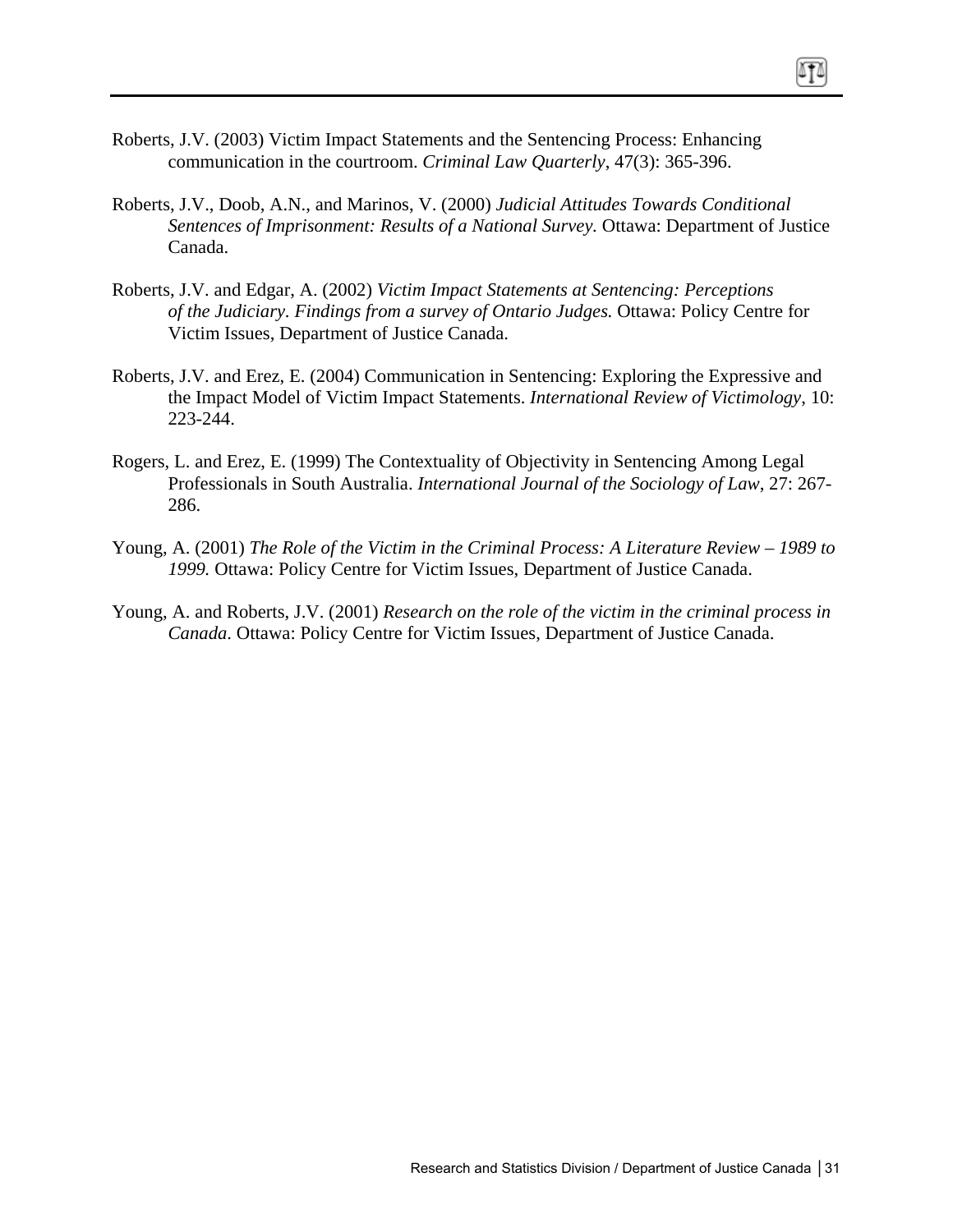- Roberts, J.V. (2003) Victim Impact Statements and the Sentencing Process: Enhancing communication in the courtroom. *Criminal Law Quarterly*, 47(3): 365-396.
- Roberts, J.V., Doob, A.N., and Marinos, V. (2000) *Judicial Attitudes Towards Conditional Sentences of Imprisonment: Results of a National Survey.* Ottawa: Department of Justice Canada.
- Roberts, J.V. and Edgar, A. (2002) *Victim Impact Statements at Sentencing: Perceptions of the Judiciary. Findings from a survey of Ontario Judges.* Ottawa: Policy Centre for Victim Issues, Department of Justice Canada.
- Roberts, J.V. and Erez, E. (2004) Communication in Sentencing: Exploring the Expressive and the Impact Model of Victim Impact Statements. *International Review of Victimology*, 10: 223-244.
- Rogers, L. and Erez, E. (1999) The Contextuality of Objectivity in Sentencing Among Legal Professionals in South Australia. *International Journal of the Sociology of Law*, 27: 267- 286.
- Young, A. (2001) *The Role of the Victim in the Criminal Process: A Literature Review 1989 to 1999.* Ottawa: Policy Centre for Victim Issues, Department of Justice Canada.
- Young, A. and Roberts, J.V. (2001) *Research on the role of the victim in the criminal process in Canada*. Ottawa: Policy Centre for Victim Issues, Department of Justice Canada.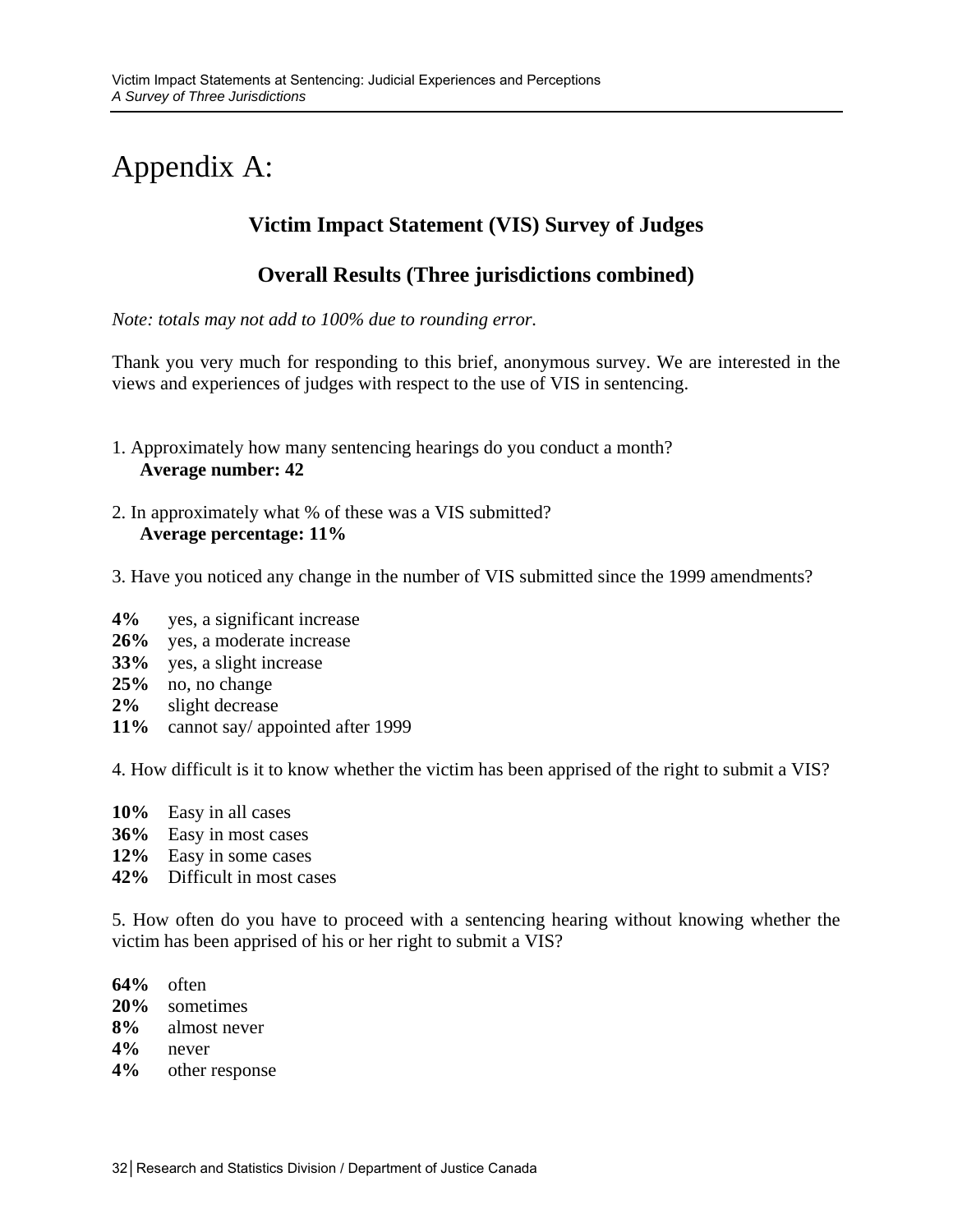# Appendix A:

## **Victim Impact Statement (VIS) Survey of Judges**

## **Overall Results (Three jurisdictions combined)**

*Note: totals may not add to 100% due to rounding error.* 

Thank you very much for responding to this brief, anonymous survey. We are interested in the views and experiences of judges with respect to the use of VIS in sentencing.

- 1. Approximately how many sentencing hearings do you conduct a month? **Average number: 42**
- 2. In approximately what % of these was a VIS submitted? **Average percentage: 11%**
- 3. Have you noticed any change in the number of VIS submitted since the 1999 amendments?
- **4%** yes, a significant increase
- **26%** yes, a moderate increase
- **33%** yes, a slight increase
- **25%** no, no change
- **2%** slight decrease
- **11%** cannot say/ appointed after 1999

4. How difficult is it to know whether the victim has been apprised of the right to submit a VIS?

- **10%** Easy in all cases
- **36%** Easy in most cases
- **12%** Easy in some cases
- **42%** Difficult in most cases

5. How often do you have to proceed with a sentencing hearing without knowing whether the victim has been apprised of his or her right to submit a VIS?

- **64%** often **20%** sometimes
- **8%** almost never
- **4%** never
- **4%** other response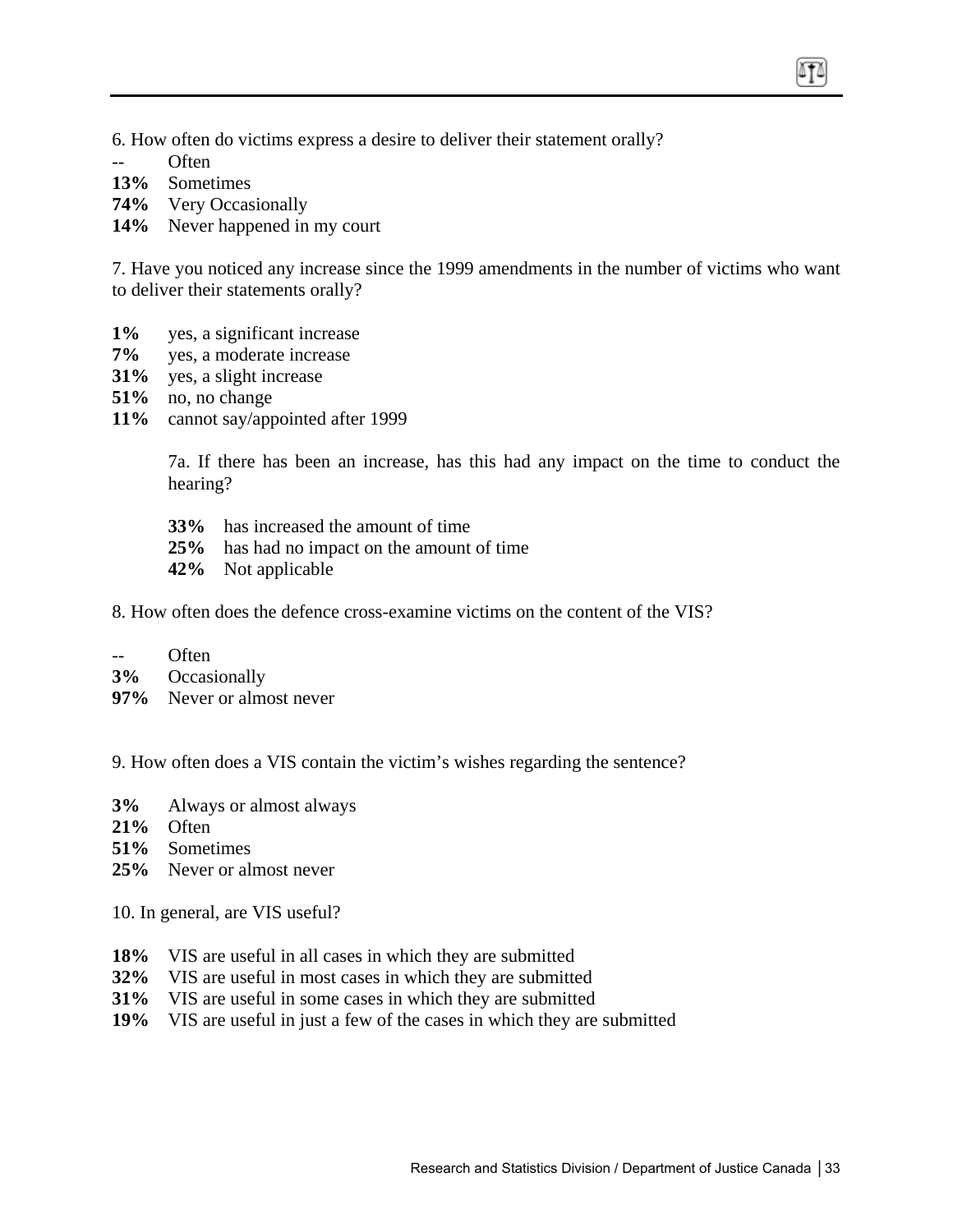6. How often do victims express a desire to deliver their statement orally?

- Often
- **13%** Sometimes
- **74%** Very Occasionally
- **14%** Never happened in my court

7. Have you noticed any increase since the 1999 amendments in the number of victims who want to deliver their statements orally?

- **1%** yes, a significant increase
- **7%** yes, a moderate increase
- **31%** yes, a slight increase
- **51%** no, no change
- **11%** cannot say/appointed after 1999

7a. If there has been an increase, has this had any impact on the time to conduct the hearing?

- **33%** has increased the amount of time
- **25%** has had no impact on the amount of time
- **42%** Not applicable
- 8. How often does the defence cross-examine victims on the content of the VIS?
- Often
- **3%** Occasionally
- **97%** Never or almost never

9. How often does a VIS contain the victim's wishes regarding the sentence?

- **3%** Always or almost always
- **21%** Often
- **51%** Sometimes
- **25%** Never or almost never
- 10. In general, are VIS useful?
- **18%** VIS are useful in all cases in which they are submitted
- **32%** VIS are useful in most cases in which they are submitted
- **31%** VIS are useful in some cases in which they are submitted
- **19%** VIS are useful in just a few of the cases in which they are submitted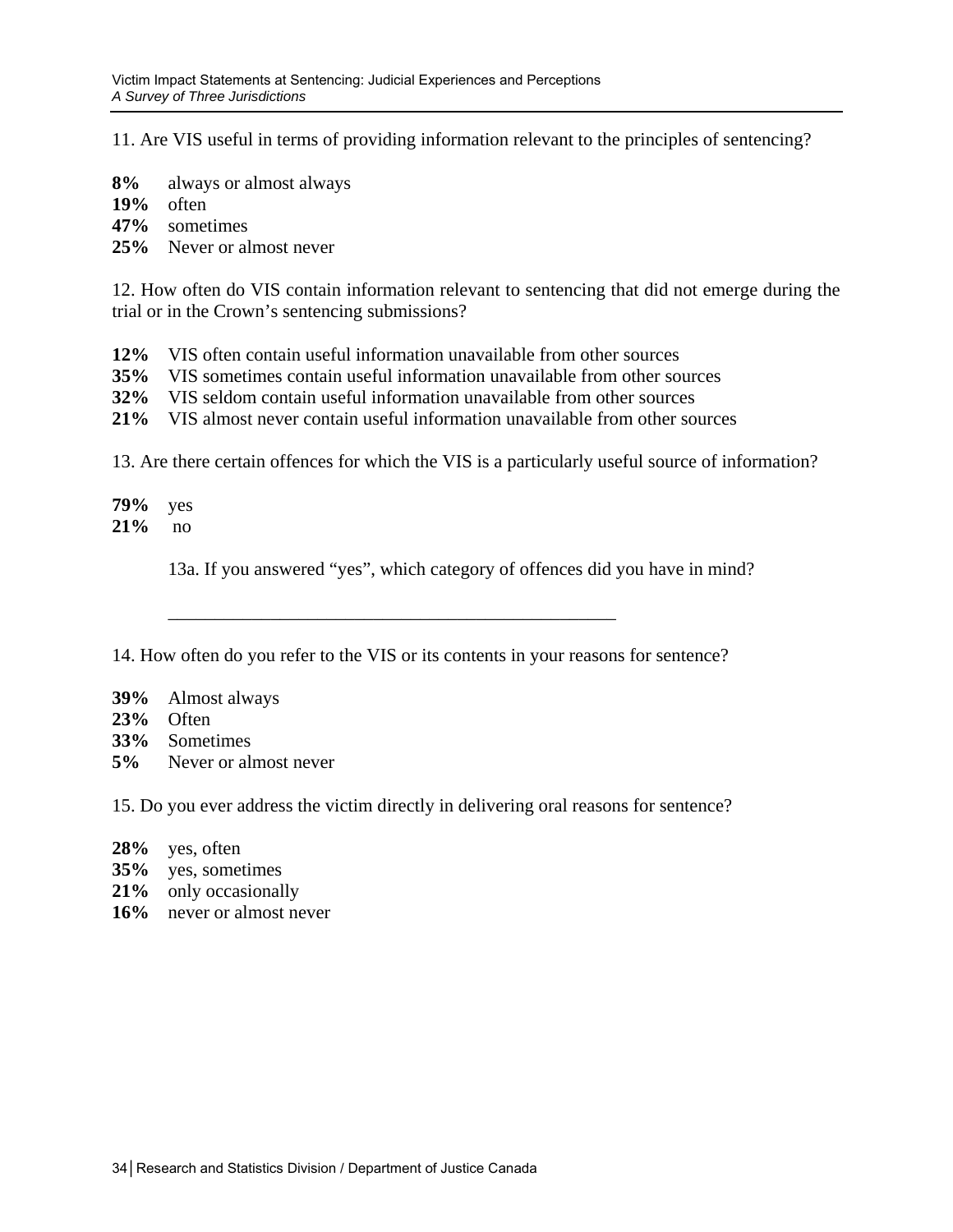11. Are VIS useful in terms of providing information relevant to the principles of sentencing?

- **8%** always or almost always
- **19%** often
- **47%** sometimes
- **25%** Never or almost never

12. How often do VIS contain information relevant to sentencing that did not emerge during the trial or in the Crown's sentencing submissions?

- **12%** VIS often contain useful information unavailable from other sources
- **35%** VIS sometimes contain useful information unavailable from other sources
- **32%** VIS seldom contain useful information unavailable from other sources
- **21%** VIS almost never contain useful information unavailable from other sources

13. Are there certain offences for which the VIS is a particularly useful source of information?

**79%** yes

**21%** no

13a. If you answered "yes", which category of offences did you have in mind?

14. How often do you refer to the VIS or its contents in your reasons for sentence?

\_\_\_\_\_\_\_\_\_\_\_\_\_\_\_\_\_\_\_\_\_\_\_\_\_\_\_\_\_\_\_\_\_\_\_\_\_\_\_\_\_\_\_\_\_\_\_\_

- **39%** Almost always
- **23%** Often
- **33%** Sometimes
- **5%** Never or almost never

15. Do you ever address the victim directly in delivering oral reasons for sentence?

- **28%** yes, often
- **35%** yes, sometimes
- **21%** only occasionally
- **16%** never or almost never